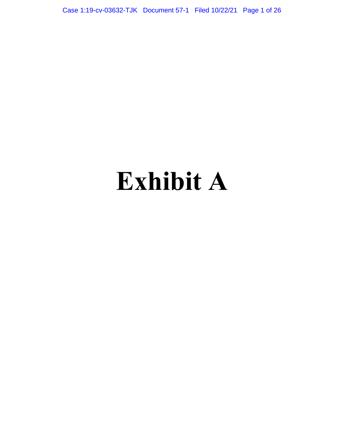Case 1:19-cv-03632-TJK Document 57-1 Filed 10/22/21 Page 1 of 26

# **Exhibit A**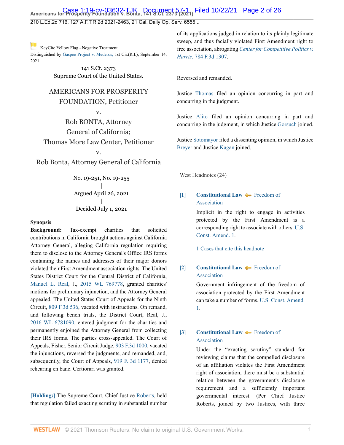# **Case 1:19-cv-03632-TJK Document 57-1 Filed 10/22/21 Page 2 of 26**<br>Americans for Prosperity Foundation v. Bonta, 141 S.Ct. 2373 (2021) Filed 10/22/21 Page 2 of 26

210 L.Ed.2d 716, 127 A.F.T.R.2d 2021-2463, 21 Cal. Daily Op. Serv. 6555...

[K](http://www.westlaw.com/Link/RelatedInformation/Flag?documentGuid=I7d565adeda6711eb850ac132f535d1eb&transitionType=Document&originationContext=docHeaderFlag&Rank=0&rs=cblt1.0&vr=3.0&contextData=(sc.Default))eyCite Yellow Flag - Negative Treatment Distinguished by [Gaspee Project v. Mederos,](https://www.westlaw.com/Document/I518db22015b411ecb72ce2c86e84f35e/View/FullText.html?navigationPath=RelatedInfo%2Fv4%2Fkeycite%2Fnav%2F%3Fguid%3DI518db22015b411ecb72ce2c86e84f35e%26ss%3D2053934032%26ds%3D2054492939%26origDocGuid%3DI7d565adeda6711eb850ac132f535d1eb&listSource=RelatedInfo&list=NegativeCitingReferences&rank=0&ppcid=42dd69941d1c4629a262d5c8191e236f&originationContext=docHeader&transitionType=NegativeTreatment&contextData=%28sc.Default%29&VR=3.0&RS=cblt1.0 ) 1st Cir.(R.I.), September 14,

> 141 S.Ct. 2373 Supreme Court of the United States.

# AMERICANS FOR PROSPERITY

## FOUNDATION, Petitioner

v.

Rob BONTA, Attorney General of California; Thomas More Law Center, Petitioner

v.

Rob Bonta, Attorney General of California

No. 19-251, No. 19-255 | Argued April 26, 2021 | Decided July 1, 2021

#### **Synopsis**

2021

**Background:** Tax-exempt charities that solicited contributions in California brought actions against California Attorney General, alleging California regulation requiring them to disclose to the Attorney General's Office IRS forms containing the names and addresses of their major donors violated their First Amendment association rights. The United States District Court for the Central District of California, [Manuel L. Real,](http://www.westlaw.com/Link/Document/FullText?findType=h&pubNum=176284&cite=0245338201&originatingDoc=I7d565adeda6711eb850ac132f535d1eb&refType=RQ&originationContext=document&vr=3.0&rs=cblt1.0&transitionType=DocumentItem&contextData=(sc.Default)) J., [2015 WL 769778,](http://www.westlaw.com/Link/Document/FullText?findType=Y&serNum=2035496447&pubNum=0000999&originatingDoc=I7d565adeda6711eb850ac132f535d1eb&refType=RP&originationContext=document&vr=3.0&rs=cblt1.0&transitionType=DocumentItem&contextData=(sc.Default)) granted charities' motions for preliminary injunction, and the Attorney General appealed. The United States Court of Appeals for the Ninth Circuit, [809 F.3d 536](http://www.westlaw.com/Link/Document/FullText?findType=Y&serNum=2037906530&pubNum=0000506&originatingDoc=I7d565adeda6711eb850ac132f535d1eb&refType=RP&originationContext=document&vr=3.0&rs=cblt1.0&transitionType=DocumentItem&contextData=(sc.Default)), vacated with instructions. On remand, and following bench trials, the District Court, Real, J., [2016 WL 6781090](http://www.westlaw.com/Link/Document/FullText?findType=Y&serNum=2040318453&pubNum=0000999&originatingDoc=I7d565adeda6711eb850ac132f535d1eb&refType=RP&originationContext=document&vr=3.0&rs=cblt1.0&transitionType=DocumentItem&contextData=(sc.Default)), entered judgment for the charities and permanently enjoined the Attorney General from collecting their IRS forms. The parties cross-appealed. The Court of Appeals, Fisher, Senior Circuit Judge, [903 F.3d 1000](http://www.westlaw.com/Link/Document/FullText?findType=Y&serNum=2045472789&pubNum=0000506&originatingDoc=I7d565adeda6711eb850ac132f535d1eb&refType=RP&originationContext=document&vr=3.0&rs=cblt1.0&transitionType=DocumentItem&contextData=(sc.Default)), vacated the injunctions, reversed the judgments, and remanded, and, subsequently, the Court of Appeals, [919 F. 3d 1177,](http://www.westlaw.com/Link/Document/FullText?findType=Y&serNum=2047888008&pubNum=0000506&originatingDoc=I7d565adeda6711eb850ac132f535d1eb&refType=RP&originationContext=document&vr=3.0&rs=cblt1.0&transitionType=DocumentItem&contextData=(sc.Default)) denied rehearing en banc. Certiorari was granted.

**[\[Holding:\]](#page-3-0)** The Supreme Court, Chief Justice [Roberts](http://www.westlaw.com/Link/Document/FullText?findType=h&pubNum=176284&cite=0258116001&originatingDoc=I7d565adeda6711eb850ac132f535d1eb&refType=RQ&originationContext=document&vr=3.0&rs=cblt1.0&transitionType=DocumentItem&contextData=(sc.Default)), held that regulation failed exacting scrutiny in substantial number of its applications judged in relation to its plainly legitimate sweep, and thus facially violated First Amendment right to free association, abrogating *[Center for Competitive Politics v.](http://www.westlaw.com/Link/Document/FullText?findType=Y&serNum=2036181775&pubNum=0000506&originatingDoc=I7d565adeda6711eb850ac132f535d1eb&refType=RP&originationContext=document&vr=3.0&rs=cblt1.0&transitionType=DocumentItem&contextData=(sc.Default)) Harris*[, 784 F.3d 1307.](http://www.westlaw.com/Link/Document/FullText?findType=Y&serNum=2036181775&pubNum=0000506&originatingDoc=I7d565adeda6711eb850ac132f535d1eb&refType=RP&originationContext=document&vr=3.0&rs=cblt1.0&transitionType=DocumentItem&contextData=(sc.Default))

Reversed and remanded.

Justice [Thomas](http://www.westlaw.com/Link/Document/FullText?findType=h&pubNum=176284&cite=0216654601&originatingDoc=I7d565adeda6711eb850ac132f535d1eb&refType=RQ&originationContext=document&vr=3.0&rs=cblt1.0&transitionType=DocumentItem&contextData=(sc.Default)) filed an opinion concurring in part and concurring in the judgment.

Justice [Alito](http://www.westlaw.com/Link/Document/FullText?findType=h&pubNum=176284&cite=0153052401&originatingDoc=I7d565adeda6711eb850ac132f535d1eb&refType=RQ&originationContext=document&vr=3.0&rs=cblt1.0&transitionType=DocumentItem&contextData=(sc.Default)) filed an opinion concurring in part and concurring in the judgment, in which Justice [Gorsuch](http://www.westlaw.com/Link/Document/FullText?findType=h&pubNum=176284&cite=0183411701&originatingDoc=I7d565adeda6711eb850ac132f535d1eb&refType=RQ&originationContext=document&vr=3.0&rs=cblt1.0&transitionType=DocumentItem&contextData=(sc.Default)) joined.

Justice [Sotomayor](http://www.westlaw.com/Link/Document/FullText?findType=h&pubNum=176284&cite=0145172701&originatingDoc=I7d565adeda6711eb850ac132f535d1eb&refType=RQ&originationContext=document&vr=3.0&rs=cblt1.0&transitionType=DocumentItem&contextData=(sc.Default)) filed a dissenting opinion, in which Justice [Breyer](http://www.westlaw.com/Link/Document/FullText?findType=h&pubNum=176284&cite=0254766801&originatingDoc=I7d565adeda6711eb850ac132f535d1eb&refType=RQ&originationContext=document&vr=3.0&rs=cblt1.0&transitionType=DocumentItem&contextData=(sc.Default)) and Justice [Kagan](http://www.westlaw.com/Link/Document/FullText?findType=h&pubNum=176284&cite=0301239401&originatingDoc=I7d565adeda6711eb850ac132f535d1eb&refType=RQ&originationContext=document&vr=3.0&rs=cblt1.0&transitionType=DocumentItem&contextData=(sc.Default)) joined.

West Headnotes (24)

# <span id="page-1-0"></span>**[\[1\]](#page-8-0) [Constitutional Law](http://www.westlaw.com/Browse/Home/KeyNumber/92/View.html?docGuid=I7d565adeda6711eb850ac132f535d1eb&originationContext=document&vr=3.0&rs=cblt1.0&transitionType=DocumentItem&contextData=(sc.Default)) [Freedom of](http://www.westlaw.com/Browse/Home/KeyNumber/92XVI/View.html?docGuid=I7d565adeda6711eb850ac132f535d1eb&originationContext=document&vr=3.0&rs=cblt1.0&transitionType=DocumentItem&contextData=(sc.Default))** [Association](http://www.westlaw.com/Browse/Home/KeyNumber/92XVI/View.html?docGuid=I7d565adeda6711eb850ac132f535d1eb&originationContext=document&vr=3.0&rs=cblt1.0&transitionType=DocumentItem&contextData=(sc.Default))

Implicit in the right to engage in activities protected by the First Amendment is a corresponding right to associate with others. [U.S.](http://www.westlaw.com/Link/Document/FullText?findType=L&pubNum=1000583&cite=USCOAMENDI&originatingDoc=I7d565adeda6711eb850ac132f535d1eb&refType=LQ&originationContext=document&vr=3.0&rs=cblt1.0&transitionType=DocumentItem&contextData=(sc.Default)) [Const. Amend. 1](http://www.westlaw.com/Link/Document/FullText?findType=L&pubNum=1000583&cite=USCOAMENDI&originatingDoc=I7d565adeda6711eb850ac132f535d1eb&refType=LQ&originationContext=document&vr=3.0&rs=cblt1.0&transitionType=DocumentItem&contextData=(sc.Default)).

[1 Cases that cite this headnote](http://www.westlaw.com/Link/RelatedInformation/DocHeadnoteLink?docGuid=I7d565adeda6711eb850ac132f535d1eb&headnoteId=205393403200120211013064723&originationContext=document&vr=3.0&rs=cblt1.0&transitionType=CitingReferences&contextData=(sc.Default))

# <span id="page-1-1"></span>**[\[2\]](#page-8-1) [Constitutional Law](http://www.westlaw.com/Browse/Home/KeyNumber/92/View.html?docGuid=I7d565adeda6711eb850ac132f535d1eb&originationContext=document&vr=3.0&rs=cblt1.0&transitionType=DocumentItem&contextData=(sc.Default)) [Freedom of](http://www.westlaw.com/Browse/Home/KeyNumber/92XVI/View.html?docGuid=I7d565adeda6711eb850ac132f535d1eb&originationContext=document&vr=3.0&rs=cblt1.0&transitionType=DocumentItem&contextData=(sc.Default))** [Association](http://www.westlaw.com/Browse/Home/KeyNumber/92XVI/View.html?docGuid=I7d565adeda6711eb850ac132f535d1eb&originationContext=document&vr=3.0&rs=cblt1.0&transitionType=DocumentItem&contextData=(sc.Default))

Government infringement of the freedom of association protected by the First Amendment can take a number of forms. [U.S. Const. Amend.](http://www.westlaw.com/Link/Document/FullText?findType=L&pubNum=1000583&cite=USCOAMENDI&originatingDoc=I7d565adeda6711eb850ac132f535d1eb&refType=LQ&originationContext=document&vr=3.0&rs=cblt1.0&transitionType=DocumentItem&contextData=(sc.Default)) [1](http://www.westlaw.com/Link/Document/FullText?findType=L&pubNum=1000583&cite=USCOAMENDI&originatingDoc=I7d565adeda6711eb850ac132f535d1eb&refType=LQ&originationContext=document&vr=3.0&rs=cblt1.0&transitionType=DocumentItem&contextData=(sc.Default)).

# <span id="page-1-2"></span>**[\[3\]](#page-9-0) [Constitutional Law](http://www.westlaw.com/Browse/Home/KeyNumber/92/View.html?docGuid=I7d565adeda6711eb850ac132f535d1eb&originationContext=document&vr=3.0&rs=cblt1.0&transitionType=DocumentItem&contextData=(sc.Default)) [Freedom of](http://www.westlaw.com/Browse/Home/KeyNumber/92XVI/View.html?docGuid=I7d565adeda6711eb850ac132f535d1eb&originationContext=document&vr=3.0&rs=cblt1.0&transitionType=DocumentItem&contextData=(sc.Default))** [Association](http://www.westlaw.com/Browse/Home/KeyNumber/92XVI/View.html?docGuid=I7d565adeda6711eb850ac132f535d1eb&originationContext=document&vr=3.0&rs=cblt1.0&transitionType=DocumentItem&contextData=(sc.Default))

Under the "exacting scrutiny" standard for reviewing claims that the compelled disclosure of an affiliation violates the First Amendment right of association, there must be a substantial relation between the government's disclosure requirement and a sufficiently important governmental interest. (Per Chief Justice Roberts, joined by two Justices, with three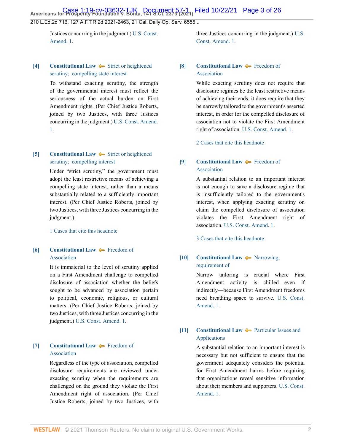**Case 1:19-cv-03632-TJK Document 57-1 Filed 10/22/21 Page 3 of 26**<br>Americans for Prosperity Foundation v. Bonta, 141 S.Ct. 2373 (2021) Filed 10/22/21 Page 3 of 26

210 L.Ed.2d 716, 127 A.F.T.R.2d 2021-2463, 21 Cal. Daily Op. Serv. 6555...

Justices concurring in the judgment.) [U.S. Const.](http://www.westlaw.com/Link/Document/FullText?findType=L&pubNum=1000583&cite=USCOAMENDI&originatingDoc=I7d565adeda6711eb850ac132f535d1eb&refType=LQ&originationContext=document&vr=3.0&rs=cblt1.0&transitionType=DocumentItem&contextData=(sc.Default)) [Amend. 1.](http://www.westlaw.com/Link/Document/FullText?findType=L&pubNum=1000583&cite=USCOAMENDI&originatingDoc=I7d565adeda6711eb850ac132f535d1eb&refType=LQ&originationContext=document&vr=3.0&rs=cblt1.0&transitionType=DocumentItem&contextData=(sc.Default))

### <span id="page-2-0"></span>**[\[4\]](#page-9-1) [Constitutional Law](http://www.westlaw.com/Browse/Home/KeyNumber/92/View.html?docGuid=I7d565adeda6711eb850ac132f535d1eb&originationContext=document&vr=3.0&rs=cblt1.0&transitionType=DocumentItem&contextData=(sc.Default))**  $\blacktriangleright$  [Strict or heightened](http://www.westlaw.com/Browse/Home/KeyNumber/92k1156/View.html?docGuid=I7d565adeda6711eb850ac132f535d1eb&originationContext=document&vr=3.0&rs=cblt1.0&transitionType=DocumentItem&contextData=(sc.Default)) [scrutiny;  compelling state interest](http://www.westlaw.com/Browse/Home/KeyNumber/92k1156/View.html?docGuid=I7d565adeda6711eb850ac132f535d1eb&originationContext=document&vr=3.0&rs=cblt1.0&transitionType=DocumentItem&contextData=(sc.Default))

To withstand exacting scrutiny, the strength of the governmental interest must reflect the seriousness of the actual burden on First Amendment rights. (Per Chief Justice Roberts, joined by two Justices, with three Justices concurring in the judgment.) [U.S. Const. Amend.](http://www.westlaw.com/Link/Document/FullText?findType=L&pubNum=1000583&cite=USCOAMENDI&originatingDoc=I7d565adeda6711eb850ac132f535d1eb&refType=LQ&originationContext=document&vr=3.0&rs=cblt1.0&transitionType=DocumentItem&contextData=(sc.Default)) [1.](http://www.westlaw.com/Link/Document/FullText?findType=L&pubNum=1000583&cite=USCOAMENDI&originatingDoc=I7d565adeda6711eb850ac132f535d1eb&refType=LQ&originationContext=document&vr=3.0&rs=cblt1.0&transitionType=DocumentItem&contextData=(sc.Default))

# <span id="page-2-1"></span>**[\[5\]](#page-9-2) [Constitutional Law](http://www.westlaw.com/Browse/Home/KeyNumber/92/View.html?docGuid=I7d565adeda6711eb850ac132f535d1eb&originationContext=document&vr=3.0&rs=cblt1.0&transitionType=DocumentItem&contextData=(sc.Default))**  $\blacktriangleright$  [Strict or heightened](http://www.westlaw.com/Browse/Home/KeyNumber/92k1053/View.html?docGuid=I7d565adeda6711eb850ac132f535d1eb&originationContext=document&vr=3.0&rs=cblt1.0&transitionType=DocumentItem&contextData=(sc.Default)) [scrutiny;  compelling interest](http://www.westlaw.com/Browse/Home/KeyNumber/92k1053/View.html?docGuid=I7d565adeda6711eb850ac132f535d1eb&originationContext=document&vr=3.0&rs=cblt1.0&transitionType=DocumentItem&contextData=(sc.Default))

Under "strict scrutiny," the government must adopt the least restrictive means of achieving a compelling state interest, rather than a means substantially related to a sufficiently important interest. (Per Chief Justice Roberts, joined by two Justices, with three Justices concurring in the judgment.)

[1 Cases that cite this headnote](http://www.westlaw.com/Link/RelatedInformation/DocHeadnoteLink?docGuid=I7d565adeda6711eb850ac132f535d1eb&headnoteId=205393403200520211013064723&originationContext=document&vr=3.0&rs=cblt1.0&transitionType=CitingReferences&contextData=(sc.Default))

## <span id="page-2-2"></span>**[\[6\]](#page-9-3) [Constitutional Law](http://www.westlaw.com/Browse/Home/KeyNumber/92/View.html?docGuid=I7d565adeda6711eb850ac132f535d1eb&originationContext=document&vr=3.0&rs=cblt1.0&transitionType=DocumentItem&contextData=(sc.Default)) [Freedom of](http://www.westlaw.com/Browse/Home/KeyNumber/92XVI/View.html?docGuid=I7d565adeda6711eb850ac132f535d1eb&originationContext=document&vr=3.0&rs=cblt1.0&transitionType=DocumentItem&contextData=(sc.Default))** [Association](http://www.westlaw.com/Browse/Home/KeyNumber/92XVI/View.html?docGuid=I7d565adeda6711eb850ac132f535d1eb&originationContext=document&vr=3.0&rs=cblt1.0&transitionType=DocumentItem&contextData=(sc.Default))

It is immaterial to the level of scrutiny applied on a First Amendment challenge to compelled disclosure of association whether the beliefs sought to be advanced by association pertain to political, economic, religious, or cultural matters. (Per Chief Justice Roberts, joined by two Justices, with three Justices concurring in the judgment.) [U.S. Const. Amend. 1.](http://www.westlaw.com/Link/Document/FullText?findType=L&pubNum=1000583&cite=USCOAMENDI&originatingDoc=I7d565adeda6711eb850ac132f535d1eb&refType=LQ&originationContext=document&vr=3.0&rs=cblt1.0&transitionType=DocumentItem&contextData=(sc.Default))

#### <span id="page-2-3"></span>**[\[7\]](#page-9-4) [Constitutional Law](http://www.westlaw.com/Browse/Home/KeyNumber/92/View.html?docGuid=I7d565adeda6711eb850ac132f535d1eb&originationContext=document&vr=3.0&rs=cblt1.0&transitionType=DocumentItem&contextData=(sc.Default))**  $\blacklozenge$  **[Freedom of](http://www.westlaw.com/Browse/Home/KeyNumber/92XVI/View.html?docGuid=I7d565adeda6711eb850ac132f535d1eb&originationContext=document&vr=3.0&rs=cblt1.0&transitionType=DocumentItem&contextData=(sc.Default))** [Association](http://www.westlaw.com/Browse/Home/KeyNumber/92XVI/View.html?docGuid=I7d565adeda6711eb850ac132f535d1eb&originationContext=document&vr=3.0&rs=cblt1.0&transitionType=DocumentItem&contextData=(sc.Default))

Regardless of the type of association, compelled disclosure requirements are reviewed under exacting scrutiny when the requirements are challenged on the ground they violate the First Amendment right of association. (Per Chief Justice Roberts, joined by two Justices, with

three Justices concurring in the judgment.) [U.S.](http://www.westlaw.com/Link/Document/FullText?findType=L&pubNum=1000583&cite=USCOAMENDI&originatingDoc=I7d565adeda6711eb850ac132f535d1eb&refType=LQ&originationContext=document&vr=3.0&rs=cblt1.0&transitionType=DocumentItem&contextData=(sc.Default)) [Const. Amend. 1](http://www.westlaw.com/Link/Document/FullText?findType=L&pubNum=1000583&cite=USCOAMENDI&originatingDoc=I7d565adeda6711eb850ac132f535d1eb&refType=LQ&originationContext=document&vr=3.0&rs=cblt1.0&transitionType=DocumentItem&contextData=(sc.Default)).

#### <span id="page-2-4"></span>**[\[8\]](#page-9-5) [Constitutional Law](http://www.westlaw.com/Browse/Home/KeyNumber/92/View.html?docGuid=I7d565adeda6711eb850ac132f535d1eb&originationContext=document&vr=3.0&rs=cblt1.0&transitionType=DocumentItem&contextData=(sc.Default))** [Freedom of](http://www.westlaw.com/Browse/Home/KeyNumber/92XVI/View.html?docGuid=I7d565adeda6711eb850ac132f535d1eb&originationContext=document&vr=3.0&rs=cblt1.0&transitionType=DocumentItem&contextData=(sc.Default)) [Association](http://www.westlaw.com/Browse/Home/KeyNumber/92XVI/View.html?docGuid=I7d565adeda6711eb850ac132f535d1eb&originationContext=document&vr=3.0&rs=cblt1.0&transitionType=DocumentItem&contextData=(sc.Default))

While exacting scrutiny does not require that disclosure regimes be the least restrictive means of achieving their ends, it does require that they be narrowly tailored to the government's asserted interest, in order for the compelled disclosure of association not to violate the First Amendment right of association. [U.S. Const. Amend. 1](http://www.westlaw.com/Link/Document/FullText?findType=L&pubNum=1000583&cite=USCOAMENDI&originatingDoc=I7d565adeda6711eb850ac132f535d1eb&refType=LQ&originationContext=document&vr=3.0&rs=cblt1.0&transitionType=DocumentItem&contextData=(sc.Default)).

[2 Cases that cite this headnote](http://www.westlaw.com/Link/RelatedInformation/DocHeadnoteLink?docGuid=I7d565adeda6711eb850ac132f535d1eb&headnoteId=205393403200820211013064723&originationContext=document&vr=3.0&rs=cblt1.0&transitionType=CitingReferences&contextData=(sc.Default))

# <span id="page-2-5"></span>**[\[9\]](#page-10-0) [Constitutional Law](http://www.westlaw.com/Browse/Home/KeyNumber/92/View.html?docGuid=I7d565adeda6711eb850ac132f535d1eb&originationContext=document&vr=3.0&rs=cblt1.0&transitionType=DocumentItem&contextData=(sc.Default)) [Freedom of](http://www.westlaw.com/Browse/Home/KeyNumber/92XVI/View.html?docGuid=I7d565adeda6711eb850ac132f535d1eb&originationContext=document&vr=3.0&rs=cblt1.0&transitionType=DocumentItem&contextData=(sc.Default))** [Association](http://www.westlaw.com/Browse/Home/KeyNumber/92XVI/View.html?docGuid=I7d565adeda6711eb850ac132f535d1eb&originationContext=document&vr=3.0&rs=cblt1.0&transitionType=DocumentItem&contextData=(sc.Default))

A substantial relation to an important interest is not enough to save a disclosure regime that is insufficiently tailored to the government's interest, when applying exacting scrutiny on claim the compelled disclosure of association violates the First Amendment right of association. [U.S. Const. Amend. 1.](http://www.westlaw.com/Link/Document/FullText?findType=L&pubNum=1000583&cite=USCOAMENDI&originatingDoc=I7d565adeda6711eb850ac132f535d1eb&refType=LQ&originationContext=document&vr=3.0&rs=cblt1.0&transitionType=DocumentItem&contextData=(sc.Default))

[3 Cases that cite this headnote](http://www.westlaw.com/Link/RelatedInformation/DocHeadnoteLink?docGuid=I7d565adeda6711eb850ac132f535d1eb&headnoteId=205393403200920211013064723&originationContext=document&vr=3.0&rs=cblt1.0&transitionType=CitingReferences&contextData=(sc.Default))

## <span id="page-2-6"></span>**[\[10\]](#page-10-1) [Constitutional Law](http://www.westlaw.com/Browse/Home/KeyNumber/92/View.html?docGuid=I7d565adeda6711eb850ac132f535d1eb&originationContext=document&vr=3.0&rs=cblt1.0&transitionType=DocumentItem&contextData=(sc.Default))**  $\rightarrow$  [Narrowing,](http://www.westlaw.com/Browse/Home/KeyNumber/92k1158/View.html?docGuid=I7d565adeda6711eb850ac132f535d1eb&originationContext=document&vr=3.0&rs=cblt1.0&transitionType=DocumentItem&contextData=(sc.Default)) [requirement of](http://www.westlaw.com/Browse/Home/KeyNumber/92k1158/View.html?docGuid=I7d565adeda6711eb850ac132f535d1eb&originationContext=document&vr=3.0&rs=cblt1.0&transitionType=DocumentItem&contextData=(sc.Default))

Narrow tailoring is crucial where First Amendment activity is chilled—even if indirectly—because First Amendment freedoms need breathing space to survive. [U.S. Const.](http://www.westlaw.com/Link/Document/FullText?findType=L&pubNum=1000583&cite=USCOAMENDI&originatingDoc=I7d565adeda6711eb850ac132f535d1eb&refType=LQ&originationContext=document&vr=3.0&rs=cblt1.0&transitionType=DocumentItem&contextData=(sc.Default)) [Amend. 1.](http://www.westlaw.com/Link/Document/FullText?findType=L&pubNum=1000583&cite=USCOAMENDI&originatingDoc=I7d565adeda6711eb850ac132f535d1eb&refType=LQ&originationContext=document&vr=3.0&rs=cblt1.0&transitionType=DocumentItem&contextData=(sc.Default))

#### <span id="page-2-7"></span>**[\[11\]](#page-10-2) [Constitutional Law](http://www.westlaw.com/Browse/Home/KeyNumber/92/View.html?docGuid=I7d565adeda6711eb850ac132f535d1eb&originationContext=document&vr=3.0&rs=cblt1.0&transitionType=DocumentItem&contextData=(sc.Default))**  $\blacklozenge$  **[Particular Issues and](http://www.westlaw.com/Browse/Home/KeyNumber/92X(B)/View.html?docGuid=I7d565adeda6711eb850ac132f535d1eb&originationContext=document&vr=3.0&rs=cblt1.0&transitionType=DocumentItem&contextData=(sc.Default))** [Applications](http://www.westlaw.com/Browse/Home/KeyNumber/92X(B)/View.html?docGuid=I7d565adeda6711eb850ac132f535d1eb&originationContext=document&vr=3.0&rs=cblt1.0&transitionType=DocumentItem&contextData=(sc.Default))

A substantial relation to an important interest is necessary but not sufficient to ensure that the government adequately considers the potential for First Amendment harms before requiring that organizations reveal sensitive information about their members and supporters. [U.S. Const.](http://www.westlaw.com/Link/Document/FullText?findType=L&pubNum=1000583&cite=USCOAMENDI&originatingDoc=I7d565adeda6711eb850ac132f535d1eb&refType=LQ&originationContext=document&vr=3.0&rs=cblt1.0&transitionType=DocumentItem&contextData=(sc.Default)) [Amend. 1.](http://www.westlaw.com/Link/Document/FullText?findType=L&pubNum=1000583&cite=USCOAMENDI&originatingDoc=I7d565adeda6711eb850ac132f535d1eb&refType=LQ&originationContext=document&vr=3.0&rs=cblt1.0&transitionType=DocumentItem&contextData=(sc.Default))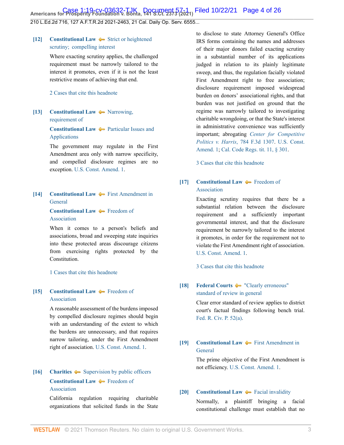**Case 1:19-cv-03632-TJK Document 57-1 Filed 10/22/21 Page 4 of 26**<br>Americans for Prosperity Foundation v. Bonta, 141 S.Ct. 2373 (2021) Filed 10/22/21 Page 4 of 26

210 L.Ed.2d 716, 127 A.F.T.R.2d 2021-2463, 21 Cal. Daily Op. Serv. 6555...

# <span id="page-3-1"></span>**[\[12\]](#page-10-3) [Constitutional Law](http://www.westlaw.com/Browse/Home/KeyNumber/92/View.html?docGuid=I7d565adeda6711eb850ac132f535d1eb&originationContext=document&vr=3.0&rs=cblt1.0&transitionType=DocumentItem&contextData=(sc.Default))**  $\rightarrow$  [Strict or heightened](http://www.westlaw.com/Browse/Home/KeyNumber/92k1053/View.html?docGuid=I7d565adeda6711eb850ac132f535d1eb&originationContext=document&vr=3.0&rs=cblt1.0&transitionType=DocumentItem&contextData=(sc.Default)) [scrutiny;  compelling interest](http://www.westlaw.com/Browse/Home/KeyNumber/92k1053/View.html?docGuid=I7d565adeda6711eb850ac132f535d1eb&originationContext=document&vr=3.0&rs=cblt1.0&transitionType=DocumentItem&contextData=(sc.Default))

Where exacting scrutiny applies, the challenged requirement must be narrowly tailored to the interest it promotes, even if it is not the least restrictive means of achieving that end.

#### [2 Cases that cite this headnote](http://www.westlaw.com/Link/RelatedInformation/DocHeadnoteLink?docGuid=I7d565adeda6711eb850ac132f535d1eb&headnoteId=205393403201220211013064723&originationContext=document&vr=3.0&rs=cblt1.0&transitionType=CitingReferences&contextData=(sc.Default))

# <span id="page-3-2"></span>**[\[13\]](#page-10-4) [Constitutional Law](http://www.westlaw.com/Browse/Home/KeyNumber/92/View.html?docGuid=I7d565adeda6711eb850ac132f535d1eb&originationContext=document&vr=3.0&rs=cblt1.0&transitionType=DocumentItem&contextData=(sc.Default))**  $\blacklozenge$  **Narrowing**, [requirement of](http://www.westlaw.com/Browse/Home/KeyNumber/92k1158/View.html?docGuid=I7d565adeda6711eb850ac132f535d1eb&originationContext=document&vr=3.0&rs=cblt1.0&transitionType=DocumentItem&contextData=(sc.Default))

**[Constitutional Law](http://www.westlaw.com/Browse/Home/KeyNumber/92/View.html?docGuid=I7d565adeda6711eb850ac132f535d1eb&originationContext=document&vr=3.0&rs=cblt1.0&transitionType=DocumentItem&contextData=(sc.Default))**  $\rightarrow$  [Particular Issues and](http://www.westlaw.com/Browse/Home/KeyNumber/92X(B)/View.html?docGuid=I7d565adeda6711eb850ac132f535d1eb&originationContext=document&vr=3.0&rs=cblt1.0&transitionType=DocumentItem&contextData=(sc.Default)) [Applications](http://www.westlaw.com/Browse/Home/KeyNumber/92X(B)/View.html?docGuid=I7d565adeda6711eb850ac132f535d1eb&originationContext=document&vr=3.0&rs=cblt1.0&transitionType=DocumentItem&contextData=(sc.Default))

The government may regulate in the First Amendment area only with narrow specificity, and compelled disclosure regimes are no exception. [U.S. Const. Amend. 1](http://www.westlaw.com/Link/Document/FullText?findType=L&pubNum=1000583&cite=USCOAMENDI&originatingDoc=I7d565adeda6711eb850ac132f535d1eb&refType=LQ&originationContext=document&vr=3.0&rs=cblt1.0&transitionType=DocumentItem&contextData=(sc.Default)).

# <span id="page-3-3"></span>**[\[14\]](#page-10-5) [Constitutional Law](http://www.westlaw.com/Browse/Home/KeyNumber/92/View.html?docGuid=I7d565adeda6711eb850ac132f535d1eb&originationContext=document&vr=3.0&rs=cblt1.0&transitionType=DocumentItem&contextData=(sc.Default))**  $\blacklozenge$  [First Amendment in](http://www.westlaw.com/Browse/Home/KeyNumber/92X/View.html?docGuid=I7d565adeda6711eb850ac132f535d1eb&originationContext=document&vr=3.0&rs=cblt1.0&transitionType=DocumentItem&contextData=(sc.Default)) [General](http://www.westlaw.com/Browse/Home/KeyNumber/92X/View.html?docGuid=I7d565adeda6711eb850ac132f535d1eb&originationContext=document&vr=3.0&rs=cblt1.0&transitionType=DocumentItem&contextData=(sc.Default))

#### **[Constitutional Law](http://www.westlaw.com/Browse/Home/KeyNumber/92/View.html?docGuid=I7d565adeda6711eb850ac132f535d1eb&originationContext=document&vr=3.0&rs=cblt1.0&transitionType=DocumentItem&contextData=(sc.Default))**  $\rightarrow$  **[Freedom of](http://www.westlaw.com/Browse/Home/KeyNumber/92XVI/View.html?docGuid=I7d565adeda6711eb850ac132f535d1eb&originationContext=document&vr=3.0&rs=cblt1.0&transitionType=DocumentItem&contextData=(sc.Default))** [Association](http://www.westlaw.com/Browse/Home/KeyNumber/92XVI/View.html?docGuid=I7d565adeda6711eb850ac132f535d1eb&originationContext=document&vr=3.0&rs=cblt1.0&transitionType=DocumentItem&contextData=(sc.Default))

When it comes to a person's beliefs and associations, broad and sweeping state inquiries into these protected areas discourage citizens from exercising rights protected by the Constitution.

#### [1 Cases that cite this headnote](http://www.westlaw.com/Link/RelatedInformation/DocHeadnoteLink?docGuid=I7d565adeda6711eb850ac132f535d1eb&headnoteId=205393403201420211013064723&originationContext=document&vr=3.0&rs=cblt1.0&transitionType=CitingReferences&contextData=(sc.Default))

## <span id="page-3-4"></span>**[\[15\]](#page-10-6) [Constitutional Law](http://www.westlaw.com/Browse/Home/KeyNumber/92/View.html?docGuid=I7d565adeda6711eb850ac132f535d1eb&originationContext=document&vr=3.0&rs=cblt1.0&transitionType=DocumentItem&contextData=(sc.Default))**  $\blacktriangleright$  [Freedom of](http://www.westlaw.com/Browse/Home/KeyNumber/92XVI/View.html?docGuid=I7d565adeda6711eb850ac132f535d1eb&originationContext=document&vr=3.0&rs=cblt1.0&transitionType=DocumentItem&contextData=(sc.Default)) [Association](http://www.westlaw.com/Browse/Home/KeyNumber/92XVI/View.html?docGuid=I7d565adeda6711eb850ac132f535d1eb&originationContext=document&vr=3.0&rs=cblt1.0&transitionType=DocumentItem&contextData=(sc.Default))

A reasonable assessment of the burdens imposed by compelled disclosure regimes should begin with an understanding of the extent to which the burdens are unnecessary, and that requires narrow tailoring, under the First Amendment right of association. [U.S. Const. Amend. 1](http://www.westlaw.com/Link/Document/FullText?findType=L&pubNum=1000583&cite=USCOAMENDI&originatingDoc=I7d565adeda6711eb850ac132f535d1eb&refType=LQ&originationContext=document&vr=3.0&rs=cblt1.0&transitionType=DocumentItem&contextData=(sc.Default)).

# <span id="page-3-0"></span>**[\[16\]](#page-11-0) [Charities](http://www.westlaw.com/Browse/Home/KeyNumber/75/View.html?docGuid=I7d565adeda6711eb850ac132f535d1eb&originationContext=document&vr=3.0&rs=cblt1.0&transitionType=DocumentItem&contextData=(sc.Default))**  $\blacklozenge$  [Supervision by public officers](http://www.westlaw.com/Browse/Home/KeyNumber/75k42/View.html?docGuid=I7d565adeda6711eb850ac132f535d1eb&originationContext=document&vr=3.0&rs=cblt1.0&transitionType=DocumentItem&contextData=(sc.Default)) **[Constitutional Law](http://www.westlaw.com/Browse/Home/KeyNumber/92/View.html?docGuid=I7d565adeda6711eb850ac132f535d1eb&originationContext=document&vr=3.0&rs=cblt1.0&transitionType=DocumentItem&contextData=(sc.Default))**  $\rightarrow$  **[Freedom of](http://www.westlaw.com/Browse/Home/KeyNumber/92XVI/View.html?docGuid=I7d565adeda6711eb850ac132f535d1eb&originationContext=document&vr=3.0&rs=cblt1.0&transitionType=DocumentItem&contextData=(sc.Default))** [Association](http://www.westlaw.com/Browse/Home/KeyNumber/92XVI/View.html?docGuid=I7d565adeda6711eb850ac132f535d1eb&originationContext=document&vr=3.0&rs=cblt1.0&transitionType=DocumentItem&contextData=(sc.Default))

California regulation requiring charitable organizations that solicited funds in the State to disclose to state Attorney General's Office IRS forms containing the names and addresses of their major donors failed exacting scrutiny in a substantial number of its applications judged in relation to its plainly legitimate sweep, and thus, the regulation facially violated First Amendment right to free association; disclosure requirement imposed widespread burden on donors' associational rights, and that burden was not justified on ground that the regime was narrowly tailored to investigating charitable wrongdoing, or that the State's interest in administrative convenience was sufficiently important; abrogating *[Center for Competitive](http://www.westlaw.com/Link/Document/FullText?findType=Y&serNum=2036181775&pubNum=0000506&originatingDoc=I7d565adeda6711eb850ac132f535d1eb&refType=RP&originationContext=document&vr=3.0&rs=cblt1.0&transitionType=DocumentItem&contextData=(sc.Default)) [Politics v. Harris](http://www.westlaw.com/Link/Document/FullText?findType=Y&serNum=2036181775&pubNum=0000506&originatingDoc=I7d565adeda6711eb850ac132f535d1eb&refType=RP&originationContext=document&vr=3.0&rs=cblt1.0&transitionType=DocumentItem&contextData=(sc.Default))*, 784 F.3d 1307. [U.S. Const.](http://www.westlaw.com/Link/Document/FullText?findType=L&pubNum=1000583&cite=USCOAMENDI&originatingDoc=I7d565adeda6711eb850ac132f535d1eb&refType=LQ&originationContext=document&vr=3.0&rs=cblt1.0&transitionType=DocumentItem&contextData=(sc.Default)) [Amend. 1;](http://www.westlaw.com/Link/Document/FullText?findType=L&pubNum=1000583&cite=USCOAMENDI&originatingDoc=I7d565adeda6711eb850ac132f535d1eb&refType=LQ&originationContext=document&vr=3.0&rs=cblt1.0&transitionType=DocumentItem&contextData=(sc.Default)) [Cal. Code Regs. tit. 11, § 301](http://www.westlaw.com/Link/Document/FullText?findType=L&pubNum=1000937&cite=11CAADCS301&originatingDoc=I7d565adeda6711eb850ac132f535d1eb&refType=LQ&originationContext=document&vr=3.0&rs=cblt1.0&transitionType=DocumentItem&contextData=(sc.Default)).

[3 Cases that cite this headnote](http://www.westlaw.com/Link/RelatedInformation/DocHeadnoteLink?docGuid=I7d565adeda6711eb850ac132f535d1eb&headnoteId=205393403201720211013064723&originationContext=document&vr=3.0&rs=cblt1.0&transitionType=CitingReferences&contextData=(sc.Default))

# <span id="page-3-5"></span>**[\[17\]](#page-11-1) [Constitutional Law](http://www.westlaw.com/Browse/Home/KeyNumber/92/View.html?docGuid=I7d565adeda6711eb850ac132f535d1eb&originationContext=document&vr=3.0&rs=cblt1.0&transitionType=DocumentItem&contextData=(sc.Default)) [Freedom of](http://www.westlaw.com/Browse/Home/KeyNumber/92XVI/View.html?docGuid=I7d565adeda6711eb850ac132f535d1eb&originationContext=document&vr=3.0&rs=cblt1.0&transitionType=DocumentItem&contextData=(sc.Default))** [Association](http://www.westlaw.com/Browse/Home/KeyNumber/92XVI/View.html?docGuid=I7d565adeda6711eb850ac132f535d1eb&originationContext=document&vr=3.0&rs=cblt1.0&transitionType=DocumentItem&contextData=(sc.Default))

Exacting scrutiny requires that there be a substantial relation between the disclosure requirement and a sufficiently important governmental interest, and that the disclosure requirement be narrowly tailored to the interest it promotes, in order for the requirement not to violate the First Amendment right of association. [U.S. Const. Amend. 1.](http://www.westlaw.com/Link/Document/FullText?findType=L&pubNum=1000583&cite=USCOAMENDI&originatingDoc=I7d565adeda6711eb850ac132f535d1eb&refType=LQ&originationContext=document&vr=3.0&rs=cblt1.0&transitionType=DocumentItem&contextData=(sc.Default))

[3 Cases that cite this headnote](http://www.westlaw.com/Link/RelatedInformation/DocHeadnoteLink?docGuid=I7d565adeda6711eb850ac132f535d1eb&headnoteId=205393403201620211013064723&originationContext=document&vr=3.0&rs=cblt1.0&transitionType=CitingReferences&contextData=(sc.Default))

#### <span id="page-3-6"></span>**[\[18\]](#page-11-2) [Federal Courts](http://www.westlaw.com/Browse/Home/KeyNumber/170B/View.html?docGuid=I7d565adeda6711eb850ac132f535d1eb&originationContext=document&vr=3.0&rs=cblt1.0&transitionType=DocumentItem&contextData=(sc.Default))** ["Clearly erroneous"](http://www.westlaw.com/Browse/Home/KeyNumber/170Bk3603(2)/View.html?docGuid=I7d565adeda6711eb850ac132f535d1eb&originationContext=document&vr=3.0&rs=cblt1.0&transitionType=DocumentItem&contextData=(sc.Default)) [standard of review in general](http://www.westlaw.com/Browse/Home/KeyNumber/170Bk3603(2)/View.html?docGuid=I7d565adeda6711eb850ac132f535d1eb&originationContext=document&vr=3.0&rs=cblt1.0&transitionType=DocumentItem&contextData=(sc.Default))

Clear error standard of review applies to district court's factual findings following bench trial. [Fed. R. Civ. P. 52\(a\)](http://www.westlaw.com/Link/Document/FullText?findType=L&pubNum=1000600&cite=USFRCPR52&originatingDoc=I7d565adeda6711eb850ac132f535d1eb&refType=LQ&originationContext=document&vr=3.0&rs=cblt1.0&transitionType=DocumentItem&contextData=(sc.Default)).

# <span id="page-3-7"></span>**[\[19\]](#page-12-0) [Constitutional Law](http://www.westlaw.com/Browse/Home/KeyNumber/92/View.html?docGuid=I7d565adeda6711eb850ac132f535d1eb&originationContext=document&vr=3.0&rs=cblt1.0&transitionType=DocumentItem&contextData=(sc.Default)) [First Amendment in](http://www.westlaw.com/Browse/Home/KeyNumber/92X/View.html?docGuid=I7d565adeda6711eb850ac132f535d1eb&originationContext=document&vr=3.0&rs=cblt1.0&transitionType=DocumentItem&contextData=(sc.Default))** [General](http://www.westlaw.com/Browse/Home/KeyNumber/92X/View.html?docGuid=I7d565adeda6711eb850ac132f535d1eb&originationContext=document&vr=3.0&rs=cblt1.0&transitionType=DocumentItem&contextData=(sc.Default))

The prime objective of the First Amendment is not efficiency. [U.S. Const. Amend. 1.](http://www.westlaw.com/Link/Document/FullText?findType=L&pubNum=1000583&cite=USCOAMENDI&originatingDoc=I7d565adeda6711eb850ac132f535d1eb&refType=LQ&originationContext=document&vr=3.0&rs=cblt1.0&transitionType=DocumentItem&contextData=(sc.Default))

# <span id="page-3-8"></span>**[\[20\]](#page-12-1) [Constitutional Law](http://www.westlaw.com/Browse/Home/KeyNumber/92/View.html?docGuid=I7d565adeda6711eb850ac132f535d1eb&originationContext=document&vr=3.0&rs=cblt1.0&transitionType=DocumentItem&contextData=(sc.Default))**  $\blacklozenge$  **[Facial invalidity](http://www.westlaw.com/Browse/Home/KeyNumber/92k656/View.html?docGuid=I7d565adeda6711eb850ac132f535d1eb&originationContext=document&vr=3.0&rs=cblt1.0&transitionType=DocumentItem&contextData=(sc.Default))**

Normally, a plaintiff bringing a facial constitutional challenge must establish that no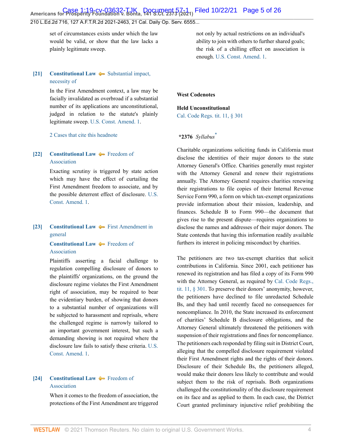# **Case 1:19-cv-03632-TJK Document 57-1 Filed 10/22/21 Page 5 of 26**<br>Americans for Prosperity Foundation v. Bonta, 141 S.Ct. 2373 (2021) Filed 10/22/21 Page 5 of 26

#### 210 L.Ed.2d 716, 127 A.F.T.R.2d 2021-2463, 21 Cal. Daily Op. Serv. 6555...

set of circumstances exists under which the law would be valid, or show that the law lacks a plainly legitimate sweep.

## <span id="page-4-0"></span>**[\[21\]](#page-12-2) [Constitutional Law](http://www.westlaw.com/Browse/Home/KeyNumber/92/View.html?docGuid=I7d565adeda6711eb850ac132f535d1eb&originationContext=document&vr=3.0&rs=cblt1.0&transitionType=DocumentItem&contextData=(sc.Default))**  $\blacktriangleright$  [Substantial impact,](http://www.westlaw.com/Browse/Home/KeyNumber/92k1164/View.html?docGuid=I7d565adeda6711eb850ac132f535d1eb&originationContext=document&vr=3.0&rs=cblt1.0&transitionType=DocumentItem&contextData=(sc.Default)) [necessity of](http://www.westlaw.com/Browse/Home/KeyNumber/92k1164/View.html?docGuid=I7d565adeda6711eb850ac132f535d1eb&originationContext=document&vr=3.0&rs=cblt1.0&transitionType=DocumentItem&contextData=(sc.Default))

In the First Amendment context, a law may be facially invalidated as overbroad if a substantial number of its applications are unconstitutional, judged in relation to the statute's plainly legitimate sweep. [U.S. Const. Amend. 1.](http://www.westlaw.com/Link/Document/FullText?findType=L&pubNum=1000583&cite=USCOAMENDI&originatingDoc=I7d565adeda6711eb850ac132f535d1eb&refType=LQ&originationContext=document&vr=3.0&rs=cblt1.0&transitionType=DocumentItem&contextData=(sc.Default))

[2 Cases that cite this headnote](http://www.westlaw.com/Link/RelatedInformation/DocHeadnoteLink?docGuid=I7d565adeda6711eb850ac132f535d1eb&headnoteId=205393403202120211013064723&originationContext=document&vr=3.0&rs=cblt1.0&transitionType=CitingReferences&contextData=(sc.Default))

# <span id="page-4-1"></span>**[\[22\]](#page-12-3) [Constitutional Law](http://www.westlaw.com/Browse/Home/KeyNumber/92/View.html?docGuid=I7d565adeda6711eb850ac132f535d1eb&originationContext=document&vr=3.0&rs=cblt1.0&transitionType=DocumentItem&contextData=(sc.Default))** [Freedom of](http://www.westlaw.com/Browse/Home/KeyNumber/92XVI/View.html?docGuid=I7d565adeda6711eb850ac132f535d1eb&originationContext=document&vr=3.0&rs=cblt1.0&transitionType=DocumentItem&contextData=(sc.Default)) [Association](http://www.westlaw.com/Browse/Home/KeyNumber/92XVI/View.html?docGuid=I7d565adeda6711eb850ac132f535d1eb&originationContext=document&vr=3.0&rs=cblt1.0&transitionType=DocumentItem&contextData=(sc.Default))

Exacting scrutiny is triggered by state action which may have the effect of curtailing the First Amendment freedom to associate, and by the possible deterrent effect of disclosure. [U.S.](http://www.westlaw.com/Link/Document/FullText?findType=L&pubNum=1000583&cite=USCOAMENDI&originatingDoc=I7d565adeda6711eb850ac132f535d1eb&refType=LQ&originationContext=document&vr=3.0&rs=cblt1.0&transitionType=DocumentItem&contextData=(sc.Default)) [Const. Amend. 1](http://www.westlaw.com/Link/Document/FullText?findType=L&pubNum=1000583&cite=USCOAMENDI&originatingDoc=I7d565adeda6711eb850ac132f535d1eb&refType=LQ&originationContext=document&vr=3.0&rs=cblt1.0&transitionType=DocumentItem&contextData=(sc.Default)).

## <span id="page-4-2"></span>**[\[23\]](#page-13-0) [Constitutional Law](http://www.westlaw.com/Browse/Home/KeyNumber/92/View.html?docGuid=I7d565adeda6711eb850ac132f535d1eb&originationContext=document&vr=3.0&rs=cblt1.0&transitionType=DocumentItem&contextData=(sc.Default)) [First Amendment in](http://www.westlaw.com/Browse/Home/KeyNumber/92k1036/View.html?docGuid=I7d565adeda6711eb850ac132f535d1eb&originationContext=document&vr=3.0&rs=cblt1.0&transitionType=DocumentItem&contextData=(sc.Default))** [general](http://www.westlaw.com/Browse/Home/KeyNumber/92k1036/View.html?docGuid=I7d565adeda6711eb850ac132f535d1eb&originationContext=document&vr=3.0&rs=cblt1.0&transitionType=DocumentItem&contextData=(sc.Default))

# **[Constitutional Law](http://www.westlaw.com/Browse/Home/KeyNumber/92/View.html?docGuid=I7d565adeda6711eb850ac132f535d1eb&originationContext=document&vr=3.0&rs=cblt1.0&transitionType=DocumentItem&contextData=(sc.Default))**  $\blacklozenge$  [Freedom of](http://www.westlaw.com/Browse/Home/KeyNumber/92XVI/View.html?docGuid=I7d565adeda6711eb850ac132f535d1eb&originationContext=document&vr=3.0&rs=cblt1.0&transitionType=DocumentItem&contextData=(sc.Default)) [Association](http://www.westlaw.com/Browse/Home/KeyNumber/92XVI/View.html?docGuid=I7d565adeda6711eb850ac132f535d1eb&originationContext=document&vr=3.0&rs=cblt1.0&transitionType=DocumentItem&contextData=(sc.Default))

Plaintiffs asserting a facial challenge to regulation compelling disclosure of donors to the plaintiffs' organizations, on the ground the disclosure regime violates the First Amendment right of association, may be required to bear the evidentiary burden, of showing that donors to a substantial number of organizations will be subjected to harassment and reprisals, where the challenged regime is narrowly tailored to an important government interest, but such a demanding showing is not required where the disclosure law fails to satisfy these criteria. [U.S.](http://www.westlaw.com/Link/Document/FullText?findType=L&pubNum=1000583&cite=USCOAMENDI&originatingDoc=I7d565adeda6711eb850ac132f535d1eb&refType=LQ&originationContext=document&vr=3.0&rs=cblt1.0&transitionType=DocumentItem&contextData=(sc.Default)) [Const. Amend. 1](http://www.westlaw.com/Link/Document/FullText?findType=L&pubNum=1000583&cite=USCOAMENDI&originatingDoc=I7d565adeda6711eb850ac132f535d1eb&refType=LQ&originationContext=document&vr=3.0&rs=cblt1.0&transitionType=DocumentItem&contextData=(sc.Default)).

## <span id="page-4-3"></span>**[\[24\]](#page-13-1) [Constitutional Law](http://www.westlaw.com/Browse/Home/KeyNumber/92/View.html?docGuid=I7d565adeda6711eb850ac132f535d1eb&originationContext=document&vr=3.0&rs=cblt1.0&transitionType=DocumentItem&contextData=(sc.Default)) [Freedom of](http://www.westlaw.com/Browse/Home/KeyNumber/92XVI/View.html?docGuid=I7d565adeda6711eb850ac132f535d1eb&originationContext=document&vr=3.0&rs=cblt1.0&transitionType=DocumentItem&contextData=(sc.Default))** [Association](http://www.westlaw.com/Browse/Home/KeyNumber/92XVI/View.html?docGuid=I7d565adeda6711eb850ac132f535d1eb&originationContext=document&vr=3.0&rs=cblt1.0&transitionType=DocumentItem&contextData=(sc.Default))

When it comes to the freedom of association, the protections of the First Amendment are triggered

not only by actual restrictions on an individual's ability to join with others to further shared goals; the risk of a chilling effect on association is enough. [U.S. Const. Amend. 1.](http://www.westlaw.com/Link/Document/FullText?findType=L&pubNum=1000583&cite=USCOAMENDI&originatingDoc=I7d565adeda6711eb850ac132f535d1eb&refType=LQ&originationContext=document&vr=3.0&rs=cblt1.0&transitionType=DocumentItem&contextData=(sc.Default))

#### **West Codenotes**

#### **Held Unconstitutional**

[Cal. Code Regs. tit. 11, § 301](http://www.westlaw.com/Link/Document/FullText?findType=L&pubNum=1000937&cite=11CAADCS301&originatingDoc=I7d565adeda6711eb850ac132f535d1eb&refType=LQ&originationContext=document&vr=3.0&rs=cblt1.0&transitionType=DocumentItem&contextData=(sc.Default))

# <span id="page-4-4"></span>**\*2376** *Syllabus*[\\*](#page-24-0)

Charitable organizations soliciting funds in California must disclose the identities of their major donors to the state Attorney General's Office. Charities generally must register with the Attorney General and renew their registrations annually. The Attorney General requires charities renewing their registrations to file copies of their Internal Revenue Service Form 990, a form on which tax-exempt organizations provide information about their mission, leadership, and finances. Schedule B to Form 990—the document that gives rise to the present dispute—requires organizations to disclose the names and addresses of their major donors. The State contends that having this information readily available furthers its interest in policing misconduct by charities.

The petitioners are two tax-exempt charities that solicit contributions in California. Since 2001, each petitioner has renewed its registration and has filed a copy of its Form 990 with the Attorney General, as required by [Cal. Code Regs.,](http://www.westlaw.com/Link/Document/FullText?findType=L&pubNum=1000937&cite=11CAADCS301&originatingDoc=I7d565adeda6711eb850ac132f535d1eb&refType=LQ&originationContext=document&vr=3.0&rs=cblt1.0&transitionType=DocumentItem&contextData=(sc.Default)) [tit. 11, § 301.](http://www.westlaw.com/Link/Document/FullText?findType=L&pubNum=1000937&cite=11CAADCS301&originatingDoc=I7d565adeda6711eb850ac132f535d1eb&refType=LQ&originationContext=document&vr=3.0&rs=cblt1.0&transitionType=DocumentItem&contextData=(sc.Default)) To preserve their donors' anonymity, however, the petitioners have declined to file unredacted Schedule Bs, and they had until recently faced no consequences for noncompliance. In 2010, the State increased its enforcement of charities' Schedule B disclosure obligations, and the Attorney General ultimately threatened the petitioners with suspension of their registrations and fines for noncompliance. The petitioners each responded by filing suit in District Court, alleging that the compelled disclosure requirement violated their First Amendment rights and the rights of their donors. Disclosure of their Schedule Bs, the petitioners alleged, would make their donors less likely to contribute and would subject them to the risk of reprisals. Both organizations challenged the constitutionality of the disclosure requirement on its face and as applied to them. In each case, the District Court granted preliminary injunctive relief prohibiting the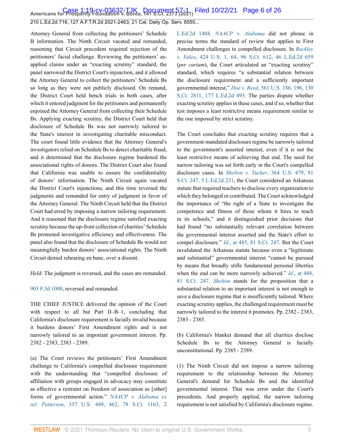**Case 1:19-cv-03632-TJK Document 57-1 Filed 10/22/21 Page 6 of 26**<br>Americans for Prosperity Foundation v. Bonta, 141 S.Ct. 2373 (2021) Filed 10/22/21 Page 6 of 26

210 L.Ed.2d 716, 127 A.F.T.R.2d 2021-2463, 21 Cal. Daily Op. Serv. 6555...

Attorney General from collecting the petitioners' Schedule B information. The Ninth Circuit vacated and remanded, reasoning that Circuit precedent required rejection of the petitioners' facial challenge. Reviewing the petitioners' asapplied claims under an "exacting scrutiny" standard, the panel narrowed the District Court's injunction, and it allowed the Attorney General to collect the petitioners' Schedule Bs so long as they were not publicly disclosed. On remand, the District Court held bench trials in both cases, after which it entered judgment for the petitioners and permanently enjoined the Attorney General from collecting their Schedule Bs. Applying exacting scrutiny, the District Court held that disclosure of Schedule Bs was not narrowly tailored to the State's interest in investigating charitable misconduct. The court found little evidence that the Attorney General's investigators relied on Schedule Bs to detect charitable fraud, and it determined that the disclosure regime burdened the associational rights of donors. The District Court also found that California was unable to ensure the confidentiality of donors' information. The Ninth Circuit again vacated the District Court's injunctions, and this time reversed the judgments and remanded for entry of judgment in favor of the Attorney General. The Ninth Circuit held that the District Court had erred by imposing a narrow tailoring requirement. And it reasoned that the disclosure regime satisfied exacting scrutiny because the up-front collection of charities' Schedule Bs promoted investigative efficiency and effectiveness. The panel also found that the disclosure of Schedule Bs would not meaningfully burden donors' associational rights. The Ninth Circuit denied rehearing en banc, over a dissent.

*Held*: The judgment is reversed, and the cases are remanded.

[903 F.3d 1000](http://www.westlaw.com/Link/Document/FullText?findType=Y&serNum=2045472789&pubNum=0000506&originatingDoc=I7d565adeda6711eb850ac132f535d1eb&refType=RP&originationContext=document&vr=3.0&rs=cblt1.0&transitionType=DocumentItem&contextData=(sc.Default)), reversed and remanded.

THE CHIEF JUSTICE delivered the opinion of the Court with respect to all but Part II–B–1, concluding that California's disclosure requirement is facially invalid because it burdens donors' First Amendment rights and is not narrowly tailored to an important government interest. Pp. 2382 - 2383, 2383 - 2389.

(a) The Court reviews the petitioners' First Amendment challenge to California's compelled disclosure requirement with the understanding that "compelled disclosure of affiliation with groups engaged in advocacy may constitute as effective a restraint on freedom of association as [other] forms of governmental action." *[NAACP v. Alabama ex](http://www.westlaw.com/Link/Document/FullText?findType=Y&serNum=1958121466&pubNum=0000780&originatingDoc=I7d565adeda6711eb850ac132f535d1eb&refType=RP&fi=co_pp_sp_780_462&originationContext=document&vr=3.0&rs=cblt1.0&transitionType=DocumentItem&contextData=(sc.Default)#co_pp_sp_780_462) rel. Patterson*[, 357 U.S. 449, 462, 78 S.Ct. 1163, 2](http://www.westlaw.com/Link/Document/FullText?findType=Y&serNum=1958121466&pubNum=0000780&originatingDoc=I7d565adeda6711eb850ac132f535d1eb&refType=RP&fi=co_pp_sp_780_462&originationContext=document&vr=3.0&rs=cblt1.0&transitionType=DocumentItem&contextData=(sc.Default)#co_pp_sp_780_462)

[L.Ed.2d 1488.](http://www.westlaw.com/Link/Document/FullText?findType=Y&serNum=1958121466&pubNum=0000780&originatingDoc=I7d565adeda6711eb850ac132f535d1eb&refType=RP&fi=co_pp_sp_780_462&originationContext=document&vr=3.0&rs=cblt1.0&transitionType=DocumentItem&contextData=(sc.Default)#co_pp_sp_780_462) *NAACP* v. *[Alabama](http://www.westlaw.com/Link/Document/FullText?findType=Y&serNum=1958121466&pubNum=0000780&originatingDoc=I7d565adeda6711eb850ac132f535d1eb&refType=RP&originationContext=document&vr=3.0&rs=cblt1.0&transitionType=DocumentItem&contextData=(sc.Default))* did not phrase in precise terms the standard of review that applies to First Amendment challenges to compelled disclosure. In *[Buckley](http://www.westlaw.com/Link/Document/FullText?findType=Y&serNum=1976142308&pubNum=0000780&originatingDoc=I7d565adeda6711eb850ac132f535d1eb&refType=RP&fi=co_pp_sp_780_64&originationContext=document&vr=3.0&rs=cblt1.0&transitionType=DocumentItem&contextData=(sc.Default)#co_pp_sp_780_64) v. Valeo*[, 424 U.S. 1, 64, 96 S.Ct. 612, 46 L.Ed.2d 659](http://www.westlaw.com/Link/Document/FullText?findType=Y&serNum=1976142308&pubNum=0000780&originatingDoc=I7d565adeda6711eb850ac132f535d1eb&refType=RP&fi=co_pp_sp_780_64&originationContext=document&vr=3.0&rs=cblt1.0&transitionType=DocumentItem&contextData=(sc.Default)#co_pp_sp_780_64) (*per curiam*), the Court articulated an "exacting scrutiny" standard, which requires "a substantial relation between the disclosure requirement and a sufficiently important governmental interest," *Doe v. Reed*[, 561 U.S. 186, 196, 130](http://www.westlaw.com/Link/Document/FullText?findType=Y&serNum=2022366335&pubNum=0000780&originatingDoc=I7d565adeda6711eb850ac132f535d1eb&refType=RP&fi=co_pp_sp_780_196&originationContext=document&vr=3.0&rs=cblt1.0&transitionType=DocumentItem&contextData=(sc.Default)#co_pp_sp_780_196) [S.Ct. 2811, 177 L.Ed.2d 493.](http://www.westlaw.com/Link/Document/FullText?findType=Y&serNum=2022366335&pubNum=0000780&originatingDoc=I7d565adeda6711eb850ac132f535d1eb&refType=RP&fi=co_pp_sp_780_196&originationContext=document&vr=3.0&rs=cblt1.0&transitionType=DocumentItem&contextData=(sc.Default)#co_pp_sp_780_196) The parties dispute whether exacting scrutiny applies in these cases, and if so, whether that test imposes a least restrictive means requirement similar to the one imposed by strict scrutiny.

The Court concludes that exacting scrutiny requires that a government-mandated disclosure regime be narrowly tailored to the government's asserted interest, even if it is not the least restrictive means of achieving that end. The need for narrow tailoring was set forth early in the Court's compelled disclosure cases. In *Shelton v. Tucker*[, 364 U.S. 479, 81](http://www.westlaw.com/Link/Document/FullText?findType=Y&serNum=1960122601&pubNum=0000708&originatingDoc=I7d565adeda6711eb850ac132f535d1eb&refType=RP&originationContext=document&vr=3.0&rs=cblt1.0&transitionType=DocumentItem&contextData=(sc.Default)) [S.Ct. 247, 5 L.Ed.2d 231](http://www.westlaw.com/Link/Document/FullText?findType=Y&serNum=1960122601&pubNum=0000708&originatingDoc=I7d565adeda6711eb850ac132f535d1eb&refType=RP&originationContext=document&vr=3.0&rs=cblt1.0&transitionType=DocumentItem&contextData=(sc.Default)), the Court considered an Arkansas statute that required teachers to disclose every organization to which they belonged or contributed. The Court acknowledged the importance of "the right of a State to investigate the competence and fitness of those whom it hires to teach in its schools," and it distinguished prior decisions that had found "no substantially relevant correlation between the governmental interest asserted and the State's effort to compel disclosure." *Id*[., at 485, 81 S.Ct. 247.](http://www.westlaw.com/Link/Document/FullText?findType=Y&serNum=1960122601&pubNum=0000708&originatingDoc=I7d565adeda6711eb850ac132f535d1eb&refType=RP&originationContext=document&vr=3.0&rs=cblt1.0&transitionType=DocumentItem&contextData=(sc.Default)) But the Court invalidated the Arkansas statute because even a "legitimate and substantial" governmental interest "cannot be pursued by means that broadly stifle fundamental personal liberties when the end can be more narrowly achieved." *Id*[., at 488,](http://www.westlaw.com/Link/Document/FullText?findType=Y&serNum=1960122601&pubNum=0000708&originatingDoc=I7d565adeda6711eb850ac132f535d1eb&refType=RP&originationContext=document&vr=3.0&rs=cblt1.0&transitionType=DocumentItem&contextData=(sc.Default)) [81 S.Ct. 247](http://www.westlaw.com/Link/Document/FullText?findType=Y&serNum=1960122601&pubNum=0000708&originatingDoc=I7d565adeda6711eb850ac132f535d1eb&refType=RP&originationContext=document&vr=3.0&rs=cblt1.0&transitionType=DocumentItem&contextData=(sc.Default)). *[Shelton](http://www.westlaw.com/Link/Document/FullText?findType=Y&serNum=1960122601&pubNum=0000780&originatingDoc=I7d565adeda6711eb850ac132f535d1eb&refType=RP&originationContext=document&vr=3.0&rs=cblt1.0&transitionType=DocumentItem&contextData=(sc.Default))* stands for the proposition that a substantial relation to an important interest is not enough to save a disclosure regime that is insufficiently tailored. Where exacting scrutiny applies, the challenged requirement must be narrowly tailored to the interest it promotes. Pp. 2382 - 2383, 2383 - 2385.

(b) California's blanket demand that all charities disclose Schedule Bs to the Attorney General is facially unconstitutional. Pp. 2385 - 2389.

(1) The Ninth Circuit did not impose a narrow tailoring requirement to the relationship between the Attorney General's demand for Schedule Bs and the identified governmental interest. That was error under the Court's precedents. And properly applied, the narrow tailoring requirement is not satisfied by California's disclosure regime.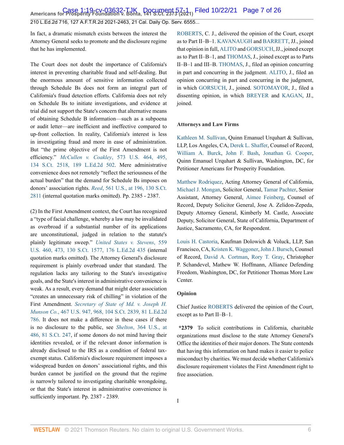**Case 1:19-cv-03632-TJK Document 57-1 Filed 10/22/21 Page 7 of 26**<br>Americans for Prosperity Foundation v. Bonta, 141 S.Ct. 2373 (2021) Filed 10/22/21 Page 7 of 26

210 L.Ed.2d 716, 127 A.F.T.R.2d 2021-2463, 21 Cal. Daily Op. Serv. 6555...

In fact, a dramatic mismatch exists between the interest the Attorney General seeks to promote and the disclosure regime that he has implemented.

The Court does not doubt the importance of California's interest in preventing charitable fraud and self-dealing. But the enormous amount of sensitive information collected through Schedule Bs does not form an integral part of California's fraud detection efforts. California does not rely on Schedule Bs to initiate investigations, and evidence at trial did not support the State's concern that alternative means of obtaining Schedule B information—such as a subpoena or audit letter—are inefficient and ineffective compared to up-front collection. In reality, California's interest is less in investigating fraud and more in ease of administration. But "the prime objective of the First Amendment is not efficiency." *McCullen v. Coakley*[, 573 U.S. 464, 495,](http://www.westlaw.com/Link/Document/FullText?findType=Y&serNum=2033678859&pubNum=0000780&originatingDoc=I7d565adeda6711eb850ac132f535d1eb&refType=RP&fi=co_pp_sp_780_495&originationContext=document&vr=3.0&rs=cblt1.0&transitionType=DocumentItem&contextData=(sc.Default)#co_pp_sp_780_495) [134 S.Ct. 2518, 189 L.Ed.2d 502](http://www.westlaw.com/Link/Document/FullText?findType=Y&serNum=2033678859&pubNum=0000780&originatingDoc=I7d565adeda6711eb850ac132f535d1eb&refType=RP&fi=co_pp_sp_780_495&originationContext=document&vr=3.0&rs=cblt1.0&transitionType=DocumentItem&contextData=(sc.Default)#co_pp_sp_780_495). Mere administrative convenience does not remotely "reflect the seriousness of the actual burden" that the demand for Schedule Bs imposes on donors' association rights. *Reed*[, 561 U.S., at 196, 130 S.Ct.](http://www.westlaw.com/Link/Document/FullText?findType=Y&serNum=2022366335&pubNum=0000780&originatingDoc=I7d565adeda6711eb850ac132f535d1eb&refType=RP&fi=co_pp_sp_780_196&originationContext=document&vr=3.0&rs=cblt1.0&transitionType=DocumentItem&contextData=(sc.Default)#co_pp_sp_780_196) [2811](http://www.westlaw.com/Link/Document/FullText?findType=Y&serNum=2022366335&pubNum=0000780&originatingDoc=I7d565adeda6711eb850ac132f535d1eb&refType=RP&fi=co_pp_sp_780_196&originationContext=document&vr=3.0&rs=cblt1.0&transitionType=DocumentItem&contextData=(sc.Default)#co_pp_sp_780_196) (internal quotation marks omitted). Pp. 2385 - 2387.

(2) In the First Amendment context, the Court has recognized a "type of facial challenge, whereby a law may be invalidated as overbroad if a substantial number of its applications are unconstitutional, judged in relation to the statute's plainly legitimate sweep." *[United States v. Stevens](http://www.westlaw.com/Link/Document/FullText?findType=Y&serNum=2021786171&pubNum=0000780&originatingDoc=I7d565adeda6711eb850ac132f535d1eb&refType=RP&fi=co_pp_sp_780_473&originationContext=document&vr=3.0&rs=cblt1.0&transitionType=DocumentItem&contextData=(sc.Default)#co_pp_sp_780_473)*, 559 [U.S. 460, 473, 130 S.Ct. 1577, 176 L.Ed.2d 435](http://www.westlaw.com/Link/Document/FullText?findType=Y&serNum=2021786171&pubNum=0000780&originatingDoc=I7d565adeda6711eb850ac132f535d1eb&refType=RP&fi=co_pp_sp_780_473&originationContext=document&vr=3.0&rs=cblt1.0&transitionType=DocumentItem&contextData=(sc.Default)#co_pp_sp_780_473) (internal quotation marks omitted). The Attorney General's disclosure requirement is plainly overbroad under that standard. The regulation lacks any tailoring to the State's investigative goals, and the State's interest in administrative convenience is weak. As a result, every demand that might deter association "creates an unnecessary risk of chilling" in violation of the First Amendment. *[Secretary of State of Md. v. Joseph H.](http://www.westlaw.com/Link/Document/FullText?findType=Y&serNum=1984130891&pubNum=0000780&originatingDoc=I7d565adeda6711eb850ac132f535d1eb&refType=RP&fi=co_pp_sp_780_968&originationContext=document&vr=3.0&rs=cblt1.0&transitionType=DocumentItem&contextData=(sc.Default)#co_pp_sp_780_968) Munson Co.*[, 467 U.S. 947, 968, 104 S.Ct. 2839, 81 L.Ed.2d](http://www.westlaw.com/Link/Document/FullText?findType=Y&serNum=1984130891&pubNum=0000780&originatingDoc=I7d565adeda6711eb850ac132f535d1eb&refType=RP&fi=co_pp_sp_780_968&originationContext=document&vr=3.0&rs=cblt1.0&transitionType=DocumentItem&contextData=(sc.Default)#co_pp_sp_780_968) [786](http://www.westlaw.com/Link/Document/FullText?findType=Y&serNum=1984130891&pubNum=0000780&originatingDoc=I7d565adeda6711eb850ac132f535d1eb&refType=RP&fi=co_pp_sp_780_968&originationContext=document&vr=3.0&rs=cblt1.0&transitionType=DocumentItem&contextData=(sc.Default)#co_pp_sp_780_968). It does not make a difference in these cases if there is no disclosure to the public, see *Shelton*[, 364 U.S., at](http://www.westlaw.com/Link/Document/FullText?findType=Y&serNum=1960122601&pubNum=0000780&originatingDoc=I7d565adeda6711eb850ac132f535d1eb&refType=RP&fi=co_pp_sp_780_486&originationContext=document&vr=3.0&rs=cblt1.0&transitionType=DocumentItem&contextData=(sc.Default)#co_pp_sp_780_486) [486, 81 S.Ct. 247,](http://www.westlaw.com/Link/Document/FullText?findType=Y&serNum=1960122601&pubNum=0000780&originatingDoc=I7d565adeda6711eb850ac132f535d1eb&refType=RP&fi=co_pp_sp_780_486&originationContext=document&vr=3.0&rs=cblt1.0&transitionType=DocumentItem&contextData=(sc.Default)#co_pp_sp_780_486) if some donors do not mind having their identities revealed, or if the relevant donor information is already disclosed to the IRS as a condition of federal taxexempt status. California's disclosure requirement imposes a widespread burden on donors' associational rights, and this burden cannot be justified on the ground that the regime is narrowly tailored to investigating charitable wrongdoing, or that the State's interest in administrative convenience is sufficiently important. Pp. 2387 - 2389.

[ROBERTS](http://www.westlaw.com/Link/Document/FullText?findType=h&pubNum=176284&cite=0258116001&originatingDoc=I7d565adeda6711eb850ac132f535d1eb&refType=RQ&originationContext=document&vr=3.0&rs=cblt1.0&transitionType=DocumentItem&contextData=(sc.Default)), C. J., delivered the opinion of the Court, except as to Part II–B–1. [KAVANAUGH](http://www.westlaw.com/Link/Document/FullText?findType=h&pubNum=176284&cite=0364335801&originatingDoc=I7d565adeda6711eb850ac132f535d1eb&refType=RQ&originationContext=document&vr=3.0&rs=cblt1.0&transitionType=DocumentItem&contextData=(sc.Default)) and [BARRETT](http://www.westlaw.com/Link/Document/FullText?findType=h&pubNum=176284&cite=0505709001&originatingDoc=I7d565adeda6711eb850ac132f535d1eb&refType=RQ&originationContext=document&vr=3.0&rs=cblt1.0&transitionType=DocumentItem&contextData=(sc.Default)), JJ., joined that opinion in full, [ALITO](http://www.westlaw.com/Link/Document/FullText?findType=h&pubNum=176284&cite=0153052401&originatingDoc=I7d565adeda6711eb850ac132f535d1eb&refType=RQ&originationContext=document&vr=3.0&rs=cblt1.0&transitionType=DocumentItem&contextData=(sc.Default)) and [GORSUCH,](http://www.westlaw.com/Link/Document/FullText?findType=h&pubNum=176284&cite=0183411701&originatingDoc=I7d565adeda6711eb850ac132f535d1eb&refType=RQ&originationContext=document&vr=3.0&rs=cblt1.0&transitionType=DocumentItem&contextData=(sc.Default)) JJ., joined except as to Part II–B–1, and [THOMAS,](http://www.westlaw.com/Link/Document/FullText?findType=h&pubNum=176284&cite=0216654601&originatingDoc=I7d565adeda6711eb850ac132f535d1eb&refType=RQ&originationContext=document&vr=3.0&rs=cblt1.0&transitionType=DocumentItem&contextData=(sc.Default)) J., joined except as to Parts II–B–1 and III–B. [THOMAS,](http://www.westlaw.com/Link/Document/FullText?findType=h&pubNum=176284&cite=0216654601&originatingDoc=I7d565adeda6711eb850ac132f535d1eb&refType=RQ&originationContext=document&vr=3.0&rs=cblt1.0&transitionType=DocumentItem&contextData=(sc.Default)) J., filed an opinion concurring in part and concurring in the judgment. [ALITO](http://www.westlaw.com/Link/Document/FullText?findType=h&pubNum=176284&cite=0153052401&originatingDoc=I7d565adeda6711eb850ac132f535d1eb&refType=RQ&originationContext=document&vr=3.0&rs=cblt1.0&transitionType=DocumentItem&contextData=(sc.Default)), J., filed an opinion concurring in part and concurring in the judgment, in which [GORSUCH,](http://www.westlaw.com/Link/Document/FullText?findType=h&pubNum=176284&cite=0183411701&originatingDoc=I7d565adeda6711eb850ac132f535d1eb&refType=RQ&originationContext=document&vr=3.0&rs=cblt1.0&transitionType=DocumentItem&contextData=(sc.Default)) J., joined. [SOTOMAYOR](http://www.westlaw.com/Link/Document/FullText?findType=h&pubNum=176284&cite=0145172701&originatingDoc=I7d565adeda6711eb850ac132f535d1eb&refType=RQ&originationContext=document&vr=3.0&rs=cblt1.0&transitionType=DocumentItem&contextData=(sc.Default)), J., filed a dissenting opinion, in which [BREYER](http://www.westlaw.com/Link/Document/FullText?findType=h&pubNum=176284&cite=0254766801&originatingDoc=I7d565adeda6711eb850ac132f535d1eb&refType=RQ&originationContext=document&vr=3.0&rs=cblt1.0&transitionType=DocumentItem&contextData=(sc.Default)) and [KAGAN](http://www.westlaw.com/Link/Document/FullText?findType=h&pubNum=176284&cite=0301239401&originatingDoc=I7d565adeda6711eb850ac132f535d1eb&refType=RQ&originationContext=document&vr=3.0&rs=cblt1.0&transitionType=DocumentItem&contextData=(sc.Default)), JJ., joined.

#### **Attorneys and Law Firms**

[Kathleen M. Sullivan](http://www.westlaw.com/Link/Document/FullText?findType=h&pubNum=176284&cite=0358716601&originatingDoc=I7d565adeda6711eb850ac132f535d1eb&refType=RQ&originationContext=document&vr=3.0&rs=cblt1.0&transitionType=DocumentItem&contextData=(sc.Default)), Quinn Emanuel Urquhart & Sullivan, LLP, Los Angeles, CA, [Derek L. Shaffer](http://www.westlaw.com/Link/Document/FullText?findType=h&pubNum=176284&cite=0338496501&originatingDoc=I7d565adeda6711eb850ac132f535d1eb&refType=RQ&originationContext=document&vr=3.0&rs=cblt1.0&transitionType=DocumentItem&contextData=(sc.Default)), Counsel of Record, [William A. Burck,](http://www.westlaw.com/Link/Document/FullText?findType=h&pubNum=176284&cite=0333547801&originatingDoc=I7d565adeda6711eb850ac132f535d1eb&refType=RQ&originationContext=document&vr=3.0&rs=cblt1.0&transitionType=DocumentItem&contextData=(sc.Default)) [John F. Bash](http://www.westlaw.com/Link/Document/FullText?findType=h&pubNum=176284&cite=0427510601&originatingDoc=I7d565adeda6711eb850ac132f535d1eb&refType=RQ&originationContext=document&vr=3.0&rs=cblt1.0&transitionType=DocumentItem&contextData=(sc.Default)), [Jonathan G. Cooper](http://www.westlaw.com/Link/Document/FullText?findType=h&pubNum=176284&cite=0485547801&originatingDoc=I7d565adeda6711eb850ac132f535d1eb&refType=RQ&originationContext=document&vr=3.0&rs=cblt1.0&transitionType=DocumentItem&contextData=(sc.Default)), Quinn Emanuel Urquhart & Sullivan, Washington, DC, for Petitioner Americans for Prosperity Foundation.

[Matthew Rodriquez](http://www.westlaw.com/Link/Document/FullText?findType=h&pubNum=176284&cite=0258523401&originatingDoc=I7d565adeda6711eb850ac132f535d1eb&refType=RQ&originationContext=document&vr=3.0&rs=cblt1.0&transitionType=DocumentItem&contextData=(sc.Default)), Acting Attorney General of California, [Michael J. Mongan,](http://www.westlaw.com/Link/Document/FullText?findType=h&pubNum=176284&cite=0436896701&originatingDoc=I7d565adeda6711eb850ac132f535d1eb&refType=RQ&originationContext=document&vr=3.0&rs=cblt1.0&transitionType=DocumentItem&contextData=(sc.Default)) Solicitor General, [Tamar Pachter](http://www.westlaw.com/Link/Document/FullText?findType=h&pubNum=176284&cite=0294092901&originatingDoc=I7d565adeda6711eb850ac132f535d1eb&refType=RQ&originationContext=document&vr=3.0&rs=cblt1.0&transitionType=DocumentItem&contextData=(sc.Default)), Senior Assistant, Attorney General, [Aimee Feinberg,](http://www.westlaw.com/Link/Document/FullText?findType=h&pubNum=176284&cite=0307673801&originatingDoc=I7d565adeda6711eb850ac132f535d1eb&refType=RQ&originationContext=document&vr=3.0&rs=cblt1.0&transitionType=DocumentItem&contextData=(sc.Default)) Counsel of Record, Deputy Solicitor General, Jose A. Zelidon-Zepeda, Deputy Attorney General, Kimberly M. Castle, Associate Deputy, Solicitor General, State of California, Department of Justice, Sacramento, CA, for Respondent.

[Louis H. Castoria](http://www.westlaw.com/Link/Document/FullText?findType=h&pubNum=176284&cite=0161803201&originatingDoc=I7d565adeda6711eb850ac132f535d1eb&refType=RQ&originationContext=document&vr=3.0&rs=cblt1.0&transitionType=DocumentItem&contextData=(sc.Default)), Kaufman Dolowich & Voluck, LLP, San Francisco, CA, [Kristen K. Waggoner,](http://www.westlaw.com/Link/Document/FullText?findType=h&pubNum=176284&cite=0305911401&originatingDoc=I7d565adeda6711eb850ac132f535d1eb&refType=RQ&originationContext=document&vr=3.0&rs=cblt1.0&transitionType=DocumentItem&contextData=(sc.Default)) [John J. Bursch](http://www.westlaw.com/Link/Document/FullText?findType=h&pubNum=176284&cite=0248066101&originatingDoc=I7d565adeda6711eb850ac132f535d1eb&refType=RQ&originationContext=document&vr=3.0&rs=cblt1.0&transitionType=DocumentItem&contextData=(sc.Default)), Counsel of Record, [David A. Cortman,](http://www.westlaw.com/Link/Document/FullText?findType=h&pubNum=176284&cite=0287690201&originatingDoc=I7d565adeda6711eb850ac132f535d1eb&refType=RQ&originationContext=document&vr=3.0&rs=cblt1.0&transitionType=DocumentItem&contextData=(sc.Default)) [Rory T. Gray](http://www.westlaw.com/Link/Document/FullText?findType=h&pubNum=176284&cite=0496685101&originatingDoc=I7d565adeda6711eb850ac132f535d1eb&refType=RQ&originationContext=document&vr=3.0&rs=cblt1.0&transitionType=DocumentItem&contextData=(sc.Default)), Christopher P. Schandevel, Mathew W. Hoffmann, Alliance Defending Freedom, Washington, DC, for Petitioner Thomas More Law Center.

#### **Opinion**

Chief Justice [ROBERTS](http://www.westlaw.com/Link/Document/FullText?findType=h&pubNum=176284&cite=0258116001&originatingDoc=I7d565adeda6711eb850ac132f535d1eb&refType=RQ&originationContext=document&vr=3.0&rs=cblt1.0&transitionType=DocumentItem&contextData=(sc.Default)) delivered the opinion of the Court, except as to Part II–B–1.

**\*2379** To solicit contributions in California, charitable organizations must disclose to the state Attorney General's Office the identities of their major donors. The State contends that having this information on hand makes it easier to police misconduct by charities. We must decide whether California's disclosure requirement violates the First Amendment right to free association.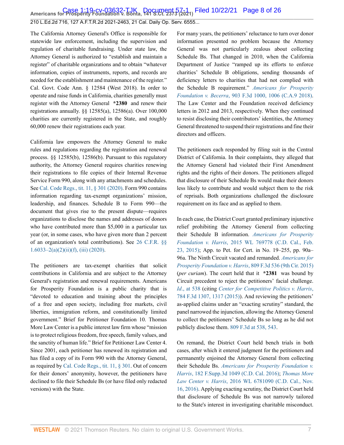**Case 1:19-cv-03632-TJK Document 57-1 Filed 10/22/21 Page 8 of 26**<br>Americans for Prosperity Foundation v. Bonta, 141 S.Ct. 2373 (2021) Filed 10/22/21 Page 8 of 26

210 L.Ed.2d 716, 127 A.F.T.R.2d 2021-2463, 21 Cal. Daily Op. Serv. 6555...

The California Attorney General's Office is responsible for statewide law enforcement, including the supervision and regulation of charitable fundraising. Under state law, the Attorney General is authorized to "establish and maintain a register" of charitable organizations and to obtain "whatever information, copies of instruments, reports, and records are needed for the establishment and maintenance of the register." Cal. Govt. Code Ann. § 12584 (West 2018). In order to operate and raise funds in California, charities generally must register with the Attorney General **\*2380** and renew their registrations annually. §§ 12585(a), 12586(a). Over 100,000 charities are currently registered in the State, and roughly 60,000 renew their registrations each year.

California law empowers the Attorney General to make rules and regulations regarding the registration and renewal process. §§ 12585(b), 12586(b). Pursuant to this regulatory authority, the Attorney General requires charities renewing their registrations to file copies of their Internal Revenue Service Form 990, along with any attachments and schedules. See [Cal. Code Regs., tit. 11, § 301 \(2020\).](http://www.westlaw.com/Link/Document/FullText?findType=L&pubNum=1000937&cite=11CAADCS301&originatingDoc=I7d565adeda6711eb850ac132f535d1eb&refType=LQ&originationContext=document&vr=3.0&rs=cblt1.0&transitionType=DocumentItem&contextData=(sc.Default)) Form 990 contains information regarding tax-exempt organizations' mission, leadership, and finances. Schedule B to Form 990—the document that gives rise to the present dispute—requires organizations to disclose the names and addresses of donors who have contributed more than \$5,000 in a particular tax year (or, in some cases, who have given more than 2 percent of an organization's total contributions). See [26 C.F.R. §§](http://www.westlaw.com/Link/Document/FullText?findType=L&pubNum=1000547&cite=26CFRS1.6033-2&originatingDoc=I7d565adeda6711eb850ac132f535d1eb&refType=RB&originationContext=document&vr=3.0&rs=cblt1.0&transitionType=DocumentItem&contextData=(sc.Default)#co_pp_7ac90000f47f3) [1.6033–2\(a\)\(2\)\(ii\)\(f\), \(iii\) \(2020\).](http://www.westlaw.com/Link/Document/FullText?findType=L&pubNum=1000547&cite=26CFRS1.6033-2&originatingDoc=I7d565adeda6711eb850ac132f535d1eb&refType=RB&originationContext=document&vr=3.0&rs=cblt1.0&transitionType=DocumentItem&contextData=(sc.Default)#co_pp_7ac90000f47f3)

The petitioners are tax-exempt charities that solicit contributions in California and are subject to the Attorney General's registration and renewal requirements. Americans for Prosperity Foundation is a public charity that is "devoted to education and training about the principles of a free and open society, including free markets, civil liberties, immigration reform, and constitutionally limited government." Brief for Petitioner Foundation 10. Thomas More Law Center is a public interest law firm whose "mission is to protect religious freedom, free speech, family values, and the sanctity of human life." Brief for Petitioner Law Center 4. Since 2001, each petitioner has renewed its registration and has filed a copy of its Form 990 with the Attorney General, as required by [Cal. Code Regs., tit. 11, § 301](http://www.westlaw.com/Link/Document/FullText?findType=L&pubNum=1000937&cite=11CAADCS301&originatingDoc=I7d565adeda6711eb850ac132f535d1eb&refType=LQ&originationContext=document&vr=3.0&rs=cblt1.0&transitionType=DocumentItem&contextData=(sc.Default)). Out of concern for their donors' anonymity, however, the petitioners have declined to file their Schedule Bs (or have filed only redacted versions) with the State.

For many years, the petitioners' reluctance to turn over donor information presented no problem because the Attorney General was not particularly zealous about collecting Schedule Bs. That changed in 2010, when the California Department of Justice "ramped up its efforts to enforce charities' Schedule B obligations, sending thousands of deficiency letters to charities that had not complied with the Schedule B requirement." *[Americans for Prosperity](http://www.westlaw.com/Link/Document/FullText?findType=Y&serNum=2045472789&pubNum=0000506&originatingDoc=I7d565adeda6711eb850ac132f535d1eb&refType=RP&fi=co_pp_sp_506_1006&originationContext=document&vr=3.0&rs=cblt1.0&transitionType=DocumentItem&contextData=(sc.Default)#co_pp_sp_506_1006) Foundation v. Becerra*[, 903 F.3d 1000, 1006 \(C.A.9 2018\).](http://www.westlaw.com/Link/Document/FullText?findType=Y&serNum=2045472789&pubNum=0000506&originatingDoc=I7d565adeda6711eb850ac132f535d1eb&refType=RP&fi=co_pp_sp_506_1006&originationContext=document&vr=3.0&rs=cblt1.0&transitionType=DocumentItem&contextData=(sc.Default)#co_pp_sp_506_1006) The Law Center and the Foundation received deficiency letters in 2012 and 2013, respectively. When they continued to resist disclosing their contributors' identities, the Attorney General threatened to suspend their registrations and fine their directors and officers.

The petitioners each responded by filing suit in the Central District of California. In their complaints, they alleged that the Attorney General had violated their First Amendment rights and the rights of their donors. The petitioners alleged that disclosure of their Schedule Bs would make their donors less likely to contribute and would subject them to the risk of reprisals. Both organizations challenged the disclosure requirement on its face and as applied to them.

In each case, the District Court granted preliminary injunctive relief prohibiting the Attorney General from collecting their Schedule B information. *[Americans for Prosperity](http://www.westlaw.com/Link/Document/FullText?findType=Y&serNum=2035496447&pubNum=0000999&originatingDoc=I7d565adeda6711eb850ac132f535d1eb&refType=RP&originationContext=document&vr=3.0&rs=cblt1.0&transitionType=DocumentItem&contextData=(sc.Default)) Foundation v. Harris*[, 2015 WL 769778 \(C.D. Cal., Feb.](http://www.westlaw.com/Link/Document/FullText?findType=Y&serNum=2035496447&pubNum=0000999&originatingDoc=I7d565adeda6711eb850ac132f535d1eb&refType=RP&originationContext=document&vr=3.0&rs=cblt1.0&transitionType=DocumentItem&contextData=(sc.Default)) [23, 2015\);](http://www.westlaw.com/Link/Document/FullText?findType=Y&serNum=2035496447&pubNum=0000999&originatingDoc=I7d565adeda6711eb850ac132f535d1eb&refType=RP&originationContext=document&vr=3.0&rs=cblt1.0&transitionType=DocumentItem&contextData=(sc.Default)) App. to Pet. for Cert. in No. 19–255, pp. 90a– 96a. The Ninth Circuit vacated and remanded. *[Americans for](http://www.westlaw.com/Link/Document/FullText?findType=Y&serNum=2037906530&pubNum=0000506&originatingDoc=I7d565adeda6711eb850ac132f535d1eb&refType=RP&originationContext=document&vr=3.0&rs=cblt1.0&transitionType=DocumentItem&contextData=(sc.Default)) [Prosperity Foundation v. Harris](http://www.westlaw.com/Link/Document/FullText?findType=Y&serNum=2037906530&pubNum=0000506&originatingDoc=I7d565adeda6711eb850ac132f535d1eb&refType=RP&originationContext=document&vr=3.0&rs=cblt1.0&transitionType=DocumentItem&contextData=(sc.Default))*, 809 F.3d 536 (9th Cir. 2015) (*per curiam*). The court held that it **\*2381** was bound by Circuit precedent to reject the petitioners' facial challenge. *Id*[., at 538](http://www.westlaw.com/Link/Document/FullText?findType=Y&serNum=2037906530&pubNum=0000506&originatingDoc=I7d565adeda6711eb850ac132f535d1eb&refType=RP&fi=co_pp_sp_506_538&originationContext=document&vr=3.0&rs=cblt1.0&transitionType=DocumentItem&contextData=(sc.Default)#co_pp_sp_506_538) (citing *[Center for Competitive Politics v. Harris](http://www.westlaw.com/Link/Document/FullText?findType=Y&serNum=2036181775&pubNum=0000506&originatingDoc=I7d565adeda6711eb850ac132f535d1eb&refType=RP&fi=co_pp_sp_506_1317&originationContext=document&vr=3.0&rs=cblt1.0&transitionType=DocumentItem&contextData=(sc.Default)#co_pp_sp_506_1317)*, [784 F.3d 1307, 1317 \(2015\)\)](http://www.westlaw.com/Link/Document/FullText?findType=Y&serNum=2036181775&pubNum=0000506&originatingDoc=I7d565adeda6711eb850ac132f535d1eb&refType=RP&fi=co_pp_sp_506_1317&originationContext=document&vr=3.0&rs=cblt1.0&transitionType=DocumentItem&contextData=(sc.Default)#co_pp_sp_506_1317). And reviewing the petitioners' as-applied claims under an "exacting scrutiny" standard, the panel narrowed the injunction, allowing the Attorney General to collect the petitioners' Schedule Bs so long as he did not publicly disclose them. [809 F.3d at 538, 543.](http://www.westlaw.com/Link/Document/FullText?findType=Y&serNum=2037906530&pubNum=0000506&originatingDoc=I7d565adeda6711eb850ac132f535d1eb&refType=RP&fi=co_pp_sp_506_538&originationContext=document&vr=3.0&rs=cblt1.0&transitionType=DocumentItem&contextData=(sc.Default)#co_pp_sp_506_538)

On remand, the District Court held bench trials in both cases, after which it entered judgment for the petitioners and permanently enjoined the Attorney General from collecting their Schedule Bs. *[Americans for Prosperity Foundation v.](http://www.westlaw.com/Link/Document/FullText?findType=Y&serNum=2038713386&pubNum=0007903&originatingDoc=I7d565adeda6711eb850ac132f535d1eb&refType=RP&originationContext=document&vr=3.0&rs=cblt1.0&transitionType=DocumentItem&contextData=(sc.Default)) Harris*[, 182 F.Supp.3d 1049 \(C.D. Cal. 2016\)](http://www.westlaw.com/Link/Document/FullText?findType=Y&serNum=2038713386&pubNum=0007903&originatingDoc=I7d565adeda6711eb850ac132f535d1eb&refType=RP&originationContext=document&vr=3.0&rs=cblt1.0&transitionType=DocumentItem&contextData=(sc.Default)); *[Thomas More](http://www.westlaw.com/Link/Document/FullText?findType=Y&serNum=2040318453&pubNum=0000999&originatingDoc=I7d565adeda6711eb850ac132f535d1eb&refType=RP&originationContext=document&vr=3.0&rs=cblt1.0&transitionType=DocumentItem&contextData=(sc.Default)) Law Center v. Harris*[, 2016 WL 6781090 \(C.D. Cal., Nov.](http://www.westlaw.com/Link/Document/FullText?findType=Y&serNum=2040318453&pubNum=0000999&originatingDoc=I7d565adeda6711eb850ac132f535d1eb&refType=RP&originationContext=document&vr=3.0&rs=cblt1.0&transitionType=DocumentItem&contextData=(sc.Default)) [16, 2016\).](http://www.westlaw.com/Link/Document/FullText?findType=Y&serNum=2040318453&pubNum=0000999&originatingDoc=I7d565adeda6711eb850ac132f535d1eb&refType=RP&originationContext=document&vr=3.0&rs=cblt1.0&transitionType=DocumentItem&contextData=(sc.Default)) Applying exacting scrutiny, the District Court held that disclosure of Schedule Bs was not narrowly tailored to the State's interest in investigating charitable misconduct.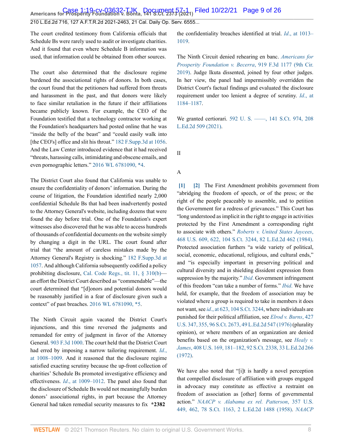**Case 1:19-cv-03632-TJK Document 57-1 Filed 10/22/21 Page 9 of 26**<br>Americans for Prosperity Foundation v. Bonta, 141 S.Ct. 2373 (2021) Filed 10/22/21 Page 9 of 26

210 L.Ed.2d 716, 127 A.F.T.R.2d 2021-2463, 21 Cal. Daily Op. Serv. 6555...

The court credited testimony from California officials that Schedule Bs were rarely used to audit or investigate charities. And it found that even where Schedule B information was used, that information could be obtained from other sources.

The court also determined that the disclosure regime burdened the associational rights of donors. In both cases, the court found that the petitioners had suffered from threats and harassment in the past, and that donors were likely to face similar retaliation in the future if their affiliations became publicly known. For example, the CEO of the Foundation testified that a technology contractor working at the Foundation's headquarters had posted online that he was "inside the belly of the beast" and "could easily walk into [the CEO's] office and slit his throat." [182 F.Supp.3d at 1056](http://www.westlaw.com/Link/Document/FullText?findType=Y&serNum=2038713386&pubNum=0007903&originatingDoc=I7d565adeda6711eb850ac132f535d1eb&refType=RP&fi=co_pp_sp_7903_1056&originationContext=document&vr=3.0&rs=cblt1.0&transitionType=DocumentItem&contextData=(sc.Default)#co_pp_sp_7903_1056). And the Law Center introduced evidence that it had received "threats, harassing calls, intimidating and obscene emails, and even pornographic letters." [2016 WL 6781090, \\*4.](http://www.westlaw.com/Link/Document/FullText?findType=Y&serNum=2040318453&pubNum=0000999&originatingDoc=I7d565adeda6711eb850ac132f535d1eb&refType=RP&originationContext=document&vr=3.0&rs=cblt1.0&transitionType=DocumentItem&contextData=(sc.Default))

The District Court also found that California was unable to ensure the confidentiality of donors' information. During the course of litigation, the Foundation identified nearly 2,000 confidential Schedule Bs that had been inadvertently posted to the Attorney General's website, including dozens that were found the day before trial. One of the Foundation's expert witnesses also discovered that he was able to access hundreds of thousands of confidential documents on the website simply by changing a digit in the URL. The court found after trial that "the amount of careless mistakes made by the Attorney General's Registry is shocking." [182 F.Supp.3d at](http://www.westlaw.com/Link/Document/FullText?findType=Y&serNum=2038713386&pubNum=0007903&originatingDoc=I7d565adeda6711eb850ac132f535d1eb&refType=RP&fi=co_pp_sp_7903_1057&originationContext=document&vr=3.0&rs=cblt1.0&transitionType=DocumentItem&contextData=(sc.Default)#co_pp_sp_7903_1057) [1057](http://www.westlaw.com/Link/Document/FullText?findType=Y&serNum=2038713386&pubNum=0007903&originatingDoc=I7d565adeda6711eb850ac132f535d1eb&refType=RP&fi=co_pp_sp_7903_1057&originationContext=document&vr=3.0&rs=cblt1.0&transitionType=DocumentItem&contextData=(sc.Default)#co_pp_sp_7903_1057). And although California subsequently codified a policy prohibiting disclosure, [Cal. Code Regs., tit. 11, § 310\(b\)](http://www.westlaw.com/Link/Document/FullText?findType=L&pubNum=1000937&cite=11CAADCS310&originatingDoc=I7d565adeda6711eb850ac132f535d1eb&refType=LQ&originationContext=document&vr=3.0&rs=cblt1.0&transitionType=DocumentItem&contextData=(sc.Default)) an effort the District Court described as "commendable"—the court determined that "[d]onors and potential donors would be reasonably justified in a fear of disclosure given such a context" of past breaches. [2016 WL 6781090, \\*5](http://www.westlaw.com/Link/Document/FullText?findType=Y&serNum=2040318453&pubNum=0000999&originatingDoc=I7d565adeda6711eb850ac132f535d1eb&refType=RP&originationContext=document&vr=3.0&rs=cblt1.0&transitionType=DocumentItem&contextData=(sc.Default)).

The Ninth Circuit again vacated the District Court's injunctions, and this time reversed the judgments and remanded for entry of judgment in favor of the Attorney General. [903 F.3d 1000.](http://www.westlaw.com/Link/Document/FullText?findType=Y&serNum=2045472789&pubNum=0000506&originatingDoc=I7d565adeda6711eb850ac132f535d1eb&refType=RP&originationContext=document&vr=3.0&rs=cblt1.0&transitionType=DocumentItem&contextData=(sc.Default)) The court held that the District Court had erred by imposing a narrow tailoring requirement. *[Id](http://www.westlaw.com/Link/Document/FullText?findType=Y&serNum=2045472789&pubNum=0000506&originatingDoc=I7d565adeda6711eb850ac132f535d1eb&refType=RP&fi=co_pp_sp_506_1008&originationContext=document&vr=3.0&rs=cblt1.0&transitionType=DocumentItem&contextData=(sc.Default)#co_pp_sp_506_1008)*., [at 1008–1009.](http://www.westlaw.com/Link/Document/FullText?findType=Y&serNum=2045472789&pubNum=0000506&originatingDoc=I7d565adeda6711eb850ac132f535d1eb&refType=RP&fi=co_pp_sp_506_1008&originationContext=document&vr=3.0&rs=cblt1.0&transitionType=DocumentItem&contextData=(sc.Default)#co_pp_sp_506_1008) And it reasoned that the disclosure regime satisfied exacting scrutiny because the up-front collection of charities' Schedule Bs promoted investigative efficiency and effectiveness. *Id*[., at 1009–1012.](http://www.westlaw.com/Link/Document/FullText?findType=Y&serNum=2045472789&pubNum=0000506&originatingDoc=I7d565adeda6711eb850ac132f535d1eb&refType=RP&fi=co_pp_sp_506_1009&originationContext=document&vr=3.0&rs=cblt1.0&transitionType=DocumentItem&contextData=(sc.Default)#co_pp_sp_506_1009) The panel also found that the disclosure of Schedule Bs would not meaningfully burden donors' associational rights, in part because the Attorney General had taken remedial security measures to fix **\*2382**

the confidentiality breaches identified at trial. *Id*[., at 1013–](http://www.westlaw.com/Link/Document/FullText?findType=Y&serNum=2045472789&pubNum=0000506&originatingDoc=I7d565adeda6711eb850ac132f535d1eb&refType=RP&fi=co_pp_sp_506_1013&originationContext=document&vr=3.0&rs=cblt1.0&transitionType=DocumentItem&contextData=(sc.Default)#co_pp_sp_506_1013) [1019](http://www.westlaw.com/Link/Document/FullText?findType=Y&serNum=2045472789&pubNum=0000506&originatingDoc=I7d565adeda6711eb850ac132f535d1eb&refType=RP&fi=co_pp_sp_506_1013&originationContext=document&vr=3.0&rs=cblt1.0&transitionType=DocumentItem&contextData=(sc.Default)#co_pp_sp_506_1013).

The Ninth Circuit denied rehearing en banc. *[Americans for](http://www.westlaw.com/Link/Document/FullText?findType=Y&serNum=2047888008&pubNum=0000506&originatingDoc=I7d565adeda6711eb850ac132f535d1eb&refType=RP&originationContext=document&vr=3.0&rs=cblt1.0&transitionType=DocumentItem&contextData=(sc.Default)) [Prosperity Foundation v. Becerra](http://www.westlaw.com/Link/Document/FullText?findType=Y&serNum=2047888008&pubNum=0000506&originatingDoc=I7d565adeda6711eb850ac132f535d1eb&refType=RP&originationContext=document&vr=3.0&rs=cblt1.0&transitionType=DocumentItem&contextData=(sc.Default))*, 919 F.3d 1177 (9th Cir. [2019\)](http://www.westlaw.com/Link/Document/FullText?findType=Y&serNum=2047888008&pubNum=0000506&originatingDoc=I7d565adeda6711eb850ac132f535d1eb&refType=RP&originationContext=document&vr=3.0&rs=cblt1.0&transitionType=DocumentItem&contextData=(sc.Default)). Judge Ikuta dissented, joined by four other judges. In her view, the panel had impermissibly overridden the District Court's factual findings and evaluated the disclosure requirement under too lenient a degree of scrutiny. *Id*[., at](http://www.westlaw.com/Link/Document/FullText?findType=Y&serNum=2047888008&pubNum=0000506&originatingDoc=I7d565adeda6711eb850ac132f535d1eb&refType=RP&fi=co_pp_sp_506_1184&originationContext=document&vr=3.0&rs=cblt1.0&transitionType=DocumentItem&contextData=(sc.Default)#co_pp_sp_506_1184) [1184–1187](http://www.westlaw.com/Link/Document/FullText?findType=Y&serNum=2047888008&pubNum=0000506&originatingDoc=I7d565adeda6711eb850ac132f535d1eb&refType=RP&fi=co_pp_sp_506_1184&originationContext=document&vr=3.0&rs=cblt1.0&transitionType=DocumentItem&contextData=(sc.Default)#co_pp_sp_506_1184).

We granted certiorari. 592 U. S. ——, 141 S.Ct. 974, 208 [L.Ed.2d 509 \(2021\).](http://www.westlaw.com/Link/Document/FullText?findType=Y&serNum=2052740033&pubNum=0000780&originatingDoc=I7d565adeda6711eb850ac132f535d1eb&refType=RP&originationContext=document&vr=3.0&rs=cblt1.0&transitionType=DocumentItem&contextData=(sc.Default))

II

## A

<span id="page-8-1"></span><span id="page-8-0"></span>**[\[1\]](#page-1-0) [\[2\]](#page-1-1)** The First Amendment prohibits government from "abridging the freedom of speech, or of the press; or the right of the people peaceably to assemble, and to petition the Government for a redress of grievances." This Court has "long understood as implicit in the right to engage in activities protected by the First Amendment a corresponding right to associate with others." *[Roberts v. United States Jaycees](http://www.westlaw.com/Link/Document/FullText?findType=Y&serNum=1984132349&pubNum=0000780&originatingDoc=I7d565adeda6711eb850ac132f535d1eb&refType=RP&fi=co_pp_sp_780_622&originationContext=document&vr=3.0&rs=cblt1.0&transitionType=DocumentItem&contextData=(sc.Default)#co_pp_sp_780_622)*, [468 U.S. 609, 622, 104 S.Ct. 3244, 82 L.Ed.2d 462 \(1984\).](http://www.westlaw.com/Link/Document/FullText?findType=Y&serNum=1984132349&pubNum=0000780&originatingDoc=I7d565adeda6711eb850ac132f535d1eb&refType=RP&fi=co_pp_sp_780_622&originationContext=document&vr=3.0&rs=cblt1.0&transitionType=DocumentItem&contextData=(sc.Default)#co_pp_sp_780_622) Protected association furthers "a wide variety of political, social, economic, educational, religious, and cultural ends," and "is especially important in preserving political and cultural diversity and in shielding dissident expression from suppression by the majority." *[Ibid](http://www.westlaw.com/Link/Document/FullText?findType=Y&serNum=1984132349&pubNum=0000780&originatingDoc=I7d565adeda6711eb850ac132f535d1eb&refType=RP&originationContext=document&vr=3.0&rs=cblt1.0&transitionType=DocumentItem&contextData=(sc.Default))*. Government infringement of this freedom "can take a number of forms." *[Ibid](http://www.westlaw.com/Link/Document/FullText?findType=Y&serNum=1984132349&pubNum=0000780&originatingDoc=I7d565adeda6711eb850ac132f535d1eb&refType=RP&originationContext=document&vr=3.0&rs=cblt1.0&transitionType=DocumentItem&contextData=(sc.Default))*. We have held, for example, that the freedom of association may be violated where a group is required to take in members it does not want, see *id*[., at 623, 104 S.Ct. 3244](http://www.westlaw.com/Link/Document/FullText?findType=Y&serNum=1984132349&pubNum=0000708&originatingDoc=I7d565adeda6711eb850ac132f535d1eb&refType=RP&originationContext=document&vr=3.0&rs=cblt1.0&transitionType=DocumentItem&contextData=(sc.Default)), where individuals are punished for their political affiliation, see *[Elrod v. Burns](http://www.westlaw.com/Link/Document/FullText?findType=Y&serNum=1976142433&pubNum=0000780&originatingDoc=I7d565adeda6711eb850ac132f535d1eb&refType=RP&fi=co_pp_sp_780_355&originationContext=document&vr=3.0&rs=cblt1.0&transitionType=DocumentItem&contextData=(sc.Default)#co_pp_sp_780_355)*, 427 [U.S. 347, 355, 96 S.Ct. 2673, 49 L.Ed.2d 547 \(1976\)](http://www.westlaw.com/Link/Document/FullText?findType=Y&serNum=1976142433&pubNum=0000780&originatingDoc=I7d565adeda6711eb850ac132f535d1eb&refType=RP&fi=co_pp_sp_780_355&originationContext=document&vr=3.0&rs=cblt1.0&transitionType=DocumentItem&contextData=(sc.Default)#co_pp_sp_780_355) (plurality opinion), or where members of an organization are denied benefits based on the organization's message, see *[Healy v.](http://www.westlaw.com/Link/Document/FullText?findType=Y&serNum=1972127178&pubNum=0000780&originatingDoc=I7d565adeda6711eb850ac132f535d1eb&refType=RP&fi=co_pp_sp_780_181&originationContext=document&vr=3.0&rs=cblt1.0&transitionType=DocumentItem&contextData=(sc.Default)#co_pp_sp_780_181) James*[, 408 U.S. 169, 181–182, 92 S.Ct. 2338, 33 L.Ed.2d 266](http://www.westlaw.com/Link/Document/FullText?findType=Y&serNum=1972127178&pubNum=0000780&originatingDoc=I7d565adeda6711eb850ac132f535d1eb&refType=RP&fi=co_pp_sp_780_181&originationContext=document&vr=3.0&rs=cblt1.0&transitionType=DocumentItem&contextData=(sc.Default)#co_pp_sp_780_181) [\(1972\).](http://www.westlaw.com/Link/Document/FullText?findType=Y&serNum=1972127178&pubNum=0000780&originatingDoc=I7d565adeda6711eb850ac132f535d1eb&refType=RP&fi=co_pp_sp_780_181&originationContext=document&vr=3.0&rs=cblt1.0&transitionType=DocumentItem&contextData=(sc.Default)#co_pp_sp_780_181)

We have also noted that "[i]t is hardly a novel perception that compelled disclosure of affiliation with groups engaged in advocacy may constitute as effective a restraint on freedom of association as [other] forms of governmental action." *[NAACP v. Alabama ex rel. Patterson](http://www.westlaw.com/Link/Document/FullText?findType=Y&serNum=1958121466&pubNum=0000780&originatingDoc=I7d565adeda6711eb850ac132f535d1eb&refType=RP&fi=co_pp_sp_780_462&originationContext=document&vr=3.0&rs=cblt1.0&transitionType=DocumentItem&contextData=(sc.Default)#co_pp_sp_780_462)*, 357 U.S. [449, 462, 78 S.Ct. 1163, 2 L.Ed.2d 1488 \(1958\).](http://www.westlaw.com/Link/Document/FullText?findType=Y&serNum=1958121466&pubNum=0000780&originatingDoc=I7d565adeda6711eb850ac132f535d1eb&refType=RP&fi=co_pp_sp_780_462&originationContext=document&vr=3.0&rs=cblt1.0&transitionType=DocumentItem&contextData=(sc.Default)#co_pp_sp_780_462) *[NAACP](http://www.westlaw.com/Link/Document/FullText?findType=Y&serNum=1958121466&pubNum=0000780&originatingDoc=I7d565adeda6711eb850ac132f535d1eb&refType=RP&originationContext=document&vr=3.0&rs=cblt1.0&transitionType=DocumentItem&contextData=(sc.Default))*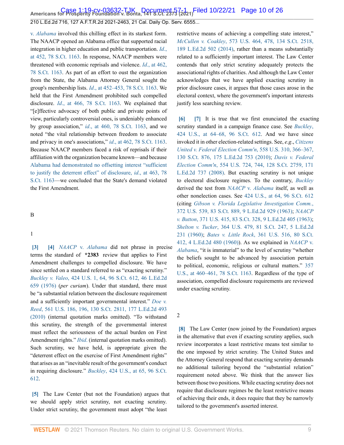v. *[Alabama](http://www.westlaw.com/Link/Document/FullText?findType=Y&serNum=1958121466&pubNum=0000780&originatingDoc=I7d565adeda6711eb850ac132f535d1eb&refType=RP&originationContext=document&vr=3.0&rs=cblt1.0&transitionType=DocumentItem&contextData=(sc.Default))* involved this chilling effect in its starkest form. The NAACP opened an Alabama office that supported racial integration in higher education and public transportation. *[Id](http://www.westlaw.com/Link/Document/FullText?findType=Y&serNum=1958121466&pubNum=0000708&originatingDoc=I7d565adeda6711eb850ac132f535d1eb&refType=RP&originationContext=document&vr=3.0&rs=cblt1.0&transitionType=DocumentItem&contextData=(sc.Default))*., [at 452, 78 S.Ct. 1163.](http://www.westlaw.com/Link/Document/FullText?findType=Y&serNum=1958121466&pubNum=0000708&originatingDoc=I7d565adeda6711eb850ac132f535d1eb&refType=RP&originationContext=document&vr=3.0&rs=cblt1.0&transitionType=DocumentItem&contextData=(sc.Default)) In response, NAACP members were threatened with economic reprisals and violence. *Id*[., at 462,](http://www.westlaw.com/Link/Document/FullText?findType=Y&serNum=1958121466&pubNum=0000708&originatingDoc=I7d565adeda6711eb850ac132f535d1eb&refType=RP&originationContext=document&vr=3.0&rs=cblt1.0&transitionType=DocumentItem&contextData=(sc.Default)) [78 S.Ct. 1163.](http://www.westlaw.com/Link/Document/FullText?findType=Y&serNum=1958121466&pubNum=0000708&originatingDoc=I7d565adeda6711eb850ac132f535d1eb&refType=RP&originationContext=document&vr=3.0&rs=cblt1.0&transitionType=DocumentItem&contextData=(sc.Default)) As part of an effort to oust the organization from the State, the Alabama Attorney General sought the group's membership lists. *Id*[., at 452–453, 78 S.Ct. 1163.](http://www.westlaw.com/Link/Document/FullText?findType=Y&serNum=1958121466&pubNum=0000708&originatingDoc=I7d565adeda6711eb850ac132f535d1eb&refType=RP&originationContext=document&vr=3.0&rs=cblt1.0&transitionType=DocumentItem&contextData=(sc.Default)) We held that the First Amendment prohibited such compelled disclosure. *Id*[., at 466, 78 S.Ct. 1163](http://www.westlaw.com/Link/Document/FullText?findType=Y&serNum=1958121466&pubNum=0000708&originatingDoc=I7d565adeda6711eb850ac132f535d1eb&refType=RP&originationContext=document&vr=3.0&rs=cblt1.0&transitionType=DocumentItem&contextData=(sc.Default)). We explained that "[e]ffective advocacy of both public and private points of view, particularly controversial ones, is undeniably enhanced by group association," *id*[., at 460, 78 S.Ct. 1163,](http://www.westlaw.com/Link/Document/FullText?findType=Y&serNum=1958121466&pubNum=0000708&originatingDoc=I7d565adeda6711eb850ac132f535d1eb&refType=RP&originationContext=document&vr=3.0&rs=cblt1.0&transitionType=DocumentItem&contextData=(sc.Default)) and we noted "the vital relationship between freedom to associate and privacy in one's associations," *id*[., at 462, 78 S.Ct. 1163](http://www.westlaw.com/Link/Document/FullText?findType=Y&serNum=1958121466&pubNum=0000708&originatingDoc=I7d565adeda6711eb850ac132f535d1eb&refType=RP&originationContext=document&vr=3.0&rs=cblt1.0&transitionType=DocumentItem&contextData=(sc.Default)). Because NAACP members faced a risk of reprisals if their affiliation with the organization became known—and because [Alabama had demonstrated no offsetting interest "sufficient](http://www.westlaw.com/Link/Document/FullText?findType=Y&serNum=1958121466&pubNum=0000708&originatingDoc=I7d565adeda6711eb850ac132f535d1eb&refType=RP&originationContext=document&vr=3.0&rs=cblt1.0&transitionType=DocumentItem&contextData=(sc.Default)) [to justify the deterrent effect" of disclosure,](http://www.westlaw.com/Link/Document/FullText?findType=Y&serNum=1958121466&pubNum=0000708&originatingDoc=I7d565adeda6711eb850ac132f535d1eb&refType=RP&originationContext=document&vr=3.0&rs=cblt1.0&transitionType=DocumentItem&contextData=(sc.Default)) *id*., at 463, 78 [S.Ct. 1163](http://www.westlaw.com/Link/Document/FullText?findType=Y&serNum=1958121466&pubNum=0000708&originatingDoc=I7d565adeda6711eb850ac132f535d1eb&refType=RP&originationContext=document&vr=3.0&rs=cblt1.0&transitionType=DocumentItem&contextData=(sc.Default))—we concluded that the State's demand violated the First Amendment.

#### B

#### 1

<span id="page-9-1"></span><span id="page-9-0"></span>**[\[3\]](#page-1-2) [\[4\]](#page-2-0)** *NAACP* v. *[Alabama](http://www.westlaw.com/Link/Document/FullText?findType=Y&serNum=1958121466&pubNum=0000780&originatingDoc=I7d565adeda6711eb850ac132f535d1eb&refType=RP&originationContext=document&vr=3.0&rs=cblt1.0&transitionType=DocumentItem&contextData=(sc.Default))* did not phrase in precise terms the standard of **\*2383** review that applies to First Amendment challenges to compelled disclosure. We have since settled on a standard referred to as "exacting scrutiny." *Buckley v. Valeo*[, 424 U.S. 1, 64, 96 S.Ct. 612, 46 L.Ed.2d](http://www.westlaw.com/Link/Document/FullText?findType=Y&serNum=1976142308&pubNum=0000780&originatingDoc=I7d565adeda6711eb850ac132f535d1eb&refType=RP&fi=co_pp_sp_780_64&originationContext=document&vr=3.0&rs=cblt1.0&transitionType=DocumentItem&contextData=(sc.Default)#co_pp_sp_780_64) [659 \(1976\)](http://www.westlaw.com/Link/Document/FullText?findType=Y&serNum=1976142308&pubNum=0000780&originatingDoc=I7d565adeda6711eb850ac132f535d1eb&refType=RP&fi=co_pp_sp_780_64&originationContext=document&vr=3.0&rs=cblt1.0&transitionType=DocumentItem&contextData=(sc.Default)#co_pp_sp_780_64) (*per curiam*). Under that standard, there must be "a substantial relation between the disclosure requirement and a sufficiently important governmental interest." *[Doe v.](http://www.westlaw.com/Link/Document/FullText?findType=Y&serNum=2022366335&pubNum=0000780&originatingDoc=I7d565adeda6711eb850ac132f535d1eb&refType=RP&fi=co_pp_sp_780_196&originationContext=document&vr=3.0&rs=cblt1.0&transitionType=DocumentItem&contextData=(sc.Default)#co_pp_sp_780_196) Reed*[, 561 U.S. 186, 196, 130 S.Ct. 2811, 177 L.Ed.2d 493](http://www.westlaw.com/Link/Document/FullText?findType=Y&serNum=2022366335&pubNum=0000780&originatingDoc=I7d565adeda6711eb850ac132f535d1eb&refType=RP&fi=co_pp_sp_780_196&originationContext=document&vr=3.0&rs=cblt1.0&transitionType=DocumentItem&contextData=(sc.Default)#co_pp_sp_780_196) [\(2010\)](http://www.westlaw.com/Link/Document/FullText?findType=Y&serNum=2022366335&pubNum=0000780&originatingDoc=I7d565adeda6711eb850ac132f535d1eb&refType=RP&fi=co_pp_sp_780_196&originationContext=document&vr=3.0&rs=cblt1.0&transitionType=DocumentItem&contextData=(sc.Default)#co_pp_sp_780_196) (internal quotation marks omitted). "To withstand this scrutiny, the strength of the governmental interest must reflect the seriousness of the actual burden on First Amendment rights." *[Ibid](http://www.westlaw.com/Link/Document/FullText?findType=Y&serNum=2022366335&pubNum=0000780&originatingDoc=I7d565adeda6711eb850ac132f535d1eb&refType=RP&originationContext=document&vr=3.0&rs=cblt1.0&transitionType=DocumentItem&contextData=(sc.Default))*. (internal quotation marks omitted). Such scrutiny, we have held, is appropriate given the "deterrent effect on the exercise of First Amendment rights" that arises as an "inevitable result of the government's conduct in requiring disclosure." *Buckley*[, 424 U.S., at 65, 96 S.Ct.](http://www.westlaw.com/Link/Document/FullText?findType=Y&serNum=1976142308&pubNum=0000780&originatingDoc=I7d565adeda6711eb850ac132f535d1eb&refType=RP&fi=co_pp_sp_780_65&originationContext=document&vr=3.0&rs=cblt1.0&transitionType=DocumentItem&contextData=(sc.Default)#co_pp_sp_780_65) [612](http://www.westlaw.com/Link/Document/FullText?findType=Y&serNum=1976142308&pubNum=0000780&originatingDoc=I7d565adeda6711eb850ac132f535d1eb&refType=RP&fi=co_pp_sp_780_65&originationContext=document&vr=3.0&rs=cblt1.0&transitionType=DocumentItem&contextData=(sc.Default)#co_pp_sp_780_65).

<span id="page-9-2"></span>**[\[5\]](#page-2-1)** The Law Center (but not the Foundation) argues that we should apply strict scrutiny, not exacting scrutiny. Under strict scrutiny, the government must adopt "the least

restrictive means of achieving a compelling state interest," *McCullen v. Coakley*[, 573 U.S. 464, 478, 134 S.Ct. 2518,](http://www.westlaw.com/Link/Document/FullText?findType=Y&serNum=2033678859&pubNum=0000780&originatingDoc=I7d565adeda6711eb850ac132f535d1eb&refType=RP&fi=co_pp_sp_780_478&originationContext=document&vr=3.0&rs=cblt1.0&transitionType=DocumentItem&contextData=(sc.Default)#co_pp_sp_780_478) [189 L.Ed.2d 502 \(2014\)](http://www.westlaw.com/Link/Document/FullText?findType=Y&serNum=2033678859&pubNum=0000780&originatingDoc=I7d565adeda6711eb850ac132f535d1eb&refType=RP&fi=co_pp_sp_780_478&originationContext=document&vr=3.0&rs=cblt1.0&transitionType=DocumentItem&contextData=(sc.Default)#co_pp_sp_780_478), rather than a means substantially related to a sufficiently important interest. The Law Center contends that only strict scrutiny adequately protects the associational rights of charities. And although the Law Center acknowledges that we have applied exacting scrutiny in prior disclosure cases, it argues that those cases arose in the electoral context, where the government's important interests justify less searching review.

<span id="page-9-4"></span><span id="page-9-3"></span>**[\[6\]](#page-2-2) [\[7\]](#page-2-3)** It is true that we first enunciated the exacting scrutiny standard in a campaign finance case. See *[Buckley](http://www.westlaw.com/Link/Document/FullText?findType=Y&serNum=1976142308&pubNum=0000780&originatingDoc=I7d565adeda6711eb850ac132f535d1eb&refType=RP&fi=co_pp_sp_780_64&originationContext=document&vr=3.0&rs=cblt1.0&transitionType=DocumentItem&contextData=(sc.Default)#co_pp_sp_780_64)*, [424 U.S., at 64–68, 96 S.Ct. 612](http://www.westlaw.com/Link/Document/FullText?findType=Y&serNum=1976142308&pubNum=0000780&originatingDoc=I7d565adeda6711eb850ac132f535d1eb&refType=RP&fi=co_pp_sp_780_64&originationContext=document&vr=3.0&rs=cblt1.0&transitionType=DocumentItem&contextData=(sc.Default)#co_pp_sp_780_64). And we have since invoked it in other election-related settings. See, *e*.*g*., *[Citizens](http://www.westlaw.com/Link/Document/FullText?findType=Y&serNum=2021175488&pubNum=0000780&originatingDoc=I7d565adeda6711eb850ac132f535d1eb&refType=RP&fi=co_pp_sp_780_366&originationContext=document&vr=3.0&rs=cblt1.0&transitionType=DocumentItem&contextData=(sc.Default)#co_pp_sp_780_366) [United v. Federal Election Comm'n](http://www.westlaw.com/Link/Document/FullText?findType=Y&serNum=2021175488&pubNum=0000780&originatingDoc=I7d565adeda6711eb850ac132f535d1eb&refType=RP&fi=co_pp_sp_780_366&originationContext=document&vr=3.0&rs=cblt1.0&transitionType=DocumentItem&contextData=(sc.Default)#co_pp_sp_780_366)*, 558 U.S. 310, 366–367, [130 S.Ct. 876, 175 L.Ed.2d 753 \(2010\);](http://www.westlaw.com/Link/Document/FullText?findType=Y&serNum=2021175488&pubNum=0000780&originatingDoc=I7d565adeda6711eb850ac132f535d1eb&refType=RP&fi=co_pp_sp_780_366&originationContext=document&vr=3.0&rs=cblt1.0&transitionType=DocumentItem&contextData=(sc.Default)#co_pp_sp_780_366) *[Davis v. Federal](http://www.westlaw.com/Link/Document/FullText?findType=Y&serNum=2016385175&pubNum=0000780&originatingDoc=I7d565adeda6711eb850ac132f535d1eb&refType=RP&fi=co_pp_sp_780_744&originationContext=document&vr=3.0&rs=cblt1.0&transitionType=DocumentItem&contextData=(sc.Default)#co_pp_sp_780_744) Election Comm'n*[, 554 U.S. 724, 744, 128 S.Ct. 2759, 171](http://www.westlaw.com/Link/Document/FullText?findType=Y&serNum=2016385175&pubNum=0000780&originatingDoc=I7d565adeda6711eb850ac132f535d1eb&refType=RP&fi=co_pp_sp_780_744&originationContext=document&vr=3.0&rs=cblt1.0&transitionType=DocumentItem&contextData=(sc.Default)#co_pp_sp_780_744) [L.Ed.2d 737 \(2008\).](http://www.westlaw.com/Link/Document/FullText?findType=Y&serNum=2016385175&pubNum=0000780&originatingDoc=I7d565adeda6711eb850ac132f535d1eb&refType=RP&fi=co_pp_sp_780_744&originationContext=document&vr=3.0&rs=cblt1.0&transitionType=DocumentItem&contextData=(sc.Default)#co_pp_sp_780_744) But exacting scrutiny is not unique to electoral disclosure regimes. To the contrary, *[Buckley](http://www.westlaw.com/Link/Document/FullText?findType=Y&serNum=1976142308&pubNum=0000780&originatingDoc=I7d565adeda6711eb850ac132f535d1eb&refType=RP&originationContext=document&vr=3.0&rs=cblt1.0&transitionType=DocumentItem&contextData=(sc.Default))* derived the test from *NAACP* v. *[Alabama](http://www.westlaw.com/Link/Document/FullText?findType=Y&serNum=1958121466&pubNum=0000780&originatingDoc=I7d565adeda6711eb850ac132f535d1eb&refType=RP&originationContext=document&vr=3.0&rs=cblt1.0&transitionType=DocumentItem&contextData=(sc.Default))* itself, as well as other nonelection cases. See [424 U.S., at 64, 96 S.Ct. 612](http://www.westlaw.com/Link/Document/FullText?findType=Y&serNum=1976142308&pubNum=0000780&originatingDoc=I7d565adeda6711eb850ac132f535d1eb&refType=RP&fi=co_pp_sp_780_64&originationContext=document&vr=3.0&rs=cblt1.0&transitionType=DocumentItem&contextData=(sc.Default)#co_pp_sp_780_64) (citing *[Gibson v. Florida Legislative Investigation Comm.](http://www.westlaw.com/Link/Document/FullText?findType=Y&serNum=1963101940&pubNum=0000708&originatingDoc=I7d565adeda6711eb850ac132f535d1eb&refType=RP&originationContext=document&vr=3.0&rs=cblt1.0&transitionType=DocumentItem&contextData=(sc.Default))*, [372 U.S. 539, 83 S.Ct. 889, 9 L.Ed.2d 929 \(1963\)](http://www.westlaw.com/Link/Document/FullText?findType=Y&serNum=1963101940&pubNum=0000708&originatingDoc=I7d565adeda6711eb850ac132f535d1eb&refType=RP&originationContext=document&vr=3.0&rs=cblt1.0&transitionType=DocumentItem&contextData=(sc.Default)); *[NAACP](http://www.westlaw.com/Link/Document/FullText?findType=Y&serNum=1963125272&pubNum=0000708&originatingDoc=I7d565adeda6711eb850ac132f535d1eb&refType=RP&originationContext=document&vr=3.0&rs=cblt1.0&transitionType=DocumentItem&contextData=(sc.Default)) v. Button*[, 371 U.S. 415, 83 S.Ct. 328, 9 L.Ed.2d 405 \(1963\)](http://www.westlaw.com/Link/Document/FullText?findType=Y&serNum=1963125272&pubNum=0000708&originatingDoc=I7d565adeda6711eb850ac132f535d1eb&refType=RP&originationContext=document&vr=3.0&rs=cblt1.0&transitionType=DocumentItem&contextData=(sc.Default)); *Shelton v. Tucker*[, 364 U.S. 479, 81 S.Ct. 247, 5 L.Ed.2d](http://www.westlaw.com/Link/Document/FullText?findType=Y&serNum=1960122601&pubNum=0000708&originatingDoc=I7d565adeda6711eb850ac132f535d1eb&refType=RP&originationContext=document&vr=3.0&rs=cblt1.0&transitionType=DocumentItem&contextData=(sc.Default)) [231 \(1960\)](http://www.westlaw.com/Link/Document/FullText?findType=Y&serNum=1960122601&pubNum=0000708&originatingDoc=I7d565adeda6711eb850ac132f535d1eb&refType=RP&originationContext=document&vr=3.0&rs=cblt1.0&transitionType=DocumentItem&contextData=(sc.Default)); *Bates v. Little Rock*[, 361 U.S. 516, 80 S.Ct.](http://www.westlaw.com/Link/Document/FullText?findType=Y&serNum=1960100291&pubNum=0000708&originatingDoc=I7d565adeda6711eb850ac132f535d1eb&refType=RP&originationContext=document&vr=3.0&rs=cblt1.0&transitionType=DocumentItem&contextData=(sc.Default)) [412, 4 L.Ed.2d 480 \(1960\)\)](http://www.westlaw.com/Link/Document/FullText?findType=Y&serNum=1960100291&pubNum=0000708&originatingDoc=I7d565adeda6711eb850ac132f535d1eb&refType=RP&originationContext=document&vr=3.0&rs=cblt1.0&transitionType=DocumentItem&contextData=(sc.Default)). As we explained in *[NAACP](http://www.westlaw.com/Link/Document/FullText?findType=Y&serNum=1958121466&pubNum=0000780&originatingDoc=I7d565adeda6711eb850ac132f535d1eb&refType=RP&originationContext=document&vr=3.0&rs=cblt1.0&transitionType=DocumentItem&contextData=(sc.Default))* v. *[Alabama](http://www.westlaw.com/Link/Document/FullText?findType=Y&serNum=1958121466&pubNum=0000780&originatingDoc=I7d565adeda6711eb850ac132f535d1eb&refType=RP&originationContext=document&vr=3.0&rs=cblt1.0&transitionType=DocumentItem&contextData=(sc.Default))*, "it is immaterial" to the level of scrutiny "whether the beliefs sought to be advanced by association pertain to political, economic, religious or cultural matters." [357](http://www.westlaw.com/Link/Document/FullText?findType=Y&serNum=1958121466&pubNum=0000780&originatingDoc=I7d565adeda6711eb850ac132f535d1eb&refType=RP&fi=co_pp_sp_780_460&originationContext=document&vr=3.0&rs=cblt1.0&transitionType=DocumentItem&contextData=(sc.Default)#co_pp_sp_780_460) [U.S., at 460–461, 78 S.Ct. 1163.](http://www.westlaw.com/Link/Document/FullText?findType=Y&serNum=1958121466&pubNum=0000780&originatingDoc=I7d565adeda6711eb850ac132f535d1eb&refType=RP&fi=co_pp_sp_780_460&originationContext=document&vr=3.0&rs=cblt1.0&transitionType=DocumentItem&contextData=(sc.Default)#co_pp_sp_780_460) Regardless of the type of association, compelled disclosure requirements are reviewed under exacting scrutiny.

#### 2

<span id="page-9-5"></span>**[\[8\]](#page-2-4)** The Law Center (now joined by the Foundation) argues in the alternative that even if exacting scrutiny applies, such review incorporates a least restrictive means test similar to the one imposed by strict scrutiny. The United States and the Attorney General respond that exacting scrutiny demands no additional tailoring beyond the "substantial relation" requirement noted above. We think that the answer lies between those two positions. While exacting scrutiny does not require that disclosure regimes be the least restrictive means of achieving their ends, it does require that they be narrowly tailored to the government's asserted interest.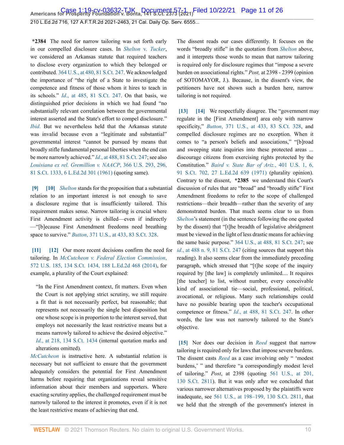**\*2384** The need for narrow tailoring was set forth early in our compelled disclosure cases. In *[Shelton](http://www.westlaw.com/Link/Document/FullText?findType=Y&serNum=1960122601&pubNum=0000780&originatingDoc=I7d565adeda6711eb850ac132f535d1eb&refType=RP&originationContext=document&vr=3.0&rs=cblt1.0&transitionType=DocumentItem&contextData=(sc.Default))* v. *Tucker*, we considered an Arkansas statute that required teachers to disclose every organization to which they belonged or contributed. [364 U.S., at 480, 81 S.Ct. 247](http://www.westlaw.com/Link/Document/FullText?findType=Y&serNum=1960122601&pubNum=0000780&originatingDoc=I7d565adeda6711eb850ac132f535d1eb&refType=RP&fi=co_pp_sp_780_480&originationContext=document&vr=3.0&rs=cblt1.0&transitionType=DocumentItem&contextData=(sc.Default)#co_pp_sp_780_480). We acknowledged the importance of "the right of a State to investigate the competence and fitness of those whom it hires to teach in its schools." *Id*[., at 485, 81 S.Ct. 247](http://www.westlaw.com/Link/Document/FullText?findType=Y&serNum=1960122601&pubNum=0000708&originatingDoc=I7d565adeda6711eb850ac132f535d1eb&refType=RP&originationContext=document&vr=3.0&rs=cblt1.0&transitionType=DocumentItem&contextData=(sc.Default)). On that basis, we distinguished prior decisions in which we had found "no substantially relevant correlation between the governmental interest asserted and the State's effort to compel disclosure." *[Ibid](http://www.westlaw.com/Link/Document/FullText?findType=Y&serNum=1960122601&pubNum=0000780&originatingDoc=I7d565adeda6711eb850ac132f535d1eb&refType=RP&originationContext=document&vr=3.0&rs=cblt1.0&transitionType=DocumentItem&contextData=(sc.Default))*. But we nevertheless held that the Arkansas statute was invalid because even a "legitimate and substantial" governmental interest "cannot be pursued by means that broadly stifle fundamental personal liberties when the end can be more narrowly achieved." *Id*[., at 488, 81 S.Ct. 247;](http://www.westlaw.com/Link/Document/FullText?findType=Y&serNum=1960122601&pubNum=0000708&originatingDoc=I7d565adeda6711eb850ac132f535d1eb&refType=RP&originationContext=document&vr=3.0&rs=cblt1.0&transitionType=DocumentItem&contextData=(sc.Default)) see also *[Louisiana ex rel. Gremillion v. NAACP](http://www.westlaw.com/Link/Document/FullText?findType=Y&serNum=1961125502&pubNum=0000780&originatingDoc=I7d565adeda6711eb850ac132f535d1eb&refType=RP&fi=co_pp_sp_780_296&originationContext=document&vr=3.0&rs=cblt1.0&transitionType=DocumentItem&contextData=(sc.Default)#co_pp_sp_780_296)*, 366 U.S. 293, 296, [81 S.Ct. 1333, 6 L.Ed.2d 301 \(1961\)](http://www.westlaw.com/Link/Document/FullText?findType=Y&serNum=1961125502&pubNum=0000780&originatingDoc=I7d565adeda6711eb850ac132f535d1eb&refType=RP&fi=co_pp_sp_780_296&originationContext=document&vr=3.0&rs=cblt1.0&transitionType=DocumentItem&contextData=(sc.Default)#co_pp_sp_780_296) (quoting same).

<span id="page-10-1"></span><span id="page-10-0"></span>**[\[9\]](#page-2-5) [\[10](#page-2-6)]** *[Shelton](http://www.westlaw.com/Link/Document/FullText?findType=Y&serNum=1960122601&pubNum=0000780&originatingDoc=I7d565adeda6711eb850ac132f535d1eb&refType=RP&originationContext=document&vr=3.0&rs=cblt1.0&transitionType=DocumentItem&contextData=(sc.Default))* stands for the proposition that a substantial relation to an important interest is not enough to save a disclosure regime that is insufficiently tailored. This requirement makes sense. Narrow tailoring is crucial where First Amendment activity is chilled—even if indirectly —"[b]ecause First Amendment freedoms need breathing space to survive." *Button*[, 371 U.S., at 433, 83 S.Ct. 328](http://www.westlaw.com/Link/Document/FullText?findType=Y&serNum=1963125272&pubNum=0000780&originatingDoc=I7d565adeda6711eb850ac132f535d1eb&refType=RP&fi=co_pp_sp_780_433&originationContext=document&vr=3.0&rs=cblt1.0&transitionType=DocumentItem&contextData=(sc.Default)#co_pp_sp_780_433).

<span id="page-10-3"></span><span id="page-10-2"></span>**[\[11\]](#page-2-7) [\[12\]](#page-3-1)** Our more recent decisions confirm the need for tailoring. In *[McCutcheon v. Federal Election Commission](http://www.westlaw.com/Link/Document/FullText?findType=Y&serNum=2033076532&pubNum=0000708&originatingDoc=I7d565adeda6711eb850ac132f535d1eb&refType=RP&originationContext=document&vr=3.0&rs=cblt1.0&transitionType=DocumentItem&contextData=(sc.Default))*, [572 U.S. 185, 134 S.Ct. 1434, 188 L.Ed.2d 468 \(2014\),](http://www.westlaw.com/Link/Document/FullText?findType=Y&serNum=2033076532&pubNum=0000708&originatingDoc=I7d565adeda6711eb850ac132f535d1eb&refType=RP&originationContext=document&vr=3.0&rs=cblt1.0&transitionType=DocumentItem&contextData=(sc.Default)) for example, a plurality of the Court explained:

"In the First Amendment context, fit matters. Even when the Court is not applying strict scrutiny, we still require a fit that is not necessarily perfect, but reasonable; that represents not necessarily the single best disposition but one whose scope is in proportion to the interest served, that employs not necessarily the least restrictive means but a means narrowly tailored to achieve the desired objective." *Id*[., at 218, 134 S.Ct. 1434](http://www.westlaw.com/Link/Document/FullText?findType=Y&serNum=2033076532&pubNum=0000708&originatingDoc=I7d565adeda6711eb850ac132f535d1eb&refType=RP&originationContext=document&vr=3.0&rs=cblt1.0&transitionType=DocumentItem&contextData=(sc.Default)) (internal quotation marks and alterations omitted).

*[McCutcheon](http://www.westlaw.com/Link/Document/FullText?findType=Y&serNum=2033076532&pubNum=0000780&originatingDoc=I7d565adeda6711eb850ac132f535d1eb&refType=RP&originationContext=document&vr=3.0&rs=cblt1.0&transitionType=DocumentItem&contextData=(sc.Default))* is instructive here. A substantial relation is necessary but not sufficient to ensure that the government adequately considers the potential for First Amendment harms before requiring that organizations reveal sensitive information about their members and supporters. Where exacting scrutiny applies, the challenged requirement must be narrowly tailored to the interest it promotes, even if it is not the least restrictive means of achieving that end.

The dissent reads our cases differently. It focuses on the words "broadly stifle" in the quotation from *[Shelton](http://www.westlaw.com/Link/Document/FullText?findType=Y&serNum=1960122601&pubNum=0000780&originatingDoc=I7d565adeda6711eb850ac132f535d1eb&refType=RP&originationContext=document&vr=3.0&rs=cblt1.0&transitionType=DocumentItem&contextData=(sc.Default))* above, and it interprets those words to mean that narrow tailoring is required only for disclosure regimes that "impose a severe burden on associational rights." *Post,* at 2398 - 2399 (opinion of SOTOMAYOR, J.). Because, in the dissent's view, the petitioners have not shown such a burden here, narrow tailoring is not required.

<span id="page-10-5"></span><span id="page-10-4"></span>**[\[13\]](#page-3-2) [\[14\]](#page-3-3)** We respectfully disagree. The "government may regulate in the [First Amendment] area only with narrow specificity," *Button*[, 371 U.S., at 433, 83 S.Ct. 328](http://www.westlaw.com/Link/Document/FullText?findType=Y&serNum=1963125272&pubNum=0000780&originatingDoc=I7d565adeda6711eb850ac132f535d1eb&refType=RP&fi=co_pp_sp_780_433&originationContext=document&vr=3.0&rs=cblt1.0&transitionType=DocumentItem&contextData=(sc.Default)#co_pp_sp_780_433), and compelled disclosure regimes are no exception. When it comes to "a person's beliefs and associations," "[b]road and sweeping state inquiries into these protected areas ... discourage citizens from exercising rights protected by the Constitution." *[Baird v. State Bar of Ariz.](http://www.westlaw.com/Link/Document/FullText?findType=Y&serNum=1971127012&pubNum=0000780&originatingDoc=I7d565adeda6711eb850ac132f535d1eb&refType=RP&fi=co_pp_sp_780_6&originationContext=document&vr=3.0&rs=cblt1.0&transitionType=DocumentItem&contextData=(sc.Default)#co_pp_sp_780_6)*, 401 U.S. 1, 6, [91 S.Ct. 702, 27 L.Ed.2d 639 \(1971\)](http://www.westlaw.com/Link/Document/FullText?findType=Y&serNum=1971127012&pubNum=0000780&originatingDoc=I7d565adeda6711eb850ac132f535d1eb&refType=RP&fi=co_pp_sp_780_6&originationContext=document&vr=3.0&rs=cblt1.0&transitionType=DocumentItem&contextData=(sc.Default)#co_pp_sp_780_6) (plurality opinion). Contrary to the dissent, **\*2385** we understand this Court's discussion of rules that are "broad" and "broadly stifle" First Amendment freedoms to refer to the scope of challenged restrictions—their breadth—rather than the severity of any demonstrated burden. That much seems clear to us from *[Shelton](http://www.westlaw.com/Link/Document/FullText?findType=Y&serNum=1960122601&pubNum=0000780&originatingDoc=I7d565adeda6711eb850ac132f535d1eb&refType=RP&originationContext=document&vr=3.0&rs=cblt1.0&transitionType=DocumentItem&contextData=(sc.Default))*'s statement (in the sentence following the one quoted by the dissent) that "[t]he breadth of legislative abridgment must be viewed in the light of less drastic means for achieving the same basic purpose." [364 U.S., at 488, 81 S.Ct. 247;](http://www.westlaw.com/Link/Document/FullText?findType=Y&serNum=1960122601&pubNum=0000780&originatingDoc=I7d565adeda6711eb850ac132f535d1eb&refType=RP&fi=co_pp_sp_780_488&originationContext=document&vr=3.0&rs=cblt1.0&transitionType=DocumentItem&contextData=(sc.Default)#co_pp_sp_780_488) see *id*[., at 488 n. 9, 81 S.Ct. 247](http://www.westlaw.com/Link/Document/FullText?findType=Y&serNum=1960122601&pubNum=0000708&originatingDoc=I7d565adeda6711eb850ac132f535d1eb&refType=RP&originationContext=document&vr=3.0&rs=cblt1.0&transitionType=DocumentItem&contextData=(sc.Default)) (citing sources that support this reading). It also seems clear from the immediately preceding paragraph, which stressed that "[t]he scope of the inquiry required by [the law] is completely unlimited.... It requires [the teacher] to list, without number, every conceivable kind of associational tie—social, professional, political, avocational, or religious. Many such relationships could have no possible bearing upon the teacher's occupational competence or fitness." *Id*[., at 488, 81 S.Ct. 247.](http://www.westlaw.com/Link/Document/FullText?findType=Y&serNum=1960122601&pubNum=0000708&originatingDoc=I7d565adeda6711eb850ac132f535d1eb&refType=RP&originationContext=document&vr=3.0&rs=cblt1.0&transitionType=DocumentItem&contextData=(sc.Default)) In other words, the law was not narrowly tailored to the State's objective.

<span id="page-10-6"></span>**[\[15\]](#page-3-4)** Nor does our decision in *[Reed](http://www.westlaw.com/Link/Document/FullText?findType=Y&serNum=2022366335&pubNum=0000780&originatingDoc=I7d565adeda6711eb850ac132f535d1eb&refType=RP&originationContext=document&vr=3.0&rs=cblt1.0&transitionType=DocumentItem&contextData=(sc.Default))* suggest that narrow tailoring is required only for laws that impose severe burdens. The dissent casts *[Reed](http://www.westlaw.com/Link/Document/FullText?findType=Y&serNum=2022366335&pubNum=0000780&originatingDoc=I7d565adeda6711eb850ac132f535d1eb&refType=RP&originationContext=document&vr=3.0&rs=cblt1.0&transitionType=DocumentItem&contextData=(sc.Default))* as a case involving only " 'modest burdens,' " and therefore "a correspondingly modest level of tailoring." *Post*, at 2398 (quoting [561 U.S., at 201,](http://www.westlaw.com/Link/Document/FullText?findType=Y&serNum=2022366335&pubNum=0000780&originatingDoc=I7d565adeda6711eb850ac132f535d1eb&refType=RP&fi=co_pp_sp_780_201&originationContext=document&vr=3.0&rs=cblt1.0&transitionType=DocumentItem&contextData=(sc.Default)#co_pp_sp_780_201) [130 S.Ct. 2811](http://www.westlaw.com/Link/Document/FullText?findType=Y&serNum=2022366335&pubNum=0000780&originatingDoc=I7d565adeda6711eb850ac132f535d1eb&refType=RP&fi=co_pp_sp_780_201&originationContext=document&vr=3.0&rs=cblt1.0&transitionType=DocumentItem&contextData=(sc.Default)#co_pp_sp_780_201)). But it was only after we concluded that various narrower alternatives proposed by the plaintiffs were inadequate, see [561 U.S., at 198–199, 130 S.Ct. 2811,](http://www.westlaw.com/Link/Document/FullText?findType=Y&serNum=2022366335&pubNum=0000780&originatingDoc=I7d565adeda6711eb850ac132f535d1eb&refType=RP&fi=co_pp_sp_780_198&originationContext=document&vr=3.0&rs=cblt1.0&transitionType=DocumentItem&contextData=(sc.Default)#co_pp_sp_780_198) that we held that the strength of the government's interest in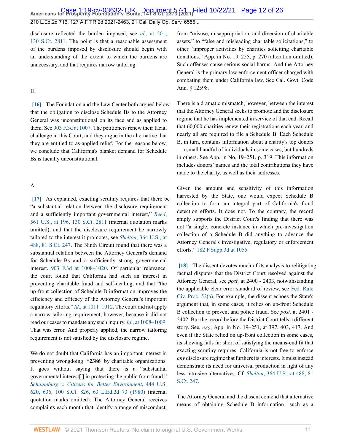disclosure reflected the burden imposed, see *id*[., at 201,](http://www.westlaw.com/Link/Document/FullText?findType=Y&serNum=2022366335&pubNum=0000708&originatingDoc=I7d565adeda6711eb850ac132f535d1eb&refType=RP&originationContext=document&vr=3.0&rs=cblt1.0&transitionType=DocumentItem&contextData=(sc.Default)) [130 S.Ct. 2811.](http://www.westlaw.com/Link/Document/FullText?findType=Y&serNum=2022366335&pubNum=0000708&originatingDoc=I7d565adeda6711eb850ac132f535d1eb&refType=RP&originationContext=document&vr=3.0&rs=cblt1.0&transitionType=DocumentItem&contextData=(sc.Default)) The point is that a reasonable assessment of the burdens imposed by disclosure should begin with an understanding of the extent to which the burdens are unnecessary, and that requires narrow tailoring.

#### III

<span id="page-11-0"></span>**[\[16\]](#page-3-0)** The Foundation and the Law Center both argued below that the obligation to disclose Schedule Bs to the Attorney General was unconstitutional on its face and as applied to them. See [903 F.3d at 1007](http://www.westlaw.com/Link/Document/FullText?findType=Y&serNum=2045472789&pubNum=0000506&originatingDoc=I7d565adeda6711eb850ac132f535d1eb&refType=RP&fi=co_pp_sp_506_1007&originationContext=document&vr=3.0&rs=cblt1.0&transitionType=DocumentItem&contextData=(sc.Default)#co_pp_sp_506_1007). The petitioners renew their facial challenge in this Court, and they argue in the alternative that they are entitled to as-applied relief. For the reasons below, we conclude that California's blanket demand for Schedule Bs is facially unconstitutional.

#### A

<span id="page-11-1"></span>**[\[17\]](#page-3-5)** As explained, exacting scrutiny requires that there be "a substantial relation between the disclosure requirement and a sufficiently important governmental interest," *[Reed](http://www.westlaw.com/Link/Document/FullText?findType=Y&serNum=2022366335&pubNum=0000780&originatingDoc=I7d565adeda6711eb850ac132f535d1eb&refType=RP&fi=co_pp_sp_780_196&originationContext=document&vr=3.0&rs=cblt1.0&transitionType=DocumentItem&contextData=(sc.Default)#co_pp_sp_780_196)*, [561 U.S., at 196, 130 S.Ct. 2811](http://www.westlaw.com/Link/Document/FullText?findType=Y&serNum=2022366335&pubNum=0000780&originatingDoc=I7d565adeda6711eb850ac132f535d1eb&refType=RP&fi=co_pp_sp_780_196&originationContext=document&vr=3.0&rs=cblt1.0&transitionType=DocumentItem&contextData=(sc.Default)#co_pp_sp_780_196) (internal quotation marks omitted), and that the disclosure requirement be narrowly tailored to the interest it promotes, see *Shelton*[, 364 U.S., at](http://www.westlaw.com/Link/Document/FullText?findType=Y&serNum=1960122601&pubNum=0000780&originatingDoc=I7d565adeda6711eb850ac132f535d1eb&refType=RP&fi=co_pp_sp_780_488&originationContext=document&vr=3.0&rs=cblt1.0&transitionType=DocumentItem&contextData=(sc.Default)#co_pp_sp_780_488) [488, 81 S.Ct. 247.](http://www.westlaw.com/Link/Document/FullText?findType=Y&serNum=1960122601&pubNum=0000780&originatingDoc=I7d565adeda6711eb850ac132f535d1eb&refType=RP&fi=co_pp_sp_780_488&originationContext=document&vr=3.0&rs=cblt1.0&transitionType=DocumentItem&contextData=(sc.Default)#co_pp_sp_780_488) The Ninth Circuit found that there was a substantial relation between the Attorney General's demand for Schedule Bs and a sufficiently strong governmental interest. [903 F.3d at 1008–1020](http://www.westlaw.com/Link/Document/FullText?findType=Y&serNum=2045472789&pubNum=0000506&originatingDoc=I7d565adeda6711eb850ac132f535d1eb&refType=RP&fi=co_pp_sp_506_1008&originationContext=document&vr=3.0&rs=cblt1.0&transitionType=DocumentItem&contextData=(sc.Default)#co_pp_sp_506_1008). Of particular relevance, the court found that California had such an interest in preventing charitable fraud and self-dealing, and that "the up-front collection of Schedule B information improves the efficiency and efficacy of the Attorney General's important regulatory efforts." *Id*[., at 1011–1012.](http://www.westlaw.com/Link/Document/FullText?findType=Y&serNum=2045472789&pubNum=0000506&originatingDoc=I7d565adeda6711eb850ac132f535d1eb&refType=RP&fi=co_pp_sp_506_1011&originationContext=document&vr=3.0&rs=cblt1.0&transitionType=DocumentItem&contextData=(sc.Default)#co_pp_sp_506_1011) The court did not apply a narrow tailoring requirement, however, because it did not read our cases to mandate any such inquiry. *Id*[., at 1008–1009](http://www.westlaw.com/Link/Document/FullText?findType=Y&serNum=2045472789&pubNum=0000506&originatingDoc=I7d565adeda6711eb850ac132f535d1eb&refType=RP&fi=co_pp_sp_506_1008&originationContext=document&vr=3.0&rs=cblt1.0&transitionType=DocumentItem&contextData=(sc.Default)#co_pp_sp_506_1008). That was error. And properly applied, the narrow tailoring requirement is not satisfied by the disclosure regime.

We do not doubt that California has an important interest in preventing wrongdoing **\*2386** by charitable organizations. It goes without saying that there is a "substantial governmental interest[ ] in protecting the public from fraud." *[Schaumburg v. Citizens for Better Environment](http://www.westlaw.com/Link/Document/FullText?findType=Y&serNum=1980105848&pubNum=0000780&originatingDoc=I7d565adeda6711eb850ac132f535d1eb&refType=RP&fi=co_pp_sp_780_636&originationContext=document&vr=3.0&rs=cblt1.0&transitionType=DocumentItem&contextData=(sc.Default)#co_pp_sp_780_636)*, 444 U.S. [620, 636, 100 S.Ct. 826, 63 L.Ed.2d 73 \(1980\)](http://www.westlaw.com/Link/Document/FullText?findType=Y&serNum=1980105848&pubNum=0000780&originatingDoc=I7d565adeda6711eb850ac132f535d1eb&refType=RP&fi=co_pp_sp_780_636&originationContext=document&vr=3.0&rs=cblt1.0&transitionType=DocumentItem&contextData=(sc.Default)#co_pp_sp_780_636) (internal quotation marks omitted). The Attorney General receives complaints each month that identify a range of misconduct, from "misuse, misappropriation, and diversion of charitable assets," to "false and misleading charitable solicitations," to other "improper activities by charities soliciting charitable donations." App. in No. 19–255, p. 270 (alteration omitted). Such offenses cause serious social harms. And the Attorney General is the primary law enforcement officer charged with combating them under California law. See Cal. Govt. Code Ann. § 12598.

There is a dramatic mismatch, however, between the interest that the Attorney General seeks to promote and the disclosure regime that he has implemented in service of that end. Recall that 60,000 charities renew their registrations each year, and nearly all are required to file a Schedule B. Each Schedule B, in turn, contains information about a charity's top donors —a small handful of individuals in some cases, but hundreds in others. See App. in No. 19–251, p. 319. This information includes donors' names and the total contributions they have made to the charity, as well as their addresses.

Given the amount and sensitivity of this information harvested by the State, one would expect Schedule B collection to form an integral part of California's fraud detection efforts. It does not. To the contrary, the record amply supports the District Court's finding that there was not "a single, concrete instance in which pre-investigation collection of a Schedule B did anything to advance the Attorney General's investigative, regulatory or enforcement efforts." [182 F.Supp.3d at 1055](http://www.westlaw.com/Link/Document/FullText?findType=Y&serNum=2038713386&pubNum=0007903&originatingDoc=I7d565adeda6711eb850ac132f535d1eb&refType=RP&fi=co_pp_sp_7903_1055&originationContext=document&vr=3.0&rs=cblt1.0&transitionType=DocumentItem&contextData=(sc.Default)#co_pp_sp_7903_1055).

<span id="page-11-2"></span>**[\[18\]](#page-3-6)** The dissent devotes much of its analysis to relitigating factual disputes that the District Court resolved against the Attorney General, see *post,* at 2400 - 2403, notwithstanding the applicable clear error standard of review, see [Fed. Rule](http://www.westlaw.com/Link/Document/FullText?findType=L&pubNum=1000600&cite=USFRCPR52&originatingDoc=I7d565adeda6711eb850ac132f535d1eb&refType=LQ&originationContext=document&vr=3.0&rs=cblt1.0&transitionType=DocumentItem&contextData=(sc.Default)) [Civ. Proc. 52\(a\)](http://www.westlaw.com/Link/Document/FullText?findType=L&pubNum=1000600&cite=USFRCPR52&originatingDoc=I7d565adeda6711eb850ac132f535d1eb&refType=LQ&originationContext=document&vr=3.0&rs=cblt1.0&transitionType=DocumentItem&contextData=(sc.Default)). For example, the dissent echoes the State's argument that, in some cases, it relies on up-front Schedule B collection to prevent and police fraud. See *post,* at 2401 - 2402. But the record before the District Court tells a different story. See, *e*.*g*., App. in No. 19–251, at 397, 403, 417. And even if the State relied on up-front collection in some cases, its showing falls far short of satisfying the means-end fit that exacting scrutiny requires. California is not free to enforce *any* disclosure regime that furthers its interests. It must instead demonstrate its need for universal production in light of any less intrusive alternatives. Cf. *Shelton*[, 364 U.S., at 488, 81](http://www.westlaw.com/Link/Document/FullText?findType=Y&serNum=1960122601&pubNum=0000780&originatingDoc=I7d565adeda6711eb850ac132f535d1eb&refType=RP&fi=co_pp_sp_780_488&originationContext=document&vr=3.0&rs=cblt1.0&transitionType=DocumentItem&contextData=(sc.Default)#co_pp_sp_780_488) [S.Ct. 247](http://www.westlaw.com/Link/Document/FullText?findType=Y&serNum=1960122601&pubNum=0000780&originatingDoc=I7d565adeda6711eb850ac132f535d1eb&refType=RP&fi=co_pp_sp_780_488&originationContext=document&vr=3.0&rs=cblt1.0&transitionType=DocumentItem&contextData=(sc.Default)#co_pp_sp_780_488).

The Attorney General and the dissent contend that alternative means of obtaining Schedule B information—such as a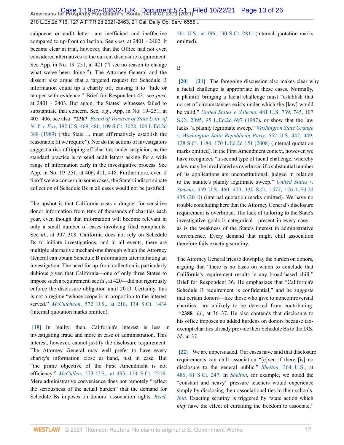**Americans for Prosperity Foundation v. Bonta, 141 S.Ct. 2373 (2021)** Case 1:19-cv-03632-TJK Document 57-1 Filed 10/22/21 Page 13 of 26

210 L.Ed.2d 716, 127 A.F.T.R.2d 2021-2463, 21 Cal. Daily Op. Serv. 6555...

subpoena or audit letter—are inefficient and ineffective compared to up-front collection. See *post*, at 2401 - 2402. It became clear at trial, however, that the Office had not even considered alternatives to the current disclosure requirement. See App. in No. 19–251, at 421 ("I see no reason to change what we've been doing."). The Attorney General and the dissent also argue that a targeted request for Schedule B information could tip a charity off, causing it to "hide or tamper with evidence." Brief for Respondent 43; see *post,* at 2401 - 2403. But again, the States' witnesses failed to substantiate that concern. See, *e*.*g*., App. in No. 19–251, at 405–406; see also **\*2387** *[Board of Trustees of State Univ. of](http://www.westlaw.com/Link/Document/FullText?findType=Y&serNum=1989096929&pubNum=0000780&originatingDoc=I7d565adeda6711eb850ac132f535d1eb&refType=RP&fi=co_pp_sp_780_480&originationContext=document&vr=3.0&rs=cblt1.0&transitionType=DocumentItem&contextData=(sc.Default)#co_pp_sp_780_480) N. Y. v. Fox*[, 492 U.S. 469, 480, 109 S.Ct. 3028, 106 L.Ed.2d](http://www.westlaw.com/Link/Document/FullText?findType=Y&serNum=1989096929&pubNum=0000780&originatingDoc=I7d565adeda6711eb850ac132f535d1eb&refType=RP&fi=co_pp_sp_780_480&originationContext=document&vr=3.0&rs=cblt1.0&transitionType=DocumentItem&contextData=(sc.Default)#co_pp_sp_780_480) [388 \(1989\)](http://www.westlaw.com/Link/Document/FullText?findType=Y&serNum=1989096929&pubNum=0000780&originatingDoc=I7d565adeda6711eb850ac132f535d1eb&refType=RP&fi=co_pp_sp_780_480&originationContext=document&vr=3.0&rs=cblt1.0&transitionType=DocumentItem&contextData=(sc.Default)#co_pp_sp_780_480) ("the State ... must affirmatively establish the reasonable fit we require"). Nor do the actions of investigators suggest a risk of tipping off charities under suspicion, as the standard practice is to send audit letters asking for a wide range of information early in the investigative process. See App. in No. 19–251, at 406, 411, 418. Furthermore, even if tipoff were a concern in some cases, the State's indiscriminate collection of Schedule Bs in all cases would not be justified.

The upshot is that California casts a dragnet for sensitive donor information from tens of thousands of charities each year, even though that information will become relevant in only a small number of cases involving filed complaints. See *id*., at 307–308. California does not rely on Schedule Bs to initiate investigations, and in all events, there are multiple alternative mechanisms through which the Attorney General can obtain Schedule B information after initiating an investigation. The need for up-front collection is particularly dubious given that California—one of only three States to impose such a requirement, see *id*., at 420—did not rigorously enforce the disclosure obligation until 2010. Certainly, this is not a regime "whose scope is in proportion to the interest served." *McCutcheon*[, 572 U.S., at 218, 134 S.Ct. 1434](http://www.westlaw.com/Link/Document/FullText?findType=Y&serNum=2033076532&pubNum=0000780&originatingDoc=I7d565adeda6711eb850ac132f535d1eb&refType=RP&fi=co_pp_sp_780_218&originationContext=document&vr=3.0&rs=cblt1.0&transitionType=DocumentItem&contextData=(sc.Default)#co_pp_sp_780_218) (internal quotation marks omitted).

<span id="page-12-0"></span>**[\[19\]](#page-3-7)** In reality, then, California's interest is less in investigating fraud and more in ease of administration. This interest, however, cannot justify the disclosure requirement. The Attorney General may well prefer to have every charity's information close at hand, just in case. But "the prime objective of the First Amendment is not efficiency." *McCullen*[, 573 U.S., at 495, 134 S.Ct. 2518](http://www.westlaw.com/Link/Document/FullText?findType=Y&serNum=2033678859&pubNum=0000780&originatingDoc=I7d565adeda6711eb850ac132f535d1eb&refType=RP&fi=co_pp_sp_780_495&originationContext=document&vr=3.0&rs=cblt1.0&transitionType=DocumentItem&contextData=(sc.Default)#co_pp_sp_780_495). Mere administrative convenience does not remotely "reflect the seriousness of the actual burden" that the demand for Schedule Bs imposes on donors' association rights. *[Reed](http://www.westlaw.com/Link/Document/FullText?findType=Y&serNum=2022366335&pubNum=0000780&originatingDoc=I7d565adeda6711eb850ac132f535d1eb&refType=RP&fi=co_pp_sp_780_196&originationContext=document&vr=3.0&rs=cblt1.0&transitionType=DocumentItem&contextData=(sc.Default)#co_pp_sp_780_196)*,

[561 U.S., at 196, 130 S.Ct. 2811](http://www.westlaw.com/Link/Document/FullText?findType=Y&serNum=2022366335&pubNum=0000780&originatingDoc=I7d565adeda6711eb850ac132f535d1eb&refType=RP&fi=co_pp_sp_780_196&originationContext=document&vr=3.0&rs=cblt1.0&transitionType=DocumentItem&contextData=(sc.Default)#co_pp_sp_780_196) (internal quotation marks omitted).

#### B

<span id="page-12-2"></span><span id="page-12-1"></span>**[\[20\]](#page-3-8) [\[21\]](#page-4-0)** The foregoing discussion also makes clear why a facial challenge is appropriate in these cases. Normally, a plaintiff bringing a facial challenge must "establish that no set of circumstances exists under which the [law] would be valid," *United States v. Salerno*[, 481 U.S. 739, 745, 107](http://www.westlaw.com/Link/Document/FullText?findType=Y&serNum=1987064904&pubNum=0000780&originatingDoc=I7d565adeda6711eb850ac132f535d1eb&refType=RP&fi=co_pp_sp_780_745&originationContext=document&vr=3.0&rs=cblt1.0&transitionType=DocumentItem&contextData=(sc.Default)#co_pp_sp_780_745) [S.Ct. 2095, 95 L.Ed.2d 697 \(1987\),](http://www.westlaw.com/Link/Document/FullText?findType=Y&serNum=1987064904&pubNum=0000780&originatingDoc=I7d565adeda6711eb850ac132f535d1eb&refType=RP&fi=co_pp_sp_780_745&originationContext=document&vr=3.0&rs=cblt1.0&transitionType=DocumentItem&contextData=(sc.Default)#co_pp_sp_780_745) or show that the law lacks "a plainly legitimate sweep," *[Washington State Grange](http://www.westlaw.com/Link/Document/FullText?findType=Y&serNum=2015506408&pubNum=0000780&originatingDoc=I7d565adeda6711eb850ac132f535d1eb&refType=RP&fi=co_pp_sp_780_449&originationContext=document&vr=3.0&rs=cblt1.0&transitionType=DocumentItem&contextData=(sc.Default)#co_pp_sp_780_449) [v. Washington State Republican Party](http://www.westlaw.com/Link/Document/FullText?findType=Y&serNum=2015506408&pubNum=0000780&originatingDoc=I7d565adeda6711eb850ac132f535d1eb&refType=RP&fi=co_pp_sp_780_449&originationContext=document&vr=3.0&rs=cblt1.0&transitionType=DocumentItem&contextData=(sc.Default)#co_pp_sp_780_449)*, 552 U.S. 442, 449, [128 S.Ct. 1184, 170 L.Ed.2d 151 \(2008\)](http://www.westlaw.com/Link/Document/FullText?findType=Y&serNum=2015506408&pubNum=0000780&originatingDoc=I7d565adeda6711eb850ac132f535d1eb&refType=RP&fi=co_pp_sp_780_449&originationContext=document&vr=3.0&rs=cblt1.0&transitionType=DocumentItem&contextData=(sc.Default)#co_pp_sp_780_449) (internal quotation marks omitted). In the First Amendment context, however, we have recognized "a second type of facial challenge, whereby a law may be invalidated as overbroad if a substantial number of its applications are unconstitutional, judged in relation to the statute's plainly legitimate sweep." *[United States v.](http://www.westlaw.com/Link/Document/FullText?findType=Y&serNum=2021786171&pubNum=0000780&originatingDoc=I7d565adeda6711eb850ac132f535d1eb&refType=RP&fi=co_pp_sp_780_473&originationContext=document&vr=3.0&rs=cblt1.0&transitionType=DocumentItem&contextData=(sc.Default)#co_pp_sp_780_473) Stevens*[, 559 U.S. 460, 473, 130 S.Ct. 1577, 176 L.Ed.2d](http://www.westlaw.com/Link/Document/FullText?findType=Y&serNum=2021786171&pubNum=0000780&originatingDoc=I7d565adeda6711eb850ac132f535d1eb&refType=RP&fi=co_pp_sp_780_473&originationContext=document&vr=3.0&rs=cblt1.0&transitionType=DocumentItem&contextData=(sc.Default)#co_pp_sp_780_473) [435 \(2010\)](http://www.westlaw.com/Link/Document/FullText?findType=Y&serNum=2021786171&pubNum=0000780&originatingDoc=I7d565adeda6711eb850ac132f535d1eb&refType=RP&fi=co_pp_sp_780_473&originationContext=document&vr=3.0&rs=cblt1.0&transitionType=DocumentItem&contextData=(sc.Default)#co_pp_sp_780_473) (internal quotation marks omitted). We have no trouble concluding here that the Attorney General's disclosure requirement is overbroad. The lack of tailoring to the State's investigative goals is categorical—present in every case as is the weakness of the State's interest in administrative convenience. Every demand that might chill association therefore fails exacting scrutiny.

The Attorney General tries to downplay the burden on donors, arguing that "there is no basis on which to conclude that California's requirement results in any broad-based chill." Brief for Respondent 36. He emphasizes that "California's Schedule B requirement is confidential," and he suggests that certain donors—like those who give to noncontroversial charities—are unlikely to be deterred from contributing. **\*2388** *Id*., at 36–37. He also contends that disclosure to his office imposes no added burdens on donors because taxexempt charities already provide their Schedule Bs to the IRS. *Id*., at 37.

<span id="page-12-3"></span>**[\[22\]](#page-4-1)** We are unpersuaded. Our cases have said that disclosure requirements can chill association "[e]ven if there [is] no disclosure to the general public." *Shelton*[, 364 U.S., at](http://www.westlaw.com/Link/Document/FullText?findType=Y&serNum=1960122601&pubNum=0000780&originatingDoc=I7d565adeda6711eb850ac132f535d1eb&refType=RP&fi=co_pp_sp_780_486&originationContext=document&vr=3.0&rs=cblt1.0&transitionType=DocumentItem&contextData=(sc.Default)#co_pp_sp_780_486) [486, 81 S.Ct. 247](http://www.westlaw.com/Link/Document/FullText?findType=Y&serNum=1960122601&pubNum=0000780&originatingDoc=I7d565adeda6711eb850ac132f535d1eb&refType=RP&fi=co_pp_sp_780_486&originationContext=document&vr=3.0&rs=cblt1.0&transitionType=DocumentItem&contextData=(sc.Default)#co_pp_sp_780_486). In *[Shelton](http://www.westlaw.com/Link/Document/FullText?findType=Y&serNum=1960122601&pubNum=0000780&originatingDoc=I7d565adeda6711eb850ac132f535d1eb&refType=RP&originationContext=document&vr=3.0&rs=cblt1.0&transitionType=DocumentItem&contextData=(sc.Default))*, for example, we noted the "constant and heavy" pressure teachers would experience simply by disclosing their associational ties to their schools. *[Ibid](http://www.westlaw.com/Link/Document/FullText?findType=Y&serNum=1960122601&pubNum=0000780&originatingDoc=I7d565adeda6711eb850ac132f535d1eb&refType=RP&originationContext=document&vr=3.0&rs=cblt1.0&transitionType=DocumentItem&contextData=(sc.Default))*. Exacting scrutiny is triggered by "state action which *may* have the effect of curtailing the freedom to associate,"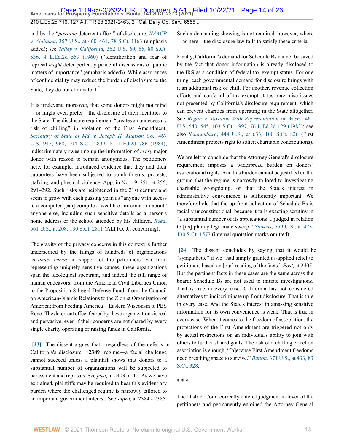and by the "*possible* deterrent effect" of disclosure. *[NAACP](http://www.westlaw.com/Link/Document/FullText?findType=Y&serNum=1958121466&pubNum=0000780&originatingDoc=I7d565adeda6711eb850ac132f535d1eb&refType=RP&fi=co_pp_sp_780_460&originationContext=document&vr=3.0&rs=cblt1.0&transitionType=DocumentItem&contextData=(sc.Default)#co_pp_sp_780_460) v. Alabama*[, 357 U.S., at 460–461, 78 S.Ct. 1163](http://www.westlaw.com/Link/Document/FullText?findType=Y&serNum=1958121466&pubNum=0000780&originatingDoc=I7d565adeda6711eb850ac132f535d1eb&refType=RP&fi=co_pp_sp_780_460&originationContext=document&vr=3.0&rs=cblt1.0&transitionType=DocumentItem&contextData=(sc.Default)#co_pp_sp_780_460) (emphasis added); see *Talley v. California*[, 362 U.S. 60, 65, 80 S.Ct.](http://www.westlaw.com/Link/Document/FullText?findType=Y&serNum=1960104182&pubNum=0000780&originatingDoc=I7d565adeda6711eb850ac132f535d1eb&refType=RP&fi=co_pp_sp_780_65&originationContext=document&vr=3.0&rs=cblt1.0&transitionType=DocumentItem&contextData=(sc.Default)#co_pp_sp_780_65) [536, 4 L.Ed.2d 559 \(1960\)](http://www.westlaw.com/Link/Document/FullText?findType=Y&serNum=1960104182&pubNum=0000780&originatingDoc=I7d565adeda6711eb850ac132f535d1eb&refType=RP&fi=co_pp_sp_780_65&originationContext=document&vr=3.0&rs=cblt1.0&transitionType=DocumentItem&contextData=(sc.Default)#co_pp_sp_780_65) ("identification and fear of reprisal *might* deter perfectly peaceful discussions of public matters of importance" (emphasis added)). While assurances of confidentiality may reduce the burden of disclosure to the State, they do not eliminate it.<sup>[\\*](#page-24-1)</sup>

<span id="page-13-2"></span>It is irrelevant, moreover, that some donors might not mind —or might even prefer—the disclosure of their identities to the State. The disclosure requirement "creates an unnecessary risk of chilling" in violation of the First Amendment, *[Secretary of State of Md. v. Joseph H. Munson Co.](http://www.westlaw.com/Link/Document/FullText?findType=Y&serNum=1984130891&pubNum=0000780&originatingDoc=I7d565adeda6711eb850ac132f535d1eb&refType=RP&fi=co_pp_sp_780_968&originationContext=document&vr=3.0&rs=cblt1.0&transitionType=DocumentItem&contextData=(sc.Default)#co_pp_sp_780_968)*, 467 [U.S. 947, 968, 104 S.Ct. 2839, 81 L.Ed.2d 786 \(1984\)](http://www.westlaw.com/Link/Document/FullText?findType=Y&serNum=1984130891&pubNum=0000780&originatingDoc=I7d565adeda6711eb850ac132f535d1eb&refType=RP&fi=co_pp_sp_780_968&originationContext=document&vr=3.0&rs=cblt1.0&transitionType=DocumentItem&contextData=(sc.Default)#co_pp_sp_780_968), indiscriminately sweeping up the information of *every* major donor with reason to remain anonymous. The petitioners here, for example, introduced evidence that they and their supporters have been subjected to bomb threats, protests, stalking, and physical violence. App. in No. 19–251, at 256, 291–292. Such risks are heightened in the 21st century and seem to grow with each passing year, as "anyone with access to a computer [can] compile a wealth of information about" anyone else, including such sensitive details as a person's home address or the school attended by his children. *[Reed](http://www.westlaw.com/Link/Document/FullText?findType=Y&serNum=2022366335&pubNum=0000780&originatingDoc=I7d565adeda6711eb850ac132f535d1eb&refType=RP&fi=co_pp_sp_780_208&originationContext=document&vr=3.0&rs=cblt1.0&transitionType=DocumentItem&contextData=(sc.Default)#co_pp_sp_780_208)*, [561 U.S., at 208, 130 S.Ct. 2811](http://www.westlaw.com/Link/Document/FullText?findType=Y&serNum=2022366335&pubNum=0000780&originatingDoc=I7d565adeda6711eb850ac132f535d1eb&refType=RP&fi=co_pp_sp_780_208&originationContext=document&vr=3.0&rs=cblt1.0&transitionType=DocumentItem&contextData=(sc.Default)#co_pp_sp_780_208) (ALITO, J., concurring).

The gravity of the privacy concerns in this context is further underscored by the filings of hundreds of organizations as *amici curiae* in support of the petitioners. Far from representing uniquely sensitive causes, these organizations span the ideological spectrum, and indeed the full range of human endeavors: from the American Civil Liberties Union to the Proposition 8 Legal Defense Fund; from the Council on American-Islamic Relations to the Zionist Organization of America; from Feeding America—Eastern Wisconsin to PBS Reno. The deterrent effect feared by these organizations is real and pervasive, even if their concerns are not shared by every single charity operating or raising funds in California.

<span id="page-13-0"></span>**[\[23\]](#page-4-2)** The dissent argues that—regardless of the defects in California's disclosure **\*2389** regime—a facial challenge cannot succeed unless a plaintiff shows that donors to a substantial number of organizations will be subjected to harassment and reprisals. See *post,* at 2403, n. 11. As we have explained, plaintiffs may be required to bear this evidentiary burden where the challenged regime is narrowly tailored to an important government interest. See *supra,* at 2384 - 2385.

Such a demanding showing is not required, however, where —as here—the disclosure law fails to satisfy these criteria.

Finally, California's demand for Schedule Bs cannot be saved by the fact that donor information is already disclosed to the IRS as a condition of federal tax-exempt status. For one thing, each governmental demand for disclosure brings with it an additional risk of chill. For another, revenue collection efforts and conferral of tax-exempt status may raise issues not presented by California's disclosure requirement, which can prevent charities from operating in the State altogether. See *[Regan v. Taxation With Representation of Wash.](http://www.westlaw.com/Link/Document/FullText?findType=Y&serNum=1983124085&pubNum=0000780&originatingDoc=I7d565adeda6711eb850ac132f535d1eb&refType=RP&fi=co_pp_sp_780_545&originationContext=document&vr=3.0&rs=cblt1.0&transitionType=DocumentItem&contextData=(sc.Default)#co_pp_sp_780_545)*, 461 [U.S. 540, 545, 103 S.Ct. 1997, 76 L.Ed.2d 129 \(1983\)](http://www.westlaw.com/Link/Document/FullText?findType=Y&serNum=1983124085&pubNum=0000780&originatingDoc=I7d565adeda6711eb850ac132f535d1eb&refType=RP&fi=co_pp_sp_780_545&originationContext=document&vr=3.0&rs=cblt1.0&transitionType=DocumentItem&contextData=(sc.Default)#co_pp_sp_780_545); see also *Schaumburg*[, 444 U.S., at 633, 100 S.Ct. 826](http://www.westlaw.com/Link/Document/FullText?findType=Y&serNum=1980105848&pubNum=0000780&originatingDoc=I7d565adeda6711eb850ac132f535d1eb&refType=RP&fi=co_pp_sp_780_633&originationContext=document&vr=3.0&rs=cblt1.0&transitionType=DocumentItem&contextData=(sc.Default)#co_pp_sp_780_633) (First Amendment protects right to solicit charitable contributions).

We are left to conclude that the Attorney General's disclosure requirement imposes a widespread burden on donors' associational rights. And this burden cannot be justified on the ground that the regime is narrowly tailored to investigating charitable wrongdoing, or that the State's interest in administrative convenience is sufficiently important. We therefore hold that the up-front collection of Schedule Bs is facially unconstitutional, because it fails exacting scrutiny in "a substantial number of its applications ... judged in relation to [its] plainly legitimate sweep." *Stevens*[, 559 U.S., at 473,](http://www.westlaw.com/Link/Document/FullText?findType=Y&serNum=2021786171&pubNum=0000780&originatingDoc=I7d565adeda6711eb850ac132f535d1eb&refType=RP&fi=co_pp_sp_780_473&originationContext=document&vr=3.0&rs=cblt1.0&transitionType=DocumentItem&contextData=(sc.Default)#co_pp_sp_780_473) [130 S.Ct. 1577](http://www.westlaw.com/Link/Document/FullText?findType=Y&serNum=2021786171&pubNum=0000780&originatingDoc=I7d565adeda6711eb850ac132f535d1eb&refType=RP&fi=co_pp_sp_780_473&originationContext=document&vr=3.0&rs=cblt1.0&transitionType=DocumentItem&contextData=(sc.Default)#co_pp_sp_780_473) (internal quotation marks omitted).

<span id="page-13-1"></span>**[\[24\]](#page-4-3)** The dissent concludes by saying that it would be "sympathetic" if we "had simply granted as-applied relief to petitioners based on [our] reading of the facts." *Post,* at 2405. But the pertinent facts in these cases are the same across the board: Schedule Bs are not used to initiate investigations. That is true in every case. California has not considered alternatives to indiscriminate up-front disclosure. That is true in every case. And the State's interest in amassing sensitive information for its own convenience is weak. That is true in every case. When it comes to the freedom of association, the protections of the First Amendment are triggered not only by actual restrictions on an individual's ability to join with others to further shared goals. The risk of a chilling effect on association is enough, "[b]ecause First Amendment freedoms need breathing space to survive." *Button*[, 371 U.S., at 433, 83](http://www.westlaw.com/Link/Document/FullText?findType=Y&serNum=1963125272&pubNum=0000780&originatingDoc=I7d565adeda6711eb850ac132f535d1eb&refType=RP&fi=co_pp_sp_780_433&originationContext=document&vr=3.0&rs=cblt1.0&transitionType=DocumentItem&contextData=(sc.Default)#co_pp_sp_780_433) [S.Ct. 328](http://www.westlaw.com/Link/Document/FullText?findType=Y&serNum=1963125272&pubNum=0000780&originatingDoc=I7d565adeda6711eb850ac132f535d1eb&refType=RP&fi=co_pp_sp_780_433&originationContext=document&vr=3.0&rs=cblt1.0&transitionType=DocumentItem&contextData=(sc.Default)#co_pp_sp_780_433).

\* \* \*

The District Court correctly entered judgment in favor of the petitioners and permanently enjoined the Attorney General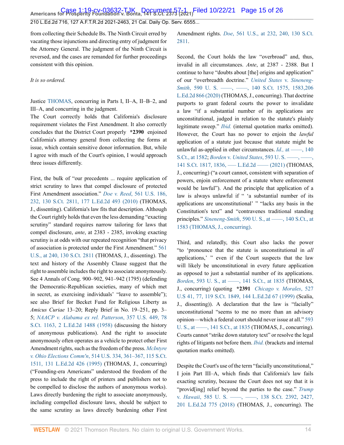from collecting their Schedule Bs. The Ninth Circuit erred by vacating those injunctions and directing entry of judgment for the Attorney General. The judgment of the Ninth Circuit is reversed, and the cases are remanded for further proceedings consistent with this opinion.

*It is so ordered.*

Justice [THOMAS,](http://www.westlaw.com/Link/Document/FullText?findType=h&pubNum=176284&cite=0216654601&originatingDoc=I7d565adeda6711eb850ac132f535d1eb&refType=RQ&originationContext=document&vr=3.0&rs=cblt1.0&transitionType=DocumentItem&contextData=(sc.Default)) concurring in Parts I, II–A, II–B–2, and III–A, and concurring in the judgment.

The Court correctly holds that California's disclosure requirement violates the First Amendment. It also correctly concludes that the District Court properly **\*2390** enjoined California's attorney general from collecting the forms at issue, which contain sensitive donor information. But, while I agree with much of the Court's opinion, I would approach three issues differently.

First, the bulk of "our precedents ... require application of strict scrutiny to laws that compel disclosure of protected First Amendment association." *Doe v. Reed*[, 561 U.S. 186,](http://www.westlaw.com/Link/Document/FullText?findType=Y&serNum=2022366335&pubNum=0000780&originatingDoc=I7d565adeda6711eb850ac132f535d1eb&refType=RP&fi=co_pp_sp_780_232&originationContext=document&vr=3.0&rs=cblt1.0&transitionType=DocumentItem&contextData=(sc.Default)#co_pp_sp_780_232) [232, 130 S.Ct. 2811, 177 L.Ed.2d 493 \(2010\)](http://www.westlaw.com/Link/Document/FullText?findType=Y&serNum=2022366335&pubNum=0000780&originatingDoc=I7d565adeda6711eb850ac132f535d1eb&refType=RP&fi=co_pp_sp_780_232&originationContext=document&vr=3.0&rs=cblt1.0&transitionType=DocumentItem&contextData=(sc.Default)#co_pp_sp_780_232) (THOMAS, J., dissenting). California's law fits that description. Although the Court rightly holds that even the less demanding "exacting scrutiny" standard requires narrow tailoring for laws that compel disclosure, *ante*, at 2383 - 2385, invoking exacting scrutiny is at odds with our repeated recognition "that privacy of association is protected under the First Amendment." [561](http://www.westlaw.com/Link/Document/FullText?findType=Y&serNum=2022366335&pubNum=0000780&originatingDoc=I7d565adeda6711eb850ac132f535d1eb&refType=RP&fi=co_pp_sp_780_240&originationContext=document&vr=3.0&rs=cblt1.0&transitionType=DocumentItem&contextData=(sc.Default)#co_pp_sp_780_240) [U.S., at 240, 130 S.Ct. 2811](http://www.westlaw.com/Link/Document/FullText?findType=Y&serNum=2022366335&pubNum=0000780&originatingDoc=I7d565adeda6711eb850ac132f535d1eb&refType=RP&fi=co_pp_sp_780_240&originationContext=document&vr=3.0&rs=cblt1.0&transitionType=DocumentItem&contextData=(sc.Default)#co_pp_sp_780_240) (THOMAS, J., dissenting). The text and history of the Assembly Clause suggest that the right to assemble includes the right to associate anonymously. See 4 Annals of Cong. 900–902, 941–942 (1795) (defending the Democratic-Republican societies, many of which met in secret, as exercising individuals' "leave to assemble"); see also Brief for Becket Fund for Religious Liberty as *Amicus Curiae* 13–20; Reply Brief in No. 19–251, pp. 3– 5; *[NAACP v. Alabama ex rel. Patterson](http://www.westlaw.com/Link/Document/FullText?findType=Y&serNum=1958121466&pubNum=0000708&originatingDoc=I7d565adeda6711eb850ac132f535d1eb&refType=RP&originationContext=document&vr=3.0&rs=cblt1.0&transitionType=DocumentItem&contextData=(sc.Default))*, 357 U.S. 449, 78 [S.Ct. 1163, 2 L.Ed.2d 1488 \(1958\)](http://www.westlaw.com/Link/Document/FullText?findType=Y&serNum=1958121466&pubNum=0000708&originatingDoc=I7d565adeda6711eb850ac132f535d1eb&refType=RP&originationContext=document&vr=3.0&rs=cblt1.0&transitionType=DocumentItem&contextData=(sc.Default)) (discussing the history of anonymous publications). And the right to associate anonymously often operates as a vehicle to protect other First Amendment rights, such as the freedom of the press. *[McIntyre](http://www.westlaw.com/Link/Document/FullText?findType=Y&serNum=1995091685&pubNum=0000780&originatingDoc=I7d565adeda6711eb850ac132f535d1eb&refType=RP&fi=co_pp_sp_780_361&originationContext=document&vr=3.0&rs=cblt1.0&transitionType=DocumentItem&contextData=(sc.Default)#co_pp_sp_780_361) v. Ohio Elections Comm'n*[, 514 U.S. 334, 361–367, 115 S.Ct.](http://www.westlaw.com/Link/Document/FullText?findType=Y&serNum=1995091685&pubNum=0000780&originatingDoc=I7d565adeda6711eb850ac132f535d1eb&refType=RP&fi=co_pp_sp_780_361&originationContext=document&vr=3.0&rs=cblt1.0&transitionType=DocumentItem&contextData=(sc.Default)#co_pp_sp_780_361) [1511, 131 L.Ed.2d 426 \(1995\)](http://www.westlaw.com/Link/Document/FullText?findType=Y&serNum=1995091685&pubNum=0000780&originatingDoc=I7d565adeda6711eb850ac132f535d1eb&refType=RP&fi=co_pp_sp_780_361&originationContext=document&vr=3.0&rs=cblt1.0&transitionType=DocumentItem&contextData=(sc.Default)#co_pp_sp_780_361) (THOMAS, J., concurring) ("Founding-era Americans" understood the freedom of the press to include the right of printers and publishers not to be compelled to disclose the authors of anonymous works). Laws directly burdening the right to associate anonymously, including compelled disclosure laws, should be subject to the same scrutiny as laws directly burdening other First

Amendment rights. *Doe*[, 561 U.S., at 232, 240, 130 S.Ct.](http://www.westlaw.com/Link/Document/FullText?findType=Y&serNum=2022366335&pubNum=0000780&originatingDoc=I7d565adeda6711eb850ac132f535d1eb&refType=RP&fi=co_pp_sp_780_232&originationContext=document&vr=3.0&rs=cblt1.0&transitionType=DocumentItem&contextData=(sc.Default)#co_pp_sp_780_232) [2811.](http://www.westlaw.com/Link/Document/FullText?findType=Y&serNum=2022366335&pubNum=0000780&originatingDoc=I7d565adeda6711eb850ac132f535d1eb&refType=RP&fi=co_pp_sp_780_232&originationContext=document&vr=3.0&rs=cblt1.0&transitionType=DocumentItem&contextData=(sc.Default)#co_pp_sp_780_232)

Second, the Court holds the law "overbroad" and, thus, invalid in all circumstances. *Ante*, at 2387 - 2388. But I continue to have "doubts about [the] origins and application" of our "overbreadth doctrine." *[United States](http://www.westlaw.com/Link/Document/FullText?findType=Y&serNum=2050920316&pubNum=0000780&originatingDoc=I7d565adeda6711eb850ac132f535d1eb&refType=RP&originationContext=document&vr=3.0&rs=cblt1.0&transitionType=DocumentItem&contextData=(sc.Default))* v. *Sineneng-Smith*, 590 U. S. —–, —–, 140 S.Ct. 1575, 1583,206 [L.Ed.2d 866 \(2020\)](http://www.westlaw.com/Link/Document/FullText?findType=Y&serNum=2050920316&pubNum=0000780&originatingDoc=I7d565adeda6711eb850ac132f535d1eb&refType=RP&originationContext=document&vr=3.0&rs=cblt1.0&transitionType=DocumentItem&contextData=(sc.Default)) (THOMAS, J., concurring). That doctrine purports to grant federal courts the power to invalidate a law "if a substantial number of its applications are unconstitutional, judged in relation to the statute's plainly legitimate sweep." *[Ibid.](http://www.westlaw.com/Link/Document/FullText?findType=Y&serNum=2050920316&pubNum=0000708&originatingDoc=I7d565adeda6711eb850ac132f535d1eb&refType=RP&originationContext=document&vr=3.0&rs=cblt1.0&transitionType=DocumentItem&contextData=(sc.Default))* (internal quotation marks omitted). However, the Court has no power to enjoin the *lawful* application of a statute just because that statute might be unlawful as-applied in other circumstances. *Id.*, at ——, 140 [S.Ct., at 1582;](http://www.westlaw.com/Link/Document/FullText?findType=Y&serNum=2050920316&pubNum=0000708&originatingDoc=I7d565adeda6711eb850ac132f535d1eb&refType=RP&fi=co_pp_sp_708_1580&originationContext=document&vr=3.0&rs=cblt1.0&transitionType=DocumentItem&contextData=(sc.Default)#co_pp_sp_708_1580) *Borden* v. *United States*[, 593 U. S. ––––, ––––,](http://www.westlaw.com/Link/Document/FullText?findType=Y&serNum=2053788397&pubNum=0000780&originatingDoc=I7d565adeda6711eb850ac132f535d1eb&refType=RP&originationContext=document&vr=3.0&rs=cblt1.0&transitionType=DocumentItem&contextData=(sc.Default)) 141 S.Ct. 1817, 1836, — L.Ed.2d — (2021) (THOMAS, J., concurring) ("a court cannot, consistent with separation of powers, enjoin enforcement of a statute where enforcement would be lawful"). And the principle that application of a law is always unlawful if " 'a substantial number of its applications are unconstitutional' " "lacks any basis in the Constitution's text" and "contravenes traditional standing principles." *Sineneng-Smith*, 590 U. S., at ——, 140 S.Ct., at [1583 \(THOMAS, J., concurring\)](http://www.westlaw.com/Link/Document/FullText?findType=Y&serNum=2050920316&pubNum=0000708&originatingDoc=I7d565adeda6711eb850ac132f535d1eb&refType=RP&fi=co_pp_sp_708_1583&originationContext=document&vr=3.0&rs=cblt1.0&transitionType=DocumentItem&contextData=(sc.Default)#co_pp_sp_708_1583).

Third, and relatedly, this Court also lacks the power "to 'pronounce that the statute is unconstitutional in *all* applications,' " even if the Court suspects that the law will likely be unconstitutional in every future application as opposed to just a substantial number of its applications. *Borden*, 593 U. S., at ——, 141 S.Ct., at 1835 (THOMAS, J., concurring) (quoting **\*2391** *[Chicago v. Morales](http://www.westlaw.com/Link/Document/FullText?findType=Y&serNum=1999137113&pubNum=0000780&originatingDoc=I7d565adeda6711eb850ac132f535d1eb&refType=RP&fi=co_pp_sp_780_77&originationContext=document&vr=3.0&rs=cblt1.0&transitionType=DocumentItem&contextData=(sc.Default)#co_pp_sp_780_77)*, 527 [U.S 41, 77, 119 S.Ct. 1849, 144 L.Ed.2d 67 \(1999\)](http://www.westlaw.com/Link/Document/FullText?findType=Y&serNum=1999137113&pubNum=0000780&originatingDoc=I7d565adeda6711eb850ac132f535d1eb&refType=RP&fi=co_pp_sp_780_77&originationContext=document&vr=3.0&rs=cblt1.0&transitionType=DocumentItem&contextData=(sc.Default)#co_pp_sp_780_77) (Scalia, J., dissenting)). A declaration that the law is "facially" unconstitutional "seems to me no more than an advisory opinion—which a federal court should never issue at all." [593](http://www.westlaw.com/Link/Document/FullText?findType=Y&serNum=2053788397&originatingDoc=I7d565adeda6711eb850ac132f535d1eb&refType=RP&originationContext=document&vr=3.0&rs=cblt1.0&transitionType=DocumentItem&contextData=(sc.Default)) [U. S., at ––––, 141 S.Ct., at 1835](http://www.westlaw.com/Link/Document/FullText?findType=Y&serNum=2053788397&originatingDoc=I7d565adeda6711eb850ac132f535d1eb&refType=RP&originationContext=document&vr=3.0&rs=cblt1.0&transitionType=DocumentItem&contextData=(sc.Default)) (THOMAS, J., concurring). Courts cannot "strike down statutory text" or resolve the legal rights of litigants not before them. *[Ibid.](http://www.westlaw.com/Link/Document/FullText?findType=Y&serNum=2053788397&pubNum=0000708&originatingDoc=I7d565adeda6711eb850ac132f535d1eb&refType=RP&originationContext=document&vr=3.0&rs=cblt1.0&transitionType=DocumentItem&contextData=(sc.Default))* (brackets and internal quotation marks omitted).

Despite the Court's use of the term "facially unconstitutional," I join Part III–A, which finds that California's law fails exacting scrutiny, because the Court does not say that it is "provid[ing] relief beyond the parties to the case." *[Trump](http://www.westlaw.com/Link/Document/FullText?findType=Y&serNum=2044809301&pubNum=0000780&originatingDoc=I7d565adeda6711eb850ac132f535d1eb&refType=RP&originationContext=document&vr=3.0&rs=cblt1.0&transitionType=DocumentItem&contextData=(sc.Default))* v. *Hawaii*, 585 U. S. — , — , 138 S.Ct. 2392, 2427, [201 L.Ed.2d 775 \(2018\)](http://www.westlaw.com/Link/Document/FullText?findType=Y&serNum=2044809301&pubNum=0000780&originatingDoc=I7d565adeda6711eb850ac132f535d1eb&refType=RP&originationContext=document&vr=3.0&rs=cblt1.0&transitionType=DocumentItem&contextData=(sc.Default)) (THOMAS, J., concurring). The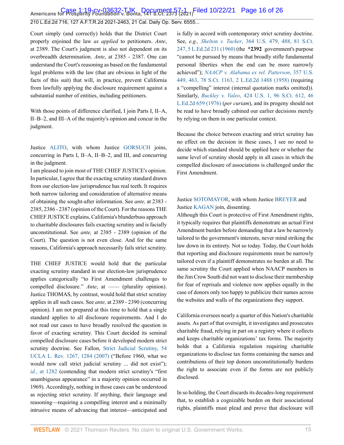Court simply (and correctly) holds that the District Court properly enjoined the law *as applied* to petitioners. *Ante*, at 2389. The Court's judgment is also not dependent on its overbreadth determination. *Ante*, at 2385 - 2387. One can understand the Court's reasoning as based on the fundamental legal problems with the law (that are obvious in light of the facts of this suit) that will, in practice, prevent California from lawfully applying the disclosure requirement against a substantial number of entities, including petitioners.

With those points of difference clarified, I join Parts I, II–A, II–B–2, and III–A of the majority's opinion and concur in the judgment.

Justice [ALITO](http://www.westlaw.com/Link/Document/FullText?findType=h&pubNum=176284&cite=0153052401&originatingDoc=I7d565adeda6711eb850ac132f535d1eb&refType=RQ&originationContext=document&vr=3.0&rs=cblt1.0&transitionType=DocumentItem&contextData=(sc.Default)), with whom Justice [GORSUCH](http://www.westlaw.com/Link/Document/FullText?findType=h&pubNum=176284&cite=0183411701&originatingDoc=I7d565adeda6711eb850ac132f535d1eb&refType=RQ&originationContext=document&vr=3.0&rs=cblt1.0&transitionType=DocumentItem&contextData=(sc.Default)) joins, concurring in Parts I, II–A, II–B–2, and III, and concurring in the judgment.

I am pleased to join most of THE CHIEF JUSTICE's opinion. In particular, I agree that the exacting scrutiny standard drawn from our election-law jurisprudence has real teeth. It requires both narrow tailoring and consideration of alternative means of obtaining the sought-after information. See *ante,* at 2383 - 2385, 2386 - 2387 (opinion of the Court). For the reasons THE CHIEF JUSTICE explains, California's blunderbuss approach to charitable disclosures fails exacting scrutiny and is facially unconstitutional. See *ante,* at 2385 - 2389 (opinion of the Court). The question is not even close. And for the same reasons, California's approach necessarily fails strict scrutiny.

THE CHIEF JUSTICE would hold that the particular exacting scrutiny standard in our election-law jurisprudence applies categorically "to First Amendment challenges to compelled disclosure." *Ante*, at —— (plurality opinion). Justice THOMAS, by contrast, would hold that strict scrutiny applies in all such cases. See *ante,* at 2389 - 2390 (concurring opinion). I am not prepared at this time to hold that a single standard applies to all disclosure requirements. And I do not read our cases to have broadly resolved the question in favor of exacting scrutiny. This Court decided its seminal compelled disclosure cases before it developed modern strict scrutiny doctrine. See Fallon, [Strict Judicial Scrutiny, 54](http://www.westlaw.com/Link/Document/FullText?findType=Y&serNum=0332664275&pubNum=0003041&originatingDoc=I7d565adeda6711eb850ac132f535d1eb&refType=LR&fi=co_pp_sp_3041_1284&originationContext=document&vr=3.0&rs=cblt1.0&transitionType=DocumentItem&contextData=(sc.Default)#co_pp_sp_3041_1284) [UCLA L. Rev. 1267, 1284 \(2007\)](http://www.westlaw.com/Link/Document/FullText?findType=Y&serNum=0332664275&pubNum=0003041&originatingDoc=I7d565adeda6711eb850ac132f535d1eb&refType=LR&fi=co_pp_sp_3041_1284&originationContext=document&vr=3.0&rs=cblt1.0&transitionType=DocumentItem&contextData=(sc.Default)#co_pp_sp_3041_1284) ("Before 1960, what we would now call strict judicial scrutiny ... did not exist"); *id.*[, at 1282](http://www.westlaw.com/Link/Document/FullText?findType=Y&serNum=0332664275&pubNum=0003041&originatingDoc=I7d565adeda6711eb850ac132f535d1eb&refType=LR&fi=co_pp_sp_3041_1282&originationContext=document&vr=3.0&rs=cblt1.0&transitionType=DocumentItem&contextData=(sc.Default)#co_pp_sp_3041_1282) (contending that modern strict scrutiny's "first unambiguous appearance" in a majority opinion occurred in 1969). Accordingly, nothing in those cases can be understood as rejecting strict scrutiny. If anything, their language and reasoning—requiring a compelling interest and a minimally intrusive means of advancing that interest—anticipated and is fully in accord with contemporary strict scrutiny doctrine. See, *e.g., Shelton v. Tucker*[, 364 U.S. 479, 488, 81 S.Ct.](http://www.westlaw.com/Link/Document/FullText?findType=Y&serNum=1960122601&pubNum=0000780&originatingDoc=I7d565adeda6711eb850ac132f535d1eb&refType=RP&fi=co_pp_sp_780_488&originationContext=document&vr=3.0&rs=cblt1.0&transitionType=DocumentItem&contextData=(sc.Default)#co_pp_sp_780_488) [247, 5 L.Ed.2d 231 \(1960\)](http://www.westlaw.com/Link/Document/FullText?findType=Y&serNum=1960122601&pubNum=0000780&originatingDoc=I7d565adeda6711eb850ac132f535d1eb&refType=RP&fi=co_pp_sp_780_488&originationContext=document&vr=3.0&rs=cblt1.0&transitionType=DocumentItem&contextData=(sc.Default)#co_pp_sp_780_488) (the **\*2392** government's purpose "cannot be pursued by means that broadly stifle fundamental personal liberties when the end can be more narrowly achieved"); *[NAACP v. Alabama ex rel. Patterson](http://www.westlaw.com/Link/Document/FullText?findType=Y&serNum=1958121466&pubNum=0000780&originatingDoc=I7d565adeda6711eb850ac132f535d1eb&refType=RP&fi=co_pp_sp_780_463&originationContext=document&vr=3.0&rs=cblt1.0&transitionType=DocumentItem&contextData=(sc.Default)#co_pp_sp_780_463)*, 357 U.S. [449, 463, 78 S.Ct. 1163, 2 L.Ed.2d 1488 \(1958\)](http://www.westlaw.com/Link/Document/FullText?findType=Y&serNum=1958121466&pubNum=0000780&originatingDoc=I7d565adeda6711eb850ac132f535d1eb&refType=RP&fi=co_pp_sp_780_463&originationContext=document&vr=3.0&rs=cblt1.0&transitionType=DocumentItem&contextData=(sc.Default)#co_pp_sp_780_463) (requiring a "compelling" interest (internal quotation marks omitted)). Similarly, *Buckley v. Valeo*[, 424 U.S. 1, 96 S.Ct. 612, 46](http://www.westlaw.com/Link/Document/FullText?findType=Y&serNum=1976142308&pubNum=0000708&originatingDoc=I7d565adeda6711eb850ac132f535d1eb&refType=RP&originationContext=document&vr=3.0&rs=cblt1.0&transitionType=DocumentItem&contextData=(sc.Default)) [L.Ed.2d 659 \(1976\)](http://www.westlaw.com/Link/Document/FullText?findType=Y&serNum=1976142308&pubNum=0000708&originatingDoc=I7d565adeda6711eb850ac132f535d1eb&refType=RP&originationContext=document&vr=3.0&rs=cblt1.0&transitionType=DocumentItem&contextData=(sc.Default)) (*per curiam*), and its progeny should not be read to have broadly cabined our earlier decisions merely by relying on them in one particular context.

Because the choice between exacting and strict scrutiny has no effect on the decision in these cases, I see no need to decide which standard should be applied here or whether the same level of scrutiny should apply in all cases in which the compelled disclosure of associations is challenged under the First Amendment.

#### Justice [SOTOMAYOR,](http://www.westlaw.com/Link/Document/FullText?findType=h&pubNum=176284&cite=0145172701&originatingDoc=I7d565adeda6711eb850ac132f535d1eb&refType=RQ&originationContext=document&vr=3.0&rs=cblt1.0&transitionType=DocumentItem&contextData=(sc.Default)) with whom Justice [BREYER](http://www.westlaw.com/Link/Document/FullText?findType=h&pubNum=176284&cite=0254766801&originatingDoc=I7d565adeda6711eb850ac132f535d1eb&refType=RQ&originationContext=document&vr=3.0&rs=cblt1.0&transitionType=DocumentItem&contextData=(sc.Default)) and Justice [KAGAN](http://www.westlaw.com/Link/Document/FullText?findType=h&pubNum=176284&cite=0301239401&originatingDoc=I7d565adeda6711eb850ac132f535d1eb&refType=RQ&originationContext=document&vr=3.0&rs=cblt1.0&transitionType=DocumentItem&contextData=(sc.Default)) join, dissenting.

Although this Court is protective of First Amendment rights, it typically requires that plaintiffs demonstrate an actual First Amendment burden before demanding that a law be narrowly tailored to the government's interests, never mind striking the law down in its entirety. Not so today. Today, the Court holds that reporting and disclosure requirements must be narrowly tailored even if a plaintiff demonstrates no burden at all. The same scrutiny the Court applied when NAACP members in the Jim Crow South did not want to disclose their membership for fear of reprisals and violence now applies equally in the case of donors only too happy to publicize their names across the websites and walls of the organizations they support.

California oversees nearly a quarter of this Nation's charitable assets. As part of that oversight, it investigates and prosecutes charitable fraud, relying in part on a registry where it collects and keeps charitable organizations' tax forms. The majority holds that a California regulation requiring charitable organizations to disclose tax forms containing the names and contributions of their top donors unconstitutionally burdens the right to associate even if the forms are not publicly disclosed.

In so holding, the Court discards its decades-long requirement that, to establish a cognizable burden on their associational rights, plaintiffs must plead and prove that disclosure will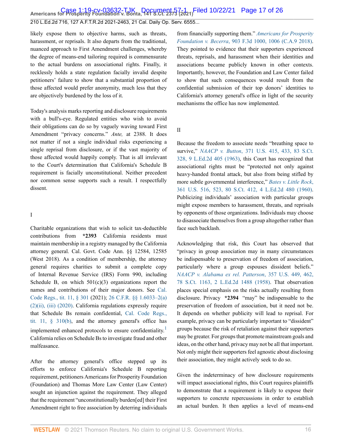Americans for Prosperity Foundation v. Bonta, 141 S.Ct. 2373 (20<sub>21)</sub>Filed 10/22/21 Page 17 of 26

210 L.Ed.2d 716, 127 A.F.T.R.2d 2021-2463, 21 Cal. Daily Op. Serv. 6555...

likely expose them to objective harms, such as threats, harassment, or reprisals. It also departs from the traditional, nuanced approach to First Amendment challenges, whereby the degree of means-end tailoring required is commensurate to the actual burdens on associational rights. Finally, it recklessly holds a state regulation facially invalid despite petitioners' failure to show that a substantial proportion of those affected would prefer anonymity, much less that they are objectively burdened by the loss of it.

Today's analysis marks reporting and disclosure requirements with a bull's-eye. Regulated entities who wish to avoid their obligations can do so by vaguely waving toward First Amendment "privacy concerns." *Ante,* at 2388. It does not matter if not a single individual risks experiencing a single reprisal from disclosure, or if the vast majority of those affected would happily comply. That is all irrelevant to the Court's determination that California's Schedule B requirement is facially unconstitutional. Neither precedent nor common sense supports such a result. I respectfully dissent.

#### I

Charitable organizations that wish to solicit tax-deductible contributions from **\*2393** California residents must maintain membership in a registry managed by the California attorney general. Cal. Govt. Code Ann. §§ 12584, 12585 (West 2018). As a condition of membership, the attorney general requires charities to submit a complete copy of Internal Revenue Service (IRS) Form 990, including Schedule B, on which  $501(c)(3)$  organizations report the names and contributions of their major donors. See [Cal.](http://www.westlaw.com/Link/Document/FullText?findType=L&pubNum=1000937&cite=11CAADCS301&originatingDoc=I7d565adeda6711eb850ac132f535d1eb&refType=LQ&originationContext=document&vr=3.0&rs=cblt1.0&transitionType=DocumentItem&contextData=(sc.Default)) [Code Regs., tit. 11, § 301](http://www.westlaw.com/Link/Document/FullText?findType=L&pubNum=1000937&cite=11CAADCS301&originatingDoc=I7d565adeda6711eb850ac132f535d1eb&refType=LQ&originationContext=document&vr=3.0&rs=cblt1.0&transitionType=DocumentItem&contextData=(sc.Default)) (2021); [26 C.F.R. §§ 1.6033–2\(a\)](http://www.westlaw.com/Link/Document/FullText?findType=L&pubNum=1000547&cite=26CFRS1.6033-2&originatingDoc=I7d565adeda6711eb850ac132f535d1eb&refType=RB&originationContext=document&vr=3.0&rs=cblt1.0&transitionType=DocumentItem&contextData=(sc.Default)#co_pp_7ac90000f47f3) [\(2\)\(ii\), \(iii\) \(2020\)](http://www.westlaw.com/Link/Document/FullText?findType=L&pubNum=1000547&cite=26CFRS1.6033-2&originatingDoc=I7d565adeda6711eb850ac132f535d1eb&refType=RB&originationContext=document&vr=3.0&rs=cblt1.0&transitionType=DocumentItem&contextData=(sc.Default)#co_pp_7ac90000f47f3). California regulations expressly require that Schedule Bs remain confidential, [Cal. Code Regs.,](http://www.westlaw.com/Link/Document/FullText?findType=L&pubNum=1000937&cite=11CAADCS310&originatingDoc=I7d565adeda6711eb850ac132f535d1eb&refType=LQ&originationContext=document&vr=3.0&rs=cblt1.0&transitionType=DocumentItem&contextData=(sc.Default)) [tit. 11, § 310\(b\),](http://www.westlaw.com/Link/Document/FullText?findType=L&pubNum=1000937&cite=11CAADCS310&originatingDoc=I7d565adeda6711eb850ac132f535d1eb&refType=LQ&originationContext=document&vr=3.0&rs=cblt1.0&transitionType=DocumentItem&contextData=(sc.Default)) and the attorney general's office has implemented enhanced protocols to ensure confidentiality.<sup>[1](#page-24-2)</sup> California relies on Schedule Bs to investigate fraud and other malfeasance.

After the attorney general's office stepped up its efforts to enforce California's Schedule B reporting requirement, petitioners Americans for Prosperity Foundation (Foundation) and Thomas More Law Center (Law Center) sought an injunction against the requirement. They alleged that the requirement "unconstitutionally burden[ed] their First Amendment right to free association by deterring individuals from financially supporting them." *[Americans for Prosperity](http://www.westlaw.com/Link/Document/FullText?findType=Y&serNum=2045472789&pubNum=0000506&originatingDoc=I7d565adeda6711eb850ac132f535d1eb&refType=RP&fi=co_pp_sp_506_1006&originationContext=document&vr=3.0&rs=cblt1.0&transitionType=DocumentItem&contextData=(sc.Default)#co_pp_sp_506_1006) Foundation v. Becerra*[, 903 F.3d 1000, 1006 \(C.A.9 2018\).](http://www.westlaw.com/Link/Document/FullText?findType=Y&serNum=2045472789&pubNum=0000506&originatingDoc=I7d565adeda6711eb850ac132f535d1eb&refType=RP&fi=co_pp_sp_506_1006&originationContext=document&vr=3.0&rs=cblt1.0&transitionType=DocumentItem&contextData=(sc.Default)#co_pp_sp_506_1006) They pointed to evidence that their supporters experienced threats, reprisals, and harassment when their identities and associations became publicly known in other contexts. Importantly, however, the Foundation and Law Center failed to show that such consequences would result from the confidential submission of their top donors' identities to California's attorney general's office in light of the security mechanisms the office has now implemented.

## II

Because the freedom to associate needs "breathing space to survive," *NAACP v. Button*[, 371 U.S. 415, 433, 83 S.Ct.](http://www.westlaw.com/Link/Document/FullText?findType=Y&serNum=1963125272&pubNum=0000780&originatingDoc=I7d565adeda6711eb850ac132f535d1eb&refType=RP&fi=co_pp_sp_780_433&originationContext=document&vr=3.0&rs=cblt1.0&transitionType=DocumentItem&contextData=(sc.Default)#co_pp_sp_780_433) [328, 9 L.Ed.2d 405 \(1963\),](http://www.westlaw.com/Link/Document/FullText?findType=Y&serNum=1963125272&pubNum=0000780&originatingDoc=I7d565adeda6711eb850ac132f535d1eb&refType=RP&fi=co_pp_sp_780_433&originationContext=document&vr=3.0&rs=cblt1.0&transitionType=DocumentItem&contextData=(sc.Default)#co_pp_sp_780_433) this Court has recognized that associational rights must be "protected not only against heavy-handed frontal attack, but also from being stifled by more subtle governmental interference," *[Bates v. Little Rock](http://www.westlaw.com/Link/Document/FullText?findType=Y&serNum=1960100291&pubNum=0000780&originatingDoc=I7d565adeda6711eb850ac132f535d1eb&refType=RP&fi=co_pp_sp_780_523&originationContext=document&vr=3.0&rs=cblt1.0&transitionType=DocumentItem&contextData=(sc.Default)#co_pp_sp_780_523)*, [361 U.S. 516, 523, 80 S.Ct. 412, 4 L.Ed.2d 480 \(1960\).](http://www.westlaw.com/Link/Document/FullText?findType=Y&serNum=1960100291&pubNum=0000780&originatingDoc=I7d565adeda6711eb850ac132f535d1eb&refType=RP&fi=co_pp_sp_780_523&originationContext=document&vr=3.0&rs=cblt1.0&transitionType=DocumentItem&contextData=(sc.Default)#co_pp_sp_780_523) Publicizing individuals' association with particular groups might expose members to harassment, threats, and reprisals by opponents of those organizations. Individuals may choose to disassociate themselves from a group altogether rather than face such backlash.

Acknowledging that risk, this Court has observed that "privacy in group association may in many circumstances be indispensable to preservation of freedom of association, particularly where a group espouses dissident beliefs." *[NAACP v. Alabama ex rel. Patterson](http://www.westlaw.com/Link/Document/FullText?findType=Y&serNum=1958121466&pubNum=0000780&originatingDoc=I7d565adeda6711eb850ac132f535d1eb&refType=RP&fi=co_pp_sp_780_462&originationContext=document&vr=3.0&rs=cblt1.0&transitionType=DocumentItem&contextData=(sc.Default)#co_pp_sp_780_462)*, 357 U.S. 449, 462, [78 S.Ct. 1163, 2 L.Ed.2d 1488 \(1958\).](http://www.westlaw.com/Link/Document/FullText?findType=Y&serNum=1958121466&pubNum=0000780&originatingDoc=I7d565adeda6711eb850ac132f535d1eb&refType=RP&fi=co_pp_sp_780_462&originationContext=document&vr=3.0&rs=cblt1.0&transitionType=DocumentItem&contextData=(sc.Default)#co_pp_sp_780_462) That observation places special emphasis on the risks actually resulting from disclosure. Privacy **\*2394** "may" be indispensable to the preservation of freedom of association, but it need not be. It depends on whether publicity will lead to reprisal. For example, privacy can be particularly important to "dissident" groups because the risk of retaliation against their supporters may be greater. For groups that promote mainstream goals and ideas, on the other hand, privacy may not be all that important. Not only might their supporters feel agnostic about disclosing their association, they might actively seek to do so.

<span id="page-16-0"></span>Given the indeterminacy of how disclosure requirements will impact associational rights, this Court requires plaintiffs to demonstrate that a requirement is likely to expose their supporters to concrete repercussions in order to establish an actual burden. It then applies a level of means-end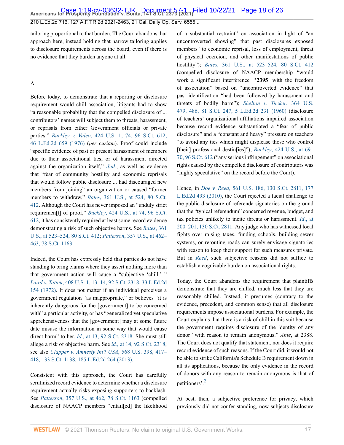tailoring proportional to that burden. The Court abandons that approach here, instead holding that narrow tailoring applies to disclosure requirements across the board, even if there is no evidence that they burden anyone at all.

#### A

Before today, to demonstrate that a reporting or disclosure requirement would chill association, litigants had to show "a reasonable probability that the compelled disclosure of ... contributors' names will subject them to threats, harassment, or reprisals from either Government officials or private parties." *Buckley v. Valeo*[, 424 U.S. 1, 74, 96 S.Ct. 612,](http://www.westlaw.com/Link/Document/FullText?findType=Y&serNum=1976142308&pubNum=0000780&originatingDoc=I7d565adeda6711eb850ac132f535d1eb&refType=RP&fi=co_pp_sp_780_74&originationContext=document&vr=3.0&rs=cblt1.0&transitionType=DocumentItem&contextData=(sc.Default)#co_pp_sp_780_74) [46 L.Ed.2d 659 \(1976\)](http://www.westlaw.com/Link/Document/FullText?findType=Y&serNum=1976142308&pubNum=0000780&originatingDoc=I7d565adeda6711eb850ac132f535d1eb&refType=RP&fi=co_pp_sp_780_74&originationContext=document&vr=3.0&rs=cblt1.0&transitionType=DocumentItem&contextData=(sc.Default)#co_pp_sp_780_74) (*per curiam*). Proof could include "specific evidence of past or present harassment of members due to their associational ties, or of harassment directed against the organization itself," *[ibid.](http://www.westlaw.com/Link/Document/FullText?findType=Y&serNum=1976142308&pubNum=0000780&originatingDoc=I7d565adeda6711eb850ac132f535d1eb&refType=RP&originationContext=document&vr=3.0&rs=cblt1.0&transitionType=DocumentItem&contextData=(sc.Default))*, as well as evidence that "fear of community hostility and economic reprisals that would follow public disclosure ... had discouraged new members from joining" an organization or caused "former members to withdraw," *Bates*[, 361 U.S., at 524, 80 S.Ct.](http://www.westlaw.com/Link/Document/FullText?findType=Y&serNum=1960100291&pubNum=0000780&originatingDoc=I7d565adeda6711eb850ac132f535d1eb&refType=RP&fi=co_pp_sp_780_524&originationContext=document&vr=3.0&rs=cblt1.0&transitionType=DocumentItem&contextData=(sc.Default)#co_pp_sp_780_524) [412](http://www.westlaw.com/Link/Document/FullText?findType=Y&serNum=1960100291&pubNum=0000780&originatingDoc=I7d565adeda6711eb850ac132f535d1eb&refType=RP&fi=co_pp_sp_780_524&originationContext=document&vr=3.0&rs=cblt1.0&transitionType=DocumentItem&contextData=(sc.Default)#co_pp_sp_780_524). Although the Court has never imposed an "unduly strict requiremen[t] of proof," *Buckley*[, 424 U.S., at 74, 96 S.Ct.](http://www.westlaw.com/Link/Document/FullText?findType=Y&serNum=1976142308&pubNum=0000780&originatingDoc=I7d565adeda6711eb850ac132f535d1eb&refType=RP&fi=co_pp_sp_780_74&originationContext=document&vr=3.0&rs=cblt1.0&transitionType=DocumentItem&contextData=(sc.Default)#co_pp_sp_780_74) [612](http://www.westlaw.com/Link/Document/FullText?findType=Y&serNum=1976142308&pubNum=0000780&originatingDoc=I7d565adeda6711eb850ac132f535d1eb&refType=RP&fi=co_pp_sp_780_74&originationContext=document&vr=3.0&rs=cblt1.0&transitionType=DocumentItem&contextData=(sc.Default)#co_pp_sp_780_74), it has consistently required at least some record evidence demonstrating a risk of such objective harms. See *[Bates](http://www.westlaw.com/Link/Document/FullText?findType=Y&serNum=1960100291&pubNum=0000780&originatingDoc=I7d565adeda6711eb850ac132f535d1eb&refType=RP&fi=co_pp_sp_780_523&originationContext=document&vr=3.0&rs=cblt1.0&transitionType=DocumentItem&contextData=(sc.Default)#co_pp_sp_780_523)*, 361 [U.S., at 523–524, 80 S.Ct. 412](http://www.westlaw.com/Link/Document/FullText?findType=Y&serNum=1960100291&pubNum=0000780&originatingDoc=I7d565adeda6711eb850ac132f535d1eb&refType=RP&fi=co_pp_sp_780_523&originationContext=document&vr=3.0&rs=cblt1.0&transitionType=DocumentItem&contextData=(sc.Default)#co_pp_sp_780_523); *Patterson*[, 357 U.S., at 462–](http://www.westlaw.com/Link/Document/FullText?findType=Y&serNum=1958121466&pubNum=0000780&originatingDoc=I7d565adeda6711eb850ac132f535d1eb&refType=RP&fi=co_pp_sp_780_462&originationContext=document&vr=3.0&rs=cblt1.0&transitionType=DocumentItem&contextData=(sc.Default)#co_pp_sp_780_462) [463, 78 S.Ct. 1163.](http://www.westlaw.com/Link/Document/FullText?findType=Y&serNum=1958121466&pubNum=0000780&originatingDoc=I7d565adeda6711eb850ac132f535d1eb&refType=RP&fi=co_pp_sp_780_462&originationContext=document&vr=3.0&rs=cblt1.0&transitionType=DocumentItem&contextData=(sc.Default)#co_pp_sp_780_462)

Indeed, the Court has expressly held that parties do not have standing to bring claims where they assert nothing more than that government action will cause a "subjective 'chill.' " *Laird v. Tatum*[, 408 U.S. 1, 13–14, 92 S.Ct. 2318, 33 L.Ed.2d](http://www.westlaw.com/Link/Document/FullText?findType=Y&serNum=1972127177&pubNum=0000780&originatingDoc=I7d565adeda6711eb850ac132f535d1eb&refType=RP&fi=co_pp_sp_780_13&originationContext=document&vr=3.0&rs=cblt1.0&transitionType=DocumentItem&contextData=(sc.Default)#co_pp_sp_780_13) [154 \(1972\)](http://www.westlaw.com/Link/Document/FullText?findType=Y&serNum=1972127177&pubNum=0000780&originatingDoc=I7d565adeda6711eb850ac132f535d1eb&refType=RP&fi=co_pp_sp_780_13&originationContext=document&vr=3.0&rs=cblt1.0&transitionType=DocumentItem&contextData=(sc.Default)#co_pp_sp_780_13). It does not matter if an individual perceives a government regulation "as inappropriate," or believes "it is inherently dangerous for the [government] to be concerned with" a particular activity, or has "generalized yet speculative apprehensiveness that the [government] may at some future date misuse the information in some way that would cause direct harm" to her. *Id.,* [at 13, 92 S.Ct. 2318.](http://www.westlaw.com/Link/Document/FullText?findType=Y&serNum=1972127177&pubNum=0000708&originatingDoc=I7d565adeda6711eb850ac132f535d1eb&refType=RP&originationContext=document&vr=3.0&rs=cblt1.0&transitionType=DocumentItem&contextData=(sc.Default)) She must still allege a risk of objective harm. See *id.,* [at 14, 92 S.Ct. 2318](http://www.westlaw.com/Link/Document/FullText?findType=Y&serNum=1972127177&pubNum=0000708&originatingDoc=I7d565adeda6711eb850ac132f535d1eb&refType=RP&originationContext=document&vr=3.0&rs=cblt1.0&transitionType=DocumentItem&contextData=(sc.Default)); see also *[Clapper v. Amnesty Int'l USA](http://www.westlaw.com/Link/Document/FullText?findType=Y&serNum=2029935439&pubNum=0000780&originatingDoc=I7d565adeda6711eb850ac132f535d1eb&refType=RP&fi=co_pp_sp_780_417&originationContext=document&vr=3.0&rs=cblt1.0&transitionType=DocumentItem&contextData=(sc.Default)#co_pp_sp_780_417)*, 568 U.S. 398, 417– [418, 133 S.Ct. 1138, 185 L.Ed.2d 264 \(2013\).](http://www.westlaw.com/Link/Document/FullText?findType=Y&serNum=2029935439&pubNum=0000780&originatingDoc=I7d565adeda6711eb850ac132f535d1eb&refType=RP&fi=co_pp_sp_780_417&originationContext=document&vr=3.0&rs=cblt1.0&transitionType=DocumentItem&contextData=(sc.Default)#co_pp_sp_780_417)

Consistent with this approach, the Court has carefully scrutinized record evidence to determine whether a disclosure requirement actually risks exposing supporters to backlash. See *Patterson*[, 357 U.S., at 462, 78 S.Ct. 1163](http://www.westlaw.com/Link/Document/FullText?findType=Y&serNum=1958121466&pubNum=0000780&originatingDoc=I7d565adeda6711eb850ac132f535d1eb&refType=RP&fi=co_pp_sp_780_462&originationContext=document&vr=3.0&rs=cblt1.0&transitionType=DocumentItem&contextData=(sc.Default)#co_pp_sp_780_462) (compelled disclosure of NAACP members "entail[ed] the likelihood of a substantial restraint" on association in light of "an uncontroverted showing" that past disclosures exposed members "to economic reprisal, loss of employment, threat of physical coercion, and other manifestations of public hostility"); *Bates*[, 361 U.S., at 523–524, 80 S.Ct. 412](http://www.westlaw.com/Link/Document/FullText?findType=Y&serNum=1960100291&pubNum=0000780&originatingDoc=I7d565adeda6711eb850ac132f535d1eb&refType=RP&fi=co_pp_sp_780_523&originationContext=document&vr=3.0&rs=cblt1.0&transitionType=DocumentItem&contextData=(sc.Default)#co_pp_sp_780_523) (compelled disclosure of NAACP membership "would work a significant interference **\*2395** with the freedom of association" based on "uncontroverted evidence" that past identification "had been followed by harassment and threats of bodily harm"); *[Shelton v. Tucker](http://www.westlaw.com/Link/Document/FullText?findType=Y&serNum=1960122601&pubNum=0000780&originatingDoc=I7d565adeda6711eb850ac132f535d1eb&refType=RP&fi=co_pp_sp_780_486&originationContext=document&vr=3.0&rs=cblt1.0&transitionType=DocumentItem&contextData=(sc.Default)#co_pp_sp_780_486)*, 364 U.S. [479, 486, 81 S.Ct. 247, 5 L.Ed.2d 231 \(1960\)](http://www.westlaw.com/Link/Document/FullText?findType=Y&serNum=1960122601&pubNum=0000780&originatingDoc=I7d565adeda6711eb850ac132f535d1eb&refType=RP&fi=co_pp_sp_780_486&originationContext=document&vr=3.0&rs=cblt1.0&transitionType=DocumentItem&contextData=(sc.Default)#co_pp_sp_780_486) (disclosure of teachers' organizational affiliations impaired association because record evidence substantiated a "fear of public disclosure" and a "constant and heavy" pressure on teachers "to avoid any ties which might displease those who control [their] professional destin[ies]"); *Buckley*[, 424 U.S., at 69–](http://www.westlaw.com/Link/Document/FullText?findType=Y&serNum=1976142308&pubNum=0000780&originatingDoc=I7d565adeda6711eb850ac132f535d1eb&refType=RP&fi=co_pp_sp_780_69&originationContext=document&vr=3.0&rs=cblt1.0&transitionType=DocumentItem&contextData=(sc.Default)#co_pp_sp_780_69) [70, 96 S.Ct. 612](http://www.westlaw.com/Link/Document/FullText?findType=Y&serNum=1976142308&pubNum=0000780&originatingDoc=I7d565adeda6711eb850ac132f535d1eb&refType=RP&fi=co_pp_sp_780_69&originationContext=document&vr=3.0&rs=cblt1.0&transitionType=DocumentItem&contextData=(sc.Default)#co_pp_sp_780_69) ("any serious infringement" on associational rights caused by the compelled disclosure of contributors was "highly speculative" on the record before the Court).

Hence, in *Doe v. Reed*[, 561 U.S. 186, 130 S.Ct. 2811, 177](http://www.westlaw.com/Link/Document/FullText?findType=Y&serNum=2022366335&pubNum=0000708&originatingDoc=I7d565adeda6711eb850ac132f535d1eb&refType=RP&originationContext=document&vr=3.0&rs=cblt1.0&transitionType=DocumentItem&contextData=(sc.Default)) [L.Ed.2d 493 \(2010\),](http://www.westlaw.com/Link/Document/FullText?findType=Y&serNum=2022366335&pubNum=0000708&originatingDoc=I7d565adeda6711eb850ac132f535d1eb&refType=RP&originationContext=document&vr=3.0&rs=cblt1.0&transitionType=DocumentItem&contextData=(sc.Default)) the Court rejected a facial challenge to the public disclosure of referenda signatories on the ground that the "typical referendum" concerned revenue, budget, and tax policies unlikely to incite threats or harassment. *Id*[., at](http://www.westlaw.com/Link/Document/FullText?findType=Y&serNum=2022366335&pubNum=0000708&originatingDoc=I7d565adeda6711eb850ac132f535d1eb&refType=RP&originationContext=document&vr=3.0&rs=cblt1.0&transitionType=DocumentItem&contextData=(sc.Default)) [200–201, 130 S.Ct. 2811.](http://www.westlaw.com/Link/Document/FullText?findType=Y&serNum=2022366335&pubNum=0000708&originatingDoc=I7d565adeda6711eb850ac132f535d1eb&refType=RP&originationContext=document&vr=3.0&rs=cblt1.0&transitionType=DocumentItem&contextData=(sc.Default)) Any judge who has witnessed local fights over raising taxes, funding schools, building sewer systems, or rerouting roads can surely envisage signatories with reason to keep their support for such measures private. But in *[Reed](http://www.westlaw.com/Link/Document/FullText?findType=Y&serNum=2022366335&pubNum=0000780&originatingDoc=I7d565adeda6711eb850ac132f535d1eb&refType=RP&originationContext=document&vr=3.0&rs=cblt1.0&transitionType=DocumentItem&contextData=(sc.Default))*, such subjective reasons did not suffice to establish a cognizable burden on associational rights.

Today, the Court abandons the requirement that plaintiffs demonstrate that they are chilled, much less that they are reasonably chilled. Instead, it presumes (contrary to the evidence, precedent, and common sense) that all disclosure requirements impose associational burdens. For example, the Court explains that there is a risk of chill in this suit because the government requires disclosure of the identity of any donor "with reason to remain anonymous." *Ante*, at 2388. The Court does not qualify that statement, nor does it require record evidence of such reasons. If the Court did, it would not be able to strike California's Schedule B requirement down in all its applications, because the only evidence in the record of donors with any reason to remain anonymous is that of petitioners'.[2](#page-24-3)

<span id="page-17-0"></span>At best, then, a subjective preference for privacy, which previously did not confer standing, now subjects disclosure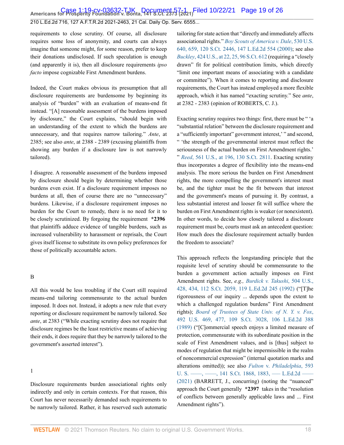requirements to close scrutiny. Of course, all disclosure requires some loss of anonymity, and courts can always imagine that someone might, for some reason, prefer to keep their donations undisclosed. If such speculation is enough (and apparently it is), then all disclosure requirements *ipso facto* impose cognizable First Amendment burdens.

Indeed, the Court makes obvious its presumption that all disclosure requirements are burdensome by beginning its analysis of "burden" with an evaluation of means-end fit instead. "[A] reasonable assessment of the burdens imposed by disclosure," the Court explains, "should begin with an understanding of the extent to which the burdens are unnecessary, and that requires narrow tailoring." *Ante*, at 2385; see also *ante*, at 2388 - 2389 (excusing plaintiffs from showing any burden if a disclosure law is not narrowly tailored).

I disagree. A reasonable assessment of the burdens imposed by disclosure should begin by determining whether those burdens even exist. If a disclosure requirement imposes no burdens at all, then of course there are no "unnecessary" burdens. Likewise, if a disclosure requirement imposes no burden for the Court to remedy, there is no need for it to be closely scrutinized. By forgoing the requirement **\*2396** that plaintiffs adduce evidence of tangible burdens, such as increased vulnerability to harassment or reprisals, the Court gives itself license to substitute its own policy preferences for those of politically accountable actors.

#### B

All this would be less troubling if the Court still required means-end tailoring commensurate to the actual burden imposed. It does not. Instead, it adopts a new rule that every reporting or disclosure requirement be narrowly tailored. See *ante*, at 2383 ("While exacting scrutiny does not require that disclosure regimes be the least restrictive means of achieving their ends, it does require that they be narrowly tailored to the government's asserted interest").

#### 1

Disclosure requirements burden associational rights only indirectly and only in certain contexts. For that reason, this Court has never necessarily demanded such requirements to be narrowly tailored. Rather, it has reserved such automatic tailoring for state action that "directly and immediately affects associational rights." *[Boy Scouts of America v. Dale](http://www.westlaw.com/Link/Document/FullText?findType=Y&serNum=2000388910&pubNum=0000780&originatingDoc=I7d565adeda6711eb850ac132f535d1eb&refType=RP&fi=co_pp_sp_780_659&originationContext=document&vr=3.0&rs=cblt1.0&transitionType=DocumentItem&contextData=(sc.Default)#co_pp_sp_780_659)*, 530 U.S. [640, 659, 120 S.Ct. 2446, 147 L.Ed.2d 554 \(2000\)](http://www.westlaw.com/Link/Document/FullText?findType=Y&serNum=2000388910&pubNum=0000780&originatingDoc=I7d565adeda6711eb850ac132f535d1eb&refType=RP&fi=co_pp_sp_780_659&originationContext=document&vr=3.0&rs=cblt1.0&transitionType=DocumentItem&contextData=(sc.Default)#co_pp_sp_780_659); see also *Buckley*[, 424 U.S., at 22, 25, 96 S.Ct. 612](http://www.westlaw.com/Link/Document/FullText?findType=Y&serNum=1976142308&pubNum=0000780&originatingDoc=I7d565adeda6711eb850ac132f535d1eb&refType=RP&fi=co_pp_sp_780_22&originationContext=document&vr=3.0&rs=cblt1.0&transitionType=DocumentItem&contextData=(sc.Default)#co_pp_sp_780_22) (requiring a "closely drawn" fit for political contribution limits, which directly "limit one important means of associating with a candidate or committee"). When it comes to reporting and disclosure requirements, the Court has instead employed a more flexible approach, which it has named "exacting scrutiny." See *ante*, at 2382 - 2383 (opinion of ROBERTS, C. J.).

Exacting scrutiny requires two things: first, there must be " 'a "substantial relation" between the disclosure requirement and a "sufficiently important" government interest,' " and second, " 'the strength of the governmental interest must reflect the seriousness of the actual burden on First Amendment rights.' " *Reed*[, 561 U.S., at 196, 130 S.Ct. 2811.](http://www.westlaw.com/Link/Document/FullText?findType=Y&serNum=2022366335&pubNum=0000780&originatingDoc=I7d565adeda6711eb850ac132f535d1eb&refType=RP&fi=co_pp_sp_780_196&originationContext=document&vr=3.0&rs=cblt1.0&transitionType=DocumentItem&contextData=(sc.Default)#co_pp_sp_780_196) Exacting scrutiny thus incorporates a degree of flexibility into the means-end analysis. The more serious the burden on First Amendment rights, the more compelling the government's interest must be, and the tighter must be the fit between that interest and the government's means of pursuing it. By contrast, a less substantial interest and looser fit will suffice where the burden on First Amendment rights is weaker (or nonexistent). In other words, to decide how closely tailored a disclosure requirement must be, courts must ask an antecedent question: How much does the disclosure requirement actually burden the freedom to associate?

This approach reflects the longstanding principle that the requisite level of scrutiny should be commensurate to the burden a government action actually imposes on First Amendment rights. See, *e.g., [Burdick v. Takushi](http://www.westlaw.com/Link/Document/FullText?findType=Y&serNum=1992102833&pubNum=0000780&originatingDoc=I7d565adeda6711eb850ac132f535d1eb&refType=RP&fi=co_pp_sp_780_434&originationContext=document&vr=3.0&rs=cblt1.0&transitionType=DocumentItem&contextData=(sc.Default)#co_pp_sp_780_434)*, 504 U.S., [428, 434, 112 S.Ct. 2059, 119 L.Ed.2d 245 \(1992\)](http://www.westlaw.com/Link/Document/FullText?findType=Y&serNum=1992102833&pubNum=0000780&originatingDoc=I7d565adeda6711eb850ac132f535d1eb&refType=RP&fi=co_pp_sp_780_434&originationContext=document&vr=3.0&rs=cblt1.0&transitionType=DocumentItem&contextData=(sc.Default)#co_pp_sp_780_434) ("[T]he rigorousness of our inquiry ... depends upon the extent to which a challenged regulation burdens" First Amendment rights); *[Board of Trustees of State Univ. of N. Y. v. Fox](http://www.westlaw.com/Link/Document/FullText?findType=Y&serNum=1989096929&pubNum=0000780&originatingDoc=I7d565adeda6711eb850ac132f535d1eb&refType=RP&fi=co_pp_sp_780_477&originationContext=document&vr=3.0&rs=cblt1.0&transitionType=DocumentItem&contextData=(sc.Default)#co_pp_sp_780_477)*, [492 U.S. 469, 477, 109 S.Ct. 3028, 106 L.Ed.2d 388](http://www.westlaw.com/Link/Document/FullText?findType=Y&serNum=1989096929&pubNum=0000780&originatingDoc=I7d565adeda6711eb850ac132f535d1eb&refType=RP&fi=co_pp_sp_780_477&originationContext=document&vr=3.0&rs=cblt1.0&transitionType=DocumentItem&contextData=(sc.Default)#co_pp_sp_780_477) [\(1989\)](http://www.westlaw.com/Link/Document/FullText?findType=Y&serNum=1989096929&pubNum=0000780&originatingDoc=I7d565adeda6711eb850ac132f535d1eb&refType=RP&fi=co_pp_sp_780_477&originationContext=document&vr=3.0&rs=cblt1.0&transitionType=DocumentItem&contextData=(sc.Default)#co_pp_sp_780_477) ("[C]ommercial speech enjoys a limited measure of protection, commensurate with its subordinate position in the scale of First Amendment values, and is [thus] subject to modes of regulation that might be impermissible in the realm of noncommercial expression" (internal quotation marks and alterations omitted)); see also *Fulton* v. *[Philadelphia](http://www.westlaw.com/Link/Document/FullText?findType=Y&serNum=2053839273&pubNum=0000780&originatingDoc=I7d565adeda6711eb850ac132f535d1eb&refType=RP&originationContext=document&vr=3.0&rs=cblt1.0&transitionType=DocumentItem&contextData=(sc.Default))*, 593 U. S. —–, —–, 141 S.Ct. 1868, 1883, —– L.Ed.2d – [\(2021\)](http://www.westlaw.com/Link/Document/FullText?findType=Y&serNum=2053839273&pubNum=0000780&originatingDoc=I7d565adeda6711eb850ac132f535d1eb&refType=RP&originationContext=document&vr=3.0&rs=cblt1.0&transitionType=DocumentItem&contextData=(sc.Default)) (BARRETT, J., concurring) (noting the "nuanced" approach the Court generally **\*2397** takes in the "resolution of conflicts between generally applicable laws and ... First Amendment rights").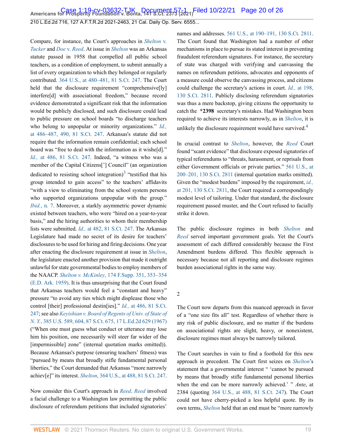Compare, for instance, the Court's approaches in *[Shelton](http://www.westlaw.com/Link/Document/FullText?findType=Y&serNum=1960122601&pubNum=0000780&originatingDoc=I7d565adeda6711eb850ac132f535d1eb&refType=RP&originationContext=document&vr=3.0&rs=cblt1.0&transitionType=DocumentItem&contextData=(sc.Default))* v. *[Tucker](http://www.westlaw.com/Link/Document/FullText?findType=Y&serNum=1960122601&pubNum=0000780&originatingDoc=I7d565adeda6711eb850ac132f535d1eb&refType=RP&originationContext=document&vr=3.0&rs=cblt1.0&transitionType=DocumentItem&contextData=(sc.Default))* and *Doe* v. *[Reed](http://www.westlaw.com/Link/Document/FullText?findType=Y&serNum=2022366335&pubNum=0000708&originatingDoc=I7d565adeda6711eb850ac132f535d1eb&refType=RP&originationContext=document&vr=3.0&rs=cblt1.0&transitionType=DocumentItem&contextData=(sc.Default))*. At issue in *[Shelton](http://www.westlaw.com/Link/Document/FullText?findType=Y&serNum=1960122601&pubNum=0000780&originatingDoc=I7d565adeda6711eb850ac132f535d1eb&refType=RP&originationContext=document&vr=3.0&rs=cblt1.0&transitionType=DocumentItem&contextData=(sc.Default))* was an Arkansas statute passed in 1958 that compelled all public school teachers, as a condition of employment, to submit annually a list of every organization to which they belonged or regularly contributed. [364 U.S., at 480–481, 81 S.Ct. 247.](http://www.westlaw.com/Link/Document/FullText?findType=Y&serNum=1960122601&pubNum=0000780&originatingDoc=I7d565adeda6711eb850ac132f535d1eb&refType=RP&fi=co_pp_sp_780_480&originationContext=document&vr=3.0&rs=cblt1.0&transitionType=DocumentItem&contextData=(sc.Default)#co_pp_sp_780_480) The Court held that the disclosure requirement "comprehensive[ly] interfere[d] with associational freedom," because record evidence demonstrated a significant risk that the information would be publicly disclosed, and such disclosure could lead to public pressure on school boards "to discharge teachers who belong to unpopular or minority organizations." *[Id.,](http://www.westlaw.com/Link/Document/FullText?findType=Y&serNum=1960122601&pubNum=0000708&originatingDoc=I7d565adeda6711eb850ac132f535d1eb&refType=RP&originationContext=document&vr=3.0&rs=cblt1.0&transitionType=DocumentItem&contextData=(sc.Default))* [at 486–487, 490, 81 S.Ct. 247.](http://www.westlaw.com/Link/Document/FullText?findType=Y&serNum=1960122601&pubNum=0000708&originatingDoc=I7d565adeda6711eb850ac132f535d1eb&refType=RP&originationContext=document&vr=3.0&rs=cblt1.0&transitionType=DocumentItem&contextData=(sc.Default)) Arkansas's statute did not require that the information remain confidential; each school board was "free to deal with the information as it wishe[d]." *Id.,* [at 486, 81 S.Ct. 247.](http://www.westlaw.com/Link/Document/FullText?findType=Y&serNum=1960122601&pubNum=0000708&originatingDoc=I7d565adeda6711eb850ac132f535d1eb&refType=RP&originationContext=document&vr=3.0&rs=cblt1.0&transitionType=DocumentItem&contextData=(sc.Default)) Indeed, "a witness who was a member of the Capital Citizens['] Council" (an organization dedicated to resisting school integration)<sup>[3](#page-24-4)</sup> "testified that his group intended to gain access" to the teachers' affidavits "with a view to eliminating from the school system persons who supported organizations unpopular with the group." *Ibid.*[, n. 7.](http://www.westlaw.com/Link/Document/FullText?findType=Y&serNum=1960122601&pubNum=0000780&originatingDoc=I7d565adeda6711eb850ac132f535d1eb&refType=RP&originationContext=document&vr=3.0&rs=cblt1.0&transitionType=DocumentItem&contextData=(sc.Default)) Moreover, a starkly asymmetric power dynamic existed between teachers, who were "hired on a year-to-year basis," and the hiring authorities to whom their membership lists were submitted. *Id.,* [at 482, 81 S.Ct. 247](http://www.westlaw.com/Link/Document/FullText?findType=Y&serNum=1960122601&pubNum=0000708&originatingDoc=I7d565adeda6711eb850ac132f535d1eb&refType=RP&originationContext=document&vr=3.0&rs=cblt1.0&transitionType=DocumentItem&contextData=(sc.Default)). The Arkansas Legislature had made no secret of its desire for teachers' disclosures to be used for hiring and firing decisions. One year after enacting the disclosure requirement at issue in *[Shelton](http://www.westlaw.com/Link/Document/FullText?findType=Y&serNum=1960122601&pubNum=0000780&originatingDoc=I7d565adeda6711eb850ac132f535d1eb&refType=RP&originationContext=document&vr=3.0&rs=cblt1.0&transitionType=DocumentItem&contextData=(sc.Default))*, the legislature enacted another provision that made it outright unlawful for state governmental bodies to employ members of the NAACP. *Shelton v. McKinley*[, 174 F.Supp. 351, 353–354](http://www.westlaw.com/Link/Document/FullText?findType=Y&serNum=1959104016&pubNum=0000345&originatingDoc=I7d565adeda6711eb850ac132f535d1eb&refType=RP&fi=co_pp_sp_345_353&originationContext=document&vr=3.0&rs=cblt1.0&transitionType=DocumentItem&contextData=(sc.Default)#co_pp_sp_345_353) [\(E.D. Ark. 1959\).](http://www.westlaw.com/Link/Document/FullText?findType=Y&serNum=1959104016&pubNum=0000345&originatingDoc=I7d565adeda6711eb850ac132f535d1eb&refType=RP&fi=co_pp_sp_345_353&originationContext=document&vr=3.0&rs=cblt1.0&transitionType=DocumentItem&contextData=(sc.Default)#co_pp_sp_345_353) It is thus unsurprising that the Court found that Arkansas teachers would feel a "constant and heavy" pressure "to avoid any ties which might displease those who control [their] professional destin[ies]." *Id.,* [at 486, 81 S.Ct.](http://www.westlaw.com/Link/Document/FullText?findType=Y&serNum=1960122601&pubNum=0000708&originatingDoc=I7d565adeda6711eb850ac132f535d1eb&refType=RP&originationContext=document&vr=3.0&rs=cblt1.0&transitionType=DocumentItem&contextData=(sc.Default)) [247](http://www.westlaw.com/Link/Document/FullText?findType=Y&serNum=1960122601&pubNum=0000708&originatingDoc=I7d565adeda6711eb850ac132f535d1eb&refType=RP&originationContext=document&vr=3.0&rs=cblt1.0&transitionType=DocumentItem&contextData=(sc.Default)); see also *[Keyishian v. Board of Regents of Univ. of State of](http://www.westlaw.com/Link/Document/FullText?findType=Y&serNum=1967129466&pubNum=0000780&originatingDoc=I7d565adeda6711eb850ac132f535d1eb&refType=RP&fi=co_pp_sp_780_604&originationContext=document&vr=3.0&rs=cblt1.0&transitionType=DocumentItem&contextData=(sc.Default)#co_pp_sp_780_604) N. Y.*[, 385 U.S. 589, 604, 87 S.Ct. 675, 17 L.Ed.2d 629 \(1967\)](http://www.westlaw.com/Link/Document/FullText?findType=Y&serNum=1967129466&pubNum=0000780&originatingDoc=I7d565adeda6711eb850ac132f535d1eb&refType=RP&fi=co_pp_sp_780_604&originationContext=document&vr=3.0&rs=cblt1.0&transitionType=DocumentItem&contextData=(sc.Default)#co_pp_sp_780_604) ("When one must guess what conduct or utterance may lose him his position, one necessarily will steer far wider of the [impermissible] zone" (internal quotation marks omitted)). Because Arkansas's purpose (ensuring teachers' fitness) was "pursued by means that broadly stifle fundamental personal liberties," the Court demanded that Arkansas "more narrowly achiev[e]" its interest. *Shelton*[, 364 U.S., at 488, 81 S.Ct. 247](http://www.westlaw.com/Link/Document/FullText?findType=Y&serNum=1960122601&pubNum=0000780&originatingDoc=I7d565adeda6711eb850ac132f535d1eb&refType=RP&fi=co_pp_sp_780_488&originationContext=document&vr=3.0&rs=cblt1.0&transitionType=DocumentItem&contextData=(sc.Default)#co_pp_sp_780_488).

Now consider this Court's approach in *[Reed](http://www.westlaw.com/Link/Document/FullText?findType=Y&serNum=2022366335&pubNum=0000780&originatingDoc=I7d565adeda6711eb850ac132f535d1eb&refType=RP&originationContext=document&vr=3.0&rs=cblt1.0&transitionType=DocumentItem&contextData=(sc.Default))*. *[Reed](http://www.westlaw.com/Link/Document/FullText?findType=Y&serNum=2022366335&pubNum=0000780&originatingDoc=I7d565adeda6711eb850ac132f535d1eb&refType=RP&originationContext=document&vr=3.0&rs=cblt1.0&transitionType=DocumentItem&contextData=(sc.Default))* involved a facial challenge to a Washington law permitting the public disclosure of referendum petitions that included signatories' names and addresses. [561 U.S., at 190–191, 130 S.Ct. 2811](http://www.westlaw.com/Link/Document/FullText?findType=Y&serNum=2022366335&pubNum=0000780&originatingDoc=I7d565adeda6711eb850ac132f535d1eb&refType=RP&fi=co_pp_sp_780_190&originationContext=document&vr=3.0&rs=cblt1.0&transitionType=DocumentItem&contextData=(sc.Default)#co_pp_sp_780_190). The Court found that Washington had a number of other mechanisms in place to pursue its stated interest in preventing fraudulent referendum signatures. For instance, the secretary of state was charged with verifying and canvassing the names on referendum petitions, advocates and opponents of a measure could observe the canvassing process, and citizens could challenge the secretary's actions in court. *Id.,* [at 198,](http://www.westlaw.com/Link/Document/FullText?findType=Y&serNum=2022366335&pubNum=0000708&originatingDoc=I7d565adeda6711eb850ac132f535d1eb&refType=RP&originationContext=document&vr=3.0&rs=cblt1.0&transitionType=DocumentItem&contextData=(sc.Default)) [130 S.Ct. 2811](http://www.westlaw.com/Link/Document/FullText?findType=Y&serNum=2022366335&pubNum=0000708&originatingDoc=I7d565adeda6711eb850ac132f535d1eb&refType=RP&originationContext=document&vr=3.0&rs=cblt1.0&transitionType=DocumentItem&contextData=(sc.Default)). Publicly disclosing referendum signatories was thus a mere backstop, giving citizens the opportunity to catch the **\*2398** secretary's mistakes. Had Washington been required to achieve its interests narrowly, as in *[Shelton](http://www.westlaw.com/Link/Document/FullText?findType=Y&serNum=1960122601&pubNum=0000780&originatingDoc=I7d565adeda6711eb850ac132f535d1eb&refType=RP&originationContext=document&vr=3.0&rs=cblt1.0&transitionType=DocumentItem&contextData=(sc.Default))*, it is unlikely the disclosure requirement would have survived.<sup>[4](#page-24-5)</sup>

<span id="page-19-1"></span><span id="page-19-0"></span>In crucial contrast to *[Shelton](http://www.westlaw.com/Link/Document/FullText?findType=Y&serNum=1960122601&pubNum=0000780&originatingDoc=I7d565adeda6711eb850ac132f535d1eb&refType=RP&originationContext=document&vr=3.0&rs=cblt1.0&transitionType=DocumentItem&contextData=(sc.Default))*, however, the *[Reed](http://www.westlaw.com/Link/Document/FullText?findType=Y&serNum=2022366335&pubNum=0000780&originatingDoc=I7d565adeda6711eb850ac132f535d1eb&refType=RP&originationContext=document&vr=3.0&rs=cblt1.0&transitionType=DocumentItem&contextData=(sc.Default))* Court found "scant evidence" that disclosure exposed signatories of typical referendums to "threats, harassment, or reprisals from either Government officials or private parties." [561 U.S., at](http://www.westlaw.com/Link/Document/FullText?findType=Y&serNum=2022366335&pubNum=0000780&originatingDoc=I7d565adeda6711eb850ac132f535d1eb&refType=RP&fi=co_pp_sp_780_200&originationContext=document&vr=3.0&rs=cblt1.0&transitionType=DocumentItem&contextData=(sc.Default)#co_pp_sp_780_200) [200–201, 130 S.Ct. 2811](http://www.westlaw.com/Link/Document/FullText?findType=Y&serNum=2022366335&pubNum=0000780&originatingDoc=I7d565adeda6711eb850ac132f535d1eb&refType=RP&fi=co_pp_sp_780_200&originationContext=document&vr=3.0&rs=cblt1.0&transitionType=DocumentItem&contextData=(sc.Default)#co_pp_sp_780_200) (internal quotation marks omitted). Given the "modest burdens" imposed by the requirement, *[id.,](http://www.westlaw.com/Link/Document/FullText?findType=Y&serNum=2022366335&pubNum=0000708&originatingDoc=I7d565adeda6711eb850ac132f535d1eb&refType=RP&originationContext=document&vr=3.0&rs=cblt1.0&transitionType=DocumentItem&contextData=(sc.Default))* [at 201, 130 S.Ct. 2811,](http://www.westlaw.com/Link/Document/FullText?findType=Y&serNum=2022366335&pubNum=0000708&originatingDoc=I7d565adeda6711eb850ac132f535d1eb&refType=RP&originationContext=document&vr=3.0&rs=cblt1.0&transitionType=DocumentItem&contextData=(sc.Default)) the Court required a correspondingly modest level of tailoring. Under that standard, the disclosure requirement passed muster, and the Court refused to facially strike it down.

The public disclosure regimes in both *[Shelton](http://www.westlaw.com/Link/Document/FullText?findType=Y&serNum=1960122601&pubNum=0000780&originatingDoc=I7d565adeda6711eb850ac132f535d1eb&refType=RP&originationContext=document&vr=3.0&rs=cblt1.0&transitionType=DocumentItem&contextData=(sc.Default))* and *[Reed](http://www.westlaw.com/Link/Document/FullText?findType=Y&serNum=2022366335&pubNum=0000780&originatingDoc=I7d565adeda6711eb850ac132f535d1eb&refType=RP&originationContext=document&vr=3.0&rs=cblt1.0&transitionType=DocumentItem&contextData=(sc.Default))* served important government goals. Yet the Court's assessment of each differed considerably because the First Amendment burdens differed. This flexible approach is necessary because not all reporting and disclosure regimes burden associational rights in the same way.

2

The Court now departs from this nuanced approach in favor of a "one size fits all" test. Regardless of whether there is any risk of public disclosure, and no matter if the burdens on associational rights are slight, heavy, or nonexistent, disclosure regimes must always be narrowly tailored.

The Court searches in vain to find a foothold for this new approach in precedent. The Court first seizes on *[Shelton](http://www.westlaw.com/Link/Document/FullText?findType=Y&serNum=1960122601&pubNum=0000780&originatingDoc=I7d565adeda6711eb850ac132f535d1eb&refType=RP&originationContext=document&vr=3.0&rs=cblt1.0&transitionType=DocumentItem&contextData=(sc.Default))*'s statement that a governmental interest " 'cannot be pursued by means that broadly stifle fundamental personal liberties when the end can be more narrowly achieved.' " *Ante*, at 2384 (quoting [364 U.S., at 488, 81 S.Ct. 247\)](http://www.westlaw.com/Link/Document/FullText?findType=Y&serNum=1960122601&pubNum=0000780&originatingDoc=I7d565adeda6711eb850ac132f535d1eb&refType=RP&fi=co_pp_sp_780_488&originationContext=document&vr=3.0&rs=cblt1.0&transitionType=DocumentItem&contextData=(sc.Default)#co_pp_sp_780_488). The Court could not have cherry-picked a less helpful quote. By its own terms, *[Shelton](http://www.westlaw.com/Link/Document/FullText?findType=Y&serNum=1960122601&pubNum=0000780&originatingDoc=I7d565adeda6711eb850ac132f535d1eb&refType=RP&originationContext=document&vr=3.0&rs=cblt1.0&transitionType=DocumentItem&contextData=(sc.Default))* held that an end must be "more narrowly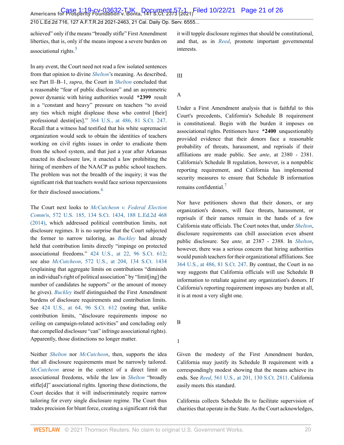**Americans for Prosperity Foundation v. Bonta, 141 S.Ct. 2373 (2021)** Case 1:19-cv-03632-TJK Document 57-1 Filed 10/22/21 Page 21 of 26

210 L.Ed.2d 716, 127 A.F.T.R.2d 2021-2463, 21 Cal. Daily Op. Serv. 6555...

<span id="page-20-0"></span>achieved" only if the means "broadly stifle" First Amendment liberties, that is, only if the means impose a severe burden on associational rights.<sup>[5](#page-24-6)</sup>

In any event, the Court need not read a few isolated sentences from that opinion to divine *[Shelton](http://www.westlaw.com/Link/Document/FullText?findType=Y&serNum=1960122601&pubNum=0000780&originatingDoc=I7d565adeda6711eb850ac132f535d1eb&refType=RP&originationContext=document&vr=3.0&rs=cblt1.0&transitionType=DocumentItem&contextData=(sc.Default))*'s meaning. As described, see Part II–B–1, *supra*, the Court in *[Shelton](http://www.westlaw.com/Link/Document/FullText?findType=Y&serNum=1960122601&pubNum=0000780&originatingDoc=I7d565adeda6711eb850ac132f535d1eb&refType=RP&originationContext=document&vr=3.0&rs=cblt1.0&transitionType=DocumentItem&contextData=(sc.Default))* concluded that a reasonable "fear of public disclosure" and an asymmetric power dynamic with hiring authorities would **\*2399** result in a "constant and heavy" pressure on teachers "to avoid any ties which might displease those who control [their] professional destin[ies]." [364 U.S., at 486, 81 S.Ct. 247](http://www.westlaw.com/Link/Document/FullText?findType=Y&serNum=1960122601&pubNum=0000780&originatingDoc=I7d565adeda6711eb850ac132f535d1eb&refType=RP&fi=co_pp_sp_780_486&originationContext=document&vr=3.0&rs=cblt1.0&transitionType=DocumentItem&contextData=(sc.Default)#co_pp_sp_780_486). Recall that a witness had testified that his white supremacist organization would seek to obtain the identities of teachers working on civil rights issues in order to eradicate them from the school system, and that just a year after Arkansas enacted its disclosure law, it enacted a law prohibiting the hiring of members of the NAACP as public school teachers. The problem was not the breadth of the inquiry; it was the significant risk that teachers would face serious repercussions for their disclosed associations.[6](#page-24-7)

<span id="page-20-1"></span>The Court next looks to *[McCutcheon v. Federal Election](http://www.westlaw.com/Link/Document/FullText?findType=Y&serNum=2033076532&pubNum=0000708&originatingDoc=I7d565adeda6711eb850ac132f535d1eb&refType=RP&originationContext=document&vr=3.0&rs=cblt1.0&transitionType=DocumentItem&contextData=(sc.Default)) Comm'n*[, 572 U.S. 185, 134 S.Ct. 1434, 188 L.Ed.2d 468](http://www.westlaw.com/Link/Document/FullText?findType=Y&serNum=2033076532&pubNum=0000708&originatingDoc=I7d565adeda6711eb850ac132f535d1eb&refType=RP&originationContext=document&vr=3.0&rs=cblt1.0&transitionType=DocumentItem&contextData=(sc.Default)) [\(2014\),](http://www.westlaw.com/Link/Document/FullText?findType=Y&serNum=2033076532&pubNum=0000708&originatingDoc=I7d565adeda6711eb850ac132f535d1eb&refType=RP&originationContext=document&vr=3.0&rs=cblt1.0&transitionType=DocumentItem&contextData=(sc.Default)) which addressed political contribution limits, not disclosure regimes. It is no surprise that the Court subjected the former to narrow tailoring, as *[Buckley](http://www.westlaw.com/Link/Document/FullText?findType=Y&serNum=1976142308&pubNum=0000780&originatingDoc=I7d565adeda6711eb850ac132f535d1eb&refType=RP&originationContext=document&vr=3.0&rs=cblt1.0&transitionType=DocumentItem&contextData=(sc.Default))* had already held that contribution limits directly "impinge on protected associational freedoms." [424 U.S., at 22, 96 S.Ct. 612](http://www.westlaw.com/Link/Document/FullText?findType=Y&serNum=1976142308&pubNum=0000780&originatingDoc=I7d565adeda6711eb850ac132f535d1eb&refType=RP&fi=co_pp_sp_780_22&originationContext=document&vr=3.0&rs=cblt1.0&transitionType=DocumentItem&contextData=(sc.Default)#co_pp_sp_780_22); see also *McCutcheon*[, 572 U.S., at 204, 134 S.Ct. 1434](http://www.westlaw.com/Link/Document/FullText?findType=Y&serNum=2033076532&pubNum=0000780&originatingDoc=I7d565adeda6711eb850ac132f535d1eb&refType=RP&fi=co_pp_sp_780_204&originationContext=document&vr=3.0&rs=cblt1.0&transitionType=DocumentItem&contextData=(sc.Default)#co_pp_sp_780_204) (explaining that aggregate limits on contributions "diminish an individual's right of political association" by "limit[ing] the number of candidates he supports" or the amount of money he gives). *[Buckley](http://www.westlaw.com/Link/Document/FullText?findType=Y&serNum=1976142308&pubNum=0000780&originatingDoc=I7d565adeda6711eb850ac132f535d1eb&refType=RP&originationContext=document&vr=3.0&rs=cblt1.0&transitionType=DocumentItem&contextData=(sc.Default))* itself distinguished the First Amendment burdens of disclosure requirements and contribution limits. See [424 U.S., at 64, 96 S.Ct. 612](http://www.westlaw.com/Link/Document/FullText?findType=Y&serNum=1976142308&pubNum=0000780&originatingDoc=I7d565adeda6711eb850ac132f535d1eb&refType=RP&fi=co_pp_sp_780_64&originationContext=document&vr=3.0&rs=cblt1.0&transitionType=DocumentItem&contextData=(sc.Default)#co_pp_sp_780_64) (noting that, unlike contribution limits, "disclosure requirements impose no ceiling on campaign-related activities" and concluding only that compelled disclosure "can" infringe associational rights). Apparently, those distinctions no longer matter.

Neither *[Shelton](http://www.westlaw.com/Link/Document/FullText?findType=Y&serNum=1960122601&pubNum=0000780&originatingDoc=I7d565adeda6711eb850ac132f535d1eb&refType=RP&originationContext=document&vr=3.0&rs=cblt1.0&transitionType=DocumentItem&contextData=(sc.Default))* nor *[McCutcheon](http://www.westlaw.com/Link/Document/FullText?findType=Y&serNum=2033076532&pubNum=0000780&originatingDoc=I7d565adeda6711eb850ac132f535d1eb&refType=RP&originationContext=document&vr=3.0&rs=cblt1.0&transitionType=DocumentItem&contextData=(sc.Default))*, then, supports the idea that all disclosure requirements must be narrowly tailored. *[McCutcheon](http://www.westlaw.com/Link/Document/FullText?findType=Y&serNum=2033076532&pubNum=0000780&originatingDoc=I7d565adeda6711eb850ac132f535d1eb&refType=RP&originationContext=document&vr=3.0&rs=cblt1.0&transitionType=DocumentItem&contextData=(sc.Default))* arose in the context of a direct limit on associational freedoms, while the law in *[Shelton](http://www.westlaw.com/Link/Document/FullText?findType=Y&serNum=1960122601&pubNum=0000780&originatingDoc=I7d565adeda6711eb850ac132f535d1eb&refType=RP&originationContext=document&vr=3.0&rs=cblt1.0&transitionType=DocumentItem&contextData=(sc.Default))* "broadly stifle[d]" associational rights. Ignoring these distinctions, the Court decides that it will indiscriminately require narrow tailoring for every single disclosure regime. The Court thus trades precision for blunt force, creating a significant risk that it will topple disclosure regimes that should be constitutional, and that, as in *[Reed](http://www.westlaw.com/Link/Document/FullText?findType=Y&serNum=2022366335&pubNum=0000780&originatingDoc=I7d565adeda6711eb850ac132f535d1eb&refType=RP&originationContext=document&vr=3.0&rs=cblt1.0&transitionType=DocumentItem&contextData=(sc.Default))*, promote important governmental interests.

III

#### A

Under a First Amendment analysis that is faithful to this Court's precedents, California's Schedule B requirement is constitutional. Begin with the burden it imposes on associational rights. Petitioners have **\*2400** unquestionably provided evidence that their donors face a reasonable probability of threats, harassment, and reprisals if their affiliations are made public. See *ante*, at 2380 - 2381. California's Schedule B regulation, however, is a nonpublic reporting requirement, and California has implemented security measures to ensure that Schedule B information remains confidential.<sup>[7](#page-25-0)</sup>

<span id="page-20-2"></span>Nor have petitioners shown that their donors, or any organization's donors, will face threats, harassment, or reprisals if their names remain in the hands of a few California state officials. The Court notes that, under *[Shelton](http://www.westlaw.com/Link/Document/FullText?findType=Y&serNum=1960122601&pubNum=0000780&originatingDoc=I7d565adeda6711eb850ac132f535d1eb&refType=RP&originationContext=document&vr=3.0&rs=cblt1.0&transitionType=DocumentItem&contextData=(sc.Default))*, disclosure requirements can chill association even absent public disclosure. See *ante,* at 2387 - 2388. In *[Shelton](http://www.westlaw.com/Link/Document/FullText?findType=Y&serNum=1960122601&pubNum=0000780&originatingDoc=I7d565adeda6711eb850ac132f535d1eb&refType=RP&originationContext=document&vr=3.0&rs=cblt1.0&transitionType=DocumentItem&contextData=(sc.Default))*, however, there was a serious concern that hiring authorities would punish teachers for their organizational affiliations. See [364 U.S., at 486, 81 S.Ct. 247](http://www.westlaw.com/Link/Document/FullText?findType=Y&serNum=1960122601&pubNum=0000780&originatingDoc=I7d565adeda6711eb850ac132f535d1eb&refType=RP&fi=co_pp_sp_780_486&originationContext=document&vr=3.0&rs=cblt1.0&transitionType=DocumentItem&contextData=(sc.Default)#co_pp_sp_780_486). By contrast, the Court in no way suggests that California officials will use Schedule B information to retaliate against any organization's donors. If California's reporting requirement imposes any burden at all, it is at most a very slight one.

B

1

Given the modesty of the First Amendment burden, California may justify its Schedule B requirement with a correspondingly modest showing that the means achieve its ends. See *Reed*[, 561 U.S., at 201, 130 S.Ct. 2811](http://www.westlaw.com/Link/Document/FullText?findType=Y&serNum=2022366335&pubNum=0000780&originatingDoc=I7d565adeda6711eb850ac132f535d1eb&refType=RP&fi=co_pp_sp_780_201&originationContext=document&vr=3.0&rs=cblt1.0&transitionType=DocumentItem&contextData=(sc.Default)#co_pp_sp_780_201). California easily meets this standard.

California collects Schedule Bs to facilitate supervision of charities that operate in the State. As the Court acknowledges,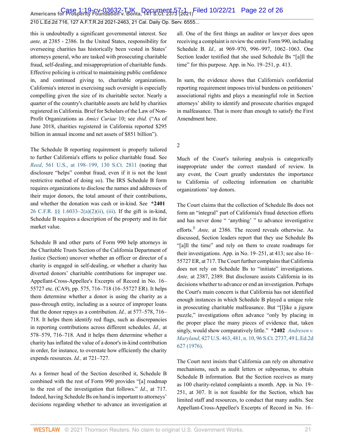**Americans for Prosperity Foundation v. Bonta, 141 S.Ct. 2373 (2021)** Case 1:19-cv-03632-TJK Document 57-1 Filed 10/22/21 Page 22 of 26

*ante,* at 2385 - 2386. In the United States, responsibility for overseeing charities has historically been vested in States' attorneys general, who are tasked with prosecuting charitable fraud, self-dealing, and misappropriation of charitable funds. Effective policing is critical to maintaining public confidence in, and continued giving to, charitable organizations. California's interest in exercising such oversight is especially compelling given the size of its charitable sector. Nearly a quarter of the country's charitable assets are held by charities registered in California. Brief for Scholars of the Law of Non-Profit Organizations as *Amici Curiae* 10; see *ibid.* ("As of June 2018, charities registered in California reported \$295 billion in annual income and net assets of \$851 billion").

this is undoubtedly a significant governmental interest. See

210 L.Ed.2d 716, 127 A.F.T.R.2d 2021-2463, 21 Cal. Daily Op. Serv. 6555...

The Schedule B reporting requirement is properly tailored to further California's efforts to police charitable fraud. See *Reed*[, 561 U.S., at 198–199, 130 S.Ct. 2811](http://www.westlaw.com/Link/Document/FullText?findType=Y&serNum=2022366335&pubNum=0000780&originatingDoc=I7d565adeda6711eb850ac132f535d1eb&refType=RP&fi=co_pp_sp_780_198&originationContext=document&vr=3.0&rs=cblt1.0&transitionType=DocumentItem&contextData=(sc.Default)#co_pp_sp_780_198) (noting that disclosure "helps" combat fraud, even if it is not the least restrictive method of doing so). The IRS Schedule B form requires organizations to disclose the names and addresses of their major donors, the total amount of their contributions, and whether the donation was cash or in-kind. See **\*2401** [26 C.F.R. §§ 1.6033–2\(a\)\(2\)\(ii\), \(iii\).](http://www.westlaw.com/Link/Document/FullText?findType=L&pubNum=1000547&cite=26CFRS1.6033-2&originatingDoc=I7d565adeda6711eb850ac132f535d1eb&refType=RB&originationContext=document&vr=3.0&rs=cblt1.0&transitionType=DocumentItem&contextData=(sc.Default)#co_pp_7ac90000f47f3) If the gift is in-kind, Schedule B requires a description of the property and its fair market value.

Schedule B and other parts of Form 990 help attorneys in the Charitable Trusts Section of the California Department of Justice (Section) uncover whether an officer or director of a charity is engaged in self-dealing, or whether a charity has diverted donors' charitable contributions for improper use. Appellant-Cross-Appellee's Excerpts of Record in No. 16– 55727 etc. (CA9), pp. 575, 716–718 (16–55727 ER). It helps them determine whether a donor is using the charity as a pass-through entity, including as a source of improper loans that the donor repays as a contribution. *Id.,* at 577–578, 716– 718. It helps them identify red flags, such as discrepancies in reporting contributions across different schedules. *Id.,* at 578–579, 716–718. And it helps them determine whether a charity has inflated the value of a donor's in-kind contribution in order, for instance, to overstate how efficiently the charity expends resources. *Id.,* at 721–727.

As a former head of the Section described it, Schedule B combined with the rest of Form 990 provides "[a] roadmap to the rest of the investigation that follows." *Id.*, at 717. Indeed, having Schedule Bs on hand is important to attorneys' decisions regarding whether to advance an investigation at all. One of the first things an auditor or lawyer does upon receiving a complaint is review the entire Form 990, including Schedule B. *Id.,* at 969–970, 996–997, 1062–1063. One Section leader testified that she used Schedule Bs "[a]ll the time" for this purpose. App. in No. 19–251, p. 413.

In sum, the evidence shows that California's confidential reporting requirement imposes trivial burdens on petitioners' associational rights and plays a meaningful role in Section attorneys' ability to identify and prosecute charities engaged in malfeasance. That is more than enough to satisfy the First Amendment here.

2

Much of the Court's tailoring analysis is categorically inappropriate under the correct standard of review. In any event, the Court greatly understates the importance to California of collecting information on charitable organizations' top donors.

<span id="page-21-0"></span>The Court claims that the collection of Schedule Bs does not form an "integral" part of California's fraud detection efforts and has never done " 'anything' " to advance investigative efforts.[8](#page-25-1) *Ante,* at 2386. The record reveals otherwise. As discussed, Section leaders report that they use Schedule Bs "[a]ll the time" and rely on them to create roadmaps for their investigations. App. in No. 19–251, at 413; see also 16– 55727 ER, at 717. The Court further complains that California does not rely on Schedule Bs to "initiate" investigations. *Ante,* at 2387, 2389. But disclosure assists California in its decisions whether to advance or end an investigation. Perhaps the Court's main concern is that California has not identified enough instances in which Schedule B played a unique role in prosecuting charitable malfeasance. But "[l]ike a jigsaw puzzle," investigations often advance "only by placing in the proper place the many pieces of evidence that, taken singly, would show comparatively little." **\*2402** *[Andresen v.](http://www.westlaw.com/Link/Document/FullText?findType=Y&serNum=1976142437&pubNum=0000780&originatingDoc=I7d565adeda6711eb850ac132f535d1eb&refType=RP&fi=co_pp_sp_780_481&originationContext=document&vr=3.0&rs=cblt1.0&transitionType=DocumentItem&contextData=(sc.Default)#co_pp_sp_780_481) Maryland*[, 427 U.S. 463, 481, n. 10, 96 S.Ct. 2737, 49 L.Ed.2d](http://www.westlaw.com/Link/Document/FullText?findType=Y&serNum=1976142437&pubNum=0000780&originatingDoc=I7d565adeda6711eb850ac132f535d1eb&refType=RP&fi=co_pp_sp_780_481&originationContext=document&vr=3.0&rs=cblt1.0&transitionType=DocumentItem&contextData=(sc.Default)#co_pp_sp_780_481) [627 \(1976\)](http://www.westlaw.com/Link/Document/FullText?findType=Y&serNum=1976142437&pubNum=0000780&originatingDoc=I7d565adeda6711eb850ac132f535d1eb&refType=RP&fi=co_pp_sp_780_481&originationContext=document&vr=3.0&rs=cblt1.0&transitionType=DocumentItem&contextData=(sc.Default)#co_pp_sp_780_481).

The Court next insists that California can rely on alternative mechanisms, such as audit letters or subpoenas, to obtain Schedule B information. But the Section receives as many as 100 charity-related complaints a month. App. in No. 19– 251, at 307. It is not feasible for the Section, which has limited staff and resources, to conduct that many audits. See Appellant-Cross-Appellee's Excerpts of Record in No. 16–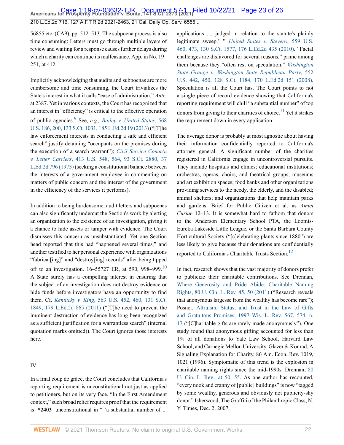56855 etc. (CA9), pp. 512–513. The subpoena process is also time consuming: Letters must go through multiple layers of review and waiting for a response causes further delays during which a charity can continue its malfeasance. App. in No. 19– 251, at 412.

<span id="page-22-0"></span>Implicitly acknowledging that audits and subpoenas are more cumbersome and time consuming, the Court trivializes the State's interest in what it calls "ease of administration." *Ante,* at 2387. Yet in various contexts, the Court has recognized that an interest in "efficiency" is critical to the effective operation of public agencies.[9](#page-25-2) See, *e.g., [Bailey v. United States](http://www.westlaw.com/Link/Document/FullText?findType=Y&serNum=2029889691&pubNum=0000780&originatingDoc=I7d565adeda6711eb850ac132f535d1eb&refType=RP&fi=co_pp_sp_780_200&originationContext=document&vr=3.0&rs=cblt1.0&transitionType=DocumentItem&contextData=(sc.Default)#co_pp_sp_780_200)*, 568 [U.S. 186, 200, 133 S.Ct. 1031, 185 L.Ed.2d 19 \(2013\)](http://www.westlaw.com/Link/Document/FullText?findType=Y&serNum=2029889691&pubNum=0000780&originatingDoc=I7d565adeda6711eb850ac132f535d1eb&refType=RP&fi=co_pp_sp_780_200&originationContext=document&vr=3.0&rs=cblt1.0&transitionType=DocumentItem&contextData=(sc.Default)#co_pp_sp_780_200) ("[T]he law enforcement interests in conducting a safe and efficient search" justify detaining "occupants on the premises during the execution of a search warrant"); *[Civil Service Comm'n](http://www.westlaw.com/Link/Document/FullText?findType=Y&serNum=1973126456&pubNum=0000780&originatingDoc=I7d565adeda6711eb850ac132f535d1eb&refType=RP&fi=co_pp_sp_780_564&originationContext=document&vr=3.0&rs=cblt1.0&transitionType=DocumentItem&contextData=(sc.Default)#co_pp_sp_780_564) v. Letter Carriers*[, 413 U.S. 548, 564, 93 S.Ct. 2880, 37](http://www.westlaw.com/Link/Document/FullText?findType=Y&serNum=1973126456&pubNum=0000780&originatingDoc=I7d565adeda6711eb850ac132f535d1eb&refType=RP&fi=co_pp_sp_780_564&originationContext=document&vr=3.0&rs=cblt1.0&transitionType=DocumentItem&contextData=(sc.Default)#co_pp_sp_780_564) [L.Ed.2d 796 \(1973\)](http://www.westlaw.com/Link/Document/FullText?findType=Y&serNum=1973126456&pubNum=0000780&originatingDoc=I7d565adeda6711eb850ac132f535d1eb&refType=RP&fi=co_pp_sp_780_564&originationContext=document&vr=3.0&rs=cblt1.0&transitionType=DocumentItem&contextData=(sc.Default)#co_pp_sp_780_564) (seeking a constitutional balance between the interests of a government employee in commenting on matters of public concern and the interest of the government in the efficiency of the services it performs).

In addition to being burdensome, audit letters and subpoenas can also significantly undercut the Section's work by alerting an organization to the existence of an investigation, giving it a chance to hide assets or tamper with evidence. The Court dismisses this concern as unsubstantiated. Yet one Section head reported that this had "happened several times," and another testified to her personal experience with organizations "fabricat[ing]" and "destroy[ing] records" after being tipped off to an investigation. 16-55727 ER, at 590, 998-999.<sup>[10](#page-25-3)</sup> A State surely has a compelling interest in ensuring that the subject of an investigation does not destroy evidence or hide funds before investigators have an opportunity to find them. Cf. *Kentucky v. King*[, 563 U.S. 452, 460, 131 S.Ct.](http://www.westlaw.com/Link/Document/FullText?findType=Y&serNum=2025286343&pubNum=0000780&originatingDoc=I7d565adeda6711eb850ac132f535d1eb&refType=RP&fi=co_pp_sp_780_460&originationContext=document&vr=3.0&rs=cblt1.0&transitionType=DocumentItem&contextData=(sc.Default)#co_pp_sp_780_460) [1849, 179 L.Ed.2d 865 \(2011\)](http://www.westlaw.com/Link/Document/FullText?findType=Y&serNum=2025286343&pubNum=0000780&originatingDoc=I7d565adeda6711eb850ac132f535d1eb&refType=RP&fi=co_pp_sp_780_460&originationContext=document&vr=3.0&rs=cblt1.0&transitionType=DocumentItem&contextData=(sc.Default)#co_pp_sp_780_460) ("[T]he need to prevent the imminent destruction of evidence has long been recognized as a sufficient justification for a warrantless search" (internal quotation marks omitted)). The Court ignores those interests here.

#### IV

In a final coup de grâce, the Court concludes that California's reporting requirement is unconstitutional not just as applied to petitioners, but on its very face. "In the First Amendment context," such broad relief requires proof that the requirement is **\*2403** unconstitutional in " 'a substantial number of ... applications ..., judged in relation to the statute's plainly legitimate sweep.' " *[United States v. Stevens](http://www.westlaw.com/Link/Document/FullText?findType=Y&serNum=2021786171&pubNum=0000780&originatingDoc=I7d565adeda6711eb850ac132f535d1eb&refType=RP&fi=co_pp_sp_780_473&originationContext=document&vr=3.0&rs=cblt1.0&transitionType=DocumentItem&contextData=(sc.Default)#co_pp_sp_780_473)*, 559 U.S. [460, 473, 130 S.Ct. 1577, 176 L.Ed.2d 435 \(2010\)](http://www.westlaw.com/Link/Document/FullText?findType=Y&serNum=2021786171&pubNum=0000780&originatingDoc=I7d565adeda6711eb850ac132f535d1eb&refType=RP&fi=co_pp_sp_780_473&originationContext=document&vr=3.0&rs=cblt1.0&transitionType=DocumentItem&contextData=(sc.Default)#co_pp_sp_780_473). "Facial challenges are disfavored for several reasons," prime among them because they "often rest on speculation." *[Washington](http://www.westlaw.com/Link/Document/FullText?findType=Y&serNum=2015506408&pubNum=0000780&originatingDoc=I7d565adeda6711eb850ac132f535d1eb&refType=RP&fi=co_pp_sp_780_450&originationContext=document&vr=3.0&rs=cblt1.0&transitionType=DocumentItem&contextData=(sc.Default)#co_pp_sp_780_450) [State Grange v. Washington State Republican Party](http://www.westlaw.com/Link/Document/FullText?findType=Y&serNum=2015506408&pubNum=0000780&originatingDoc=I7d565adeda6711eb850ac132f535d1eb&refType=RP&fi=co_pp_sp_780_450&originationContext=document&vr=3.0&rs=cblt1.0&transitionType=DocumentItem&contextData=(sc.Default)#co_pp_sp_780_450)*, 552 [U.S. 442, 450, 128 S.Ct. 1184, 170 L.Ed.2d 151 \(2008\).](http://www.westlaw.com/Link/Document/FullText?findType=Y&serNum=2015506408&pubNum=0000780&originatingDoc=I7d565adeda6711eb850ac132f535d1eb&refType=RP&fi=co_pp_sp_780_450&originationContext=document&vr=3.0&rs=cblt1.0&transitionType=DocumentItem&contextData=(sc.Default)#co_pp_sp_780_450) Speculation is all the Court has. The Court points to not a single piece of record evidence showing that California's reporting requirement will chill "a substantial number" of top donors from giving to their charities of choice.<sup>[11](#page-25-4)</sup> Yet it strikes the requirement down in every application.

<span id="page-22-2"></span>The average donor is probably at most agnostic about having their information confidentially reported to California's attorney general. A significant number of the charities registered in California engage in uncontroversial pursuits. They include hospitals and clinics; educational institutions; orchestras, operas, choirs, and theatrical groups; museums and art exhibition spaces; food banks and other organizations providing services to the needy, the elderly, and the disabled; animal shelters; and organizations that help maintain parks and gardens. Brief for Public Citizen et al. as *Amici Curiae* 12–13. It is somewhat hard to fathom that donors to the Anderson Elementary School PTA, the Loomis-Eureka Lakeside Little League, or the Santa Barbara County Horticultural Society ("[c]elebrating plants since 1880") are less likely to give because their donations are confidentially reported to California's Charitable Trusts Section.<sup>[12](#page-25-5)</sup>

<span id="page-22-3"></span><span id="page-22-1"></span>In fact, research shows that the vast majority of donors prefer to publicize their charitable contributions. See Drennan, [Where Generosity and Pride Abide: Charitable Naming](http://www.westlaw.com/Link/Document/FullText?findType=Y&serNum=0372726654&pubNum=0001259&originatingDoc=I7d565adeda6711eb850ac132f535d1eb&refType=LR&fi=co_pp_sp_1259_50&originationContext=document&vr=3.0&rs=cblt1.0&transitionType=DocumentItem&contextData=(sc.Default)#co_pp_sp_1259_50) [Rights, 80 U. Cin. L. Rev. 45, 50 \(2011\)](http://www.westlaw.com/Link/Document/FullText?findType=Y&serNum=0372726654&pubNum=0001259&originatingDoc=I7d565adeda6711eb850ac132f535d1eb&refType=LR&fi=co_pp_sp_1259_50&originationContext=document&vr=3.0&rs=cblt1.0&transitionType=DocumentItem&contextData=(sc.Default)#co_pp_sp_1259_50) ("Research reveals that anonymous largesse from the wealthy has become rare"); Posner, [Altruism, Status, and Trust in the Law of Gifts](http://www.westlaw.com/Link/Document/FullText?findType=Y&serNum=0107994604&pubNum=0001290&originatingDoc=I7d565adeda6711eb850ac132f535d1eb&refType=LR&fi=co_pp_sp_1290_574&originationContext=document&vr=3.0&rs=cblt1.0&transitionType=DocumentItem&contextData=(sc.Default)#co_pp_sp_1290_574) [and Gratuitous Promises, 1997 Wis. L. Rev. 567, 574, n.](http://www.westlaw.com/Link/Document/FullText?findType=Y&serNum=0107994604&pubNum=0001290&originatingDoc=I7d565adeda6711eb850ac132f535d1eb&refType=LR&fi=co_pp_sp_1290_574&originationContext=document&vr=3.0&rs=cblt1.0&transitionType=DocumentItem&contextData=(sc.Default)#co_pp_sp_1290_574) [17](http://www.westlaw.com/Link/Document/FullText?findType=Y&serNum=0107994604&pubNum=0001290&originatingDoc=I7d565adeda6711eb850ac132f535d1eb&refType=LR&fi=co_pp_sp_1290_574&originationContext=document&vr=3.0&rs=cblt1.0&transitionType=DocumentItem&contextData=(sc.Default)#co_pp_sp_1290_574) ("[C]haritable gifts are rarely made anonymously"). One study found that anonymous gifting accounted for less than 1% of all donations to Yale Law School, Harvard Law School, and Carnegie Mellon University. Glazer & Konrad, A Signaling Explanation for Charity, 86 Am. Econ. Rev. 1019, 1021 (1996). Symptomatic of this trend is the explosion in charitable naming rights since the mid-1990s. Drennan, [80](http://www.westlaw.com/Link/Document/FullText?findType=Y&serNum=0372726654&pubNum=0001259&originatingDoc=I7d565adeda6711eb850ac132f535d1eb&refType=LR&fi=co_pp_sp_1259_50&originationContext=document&vr=3.0&rs=cblt1.0&transitionType=DocumentItem&contextData=(sc.Default)#co_pp_sp_1259_50) [U. Cin. L. Rev., at 50, 55](http://www.westlaw.com/Link/Document/FullText?findType=Y&serNum=0372726654&pubNum=0001259&originatingDoc=I7d565adeda6711eb850ac132f535d1eb&refType=LR&fi=co_pp_sp_1259_50&originationContext=document&vr=3.0&rs=cblt1.0&transitionType=DocumentItem&contextData=(sc.Default)#co_pp_sp_1259_50). As one author has recounted, "every nook and cranny of [public] buildings" is now "tagged by some wealthy, generous and obviously not publicity-shy donor." Isherwood, The Graffiti of the Philanthropic Class, N. Y. Times, Dec. 2, 2007.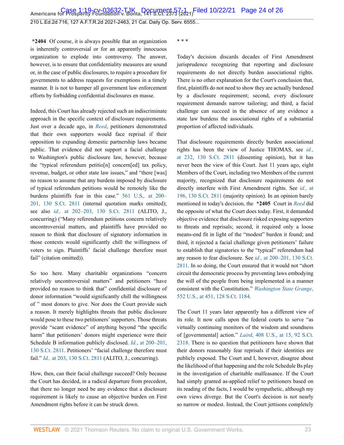**\*2404** Of course, it is always possible that an organization is inherently controversial or for an apparently innocuous organization to explode into controversy. The answer, however, is to ensure that confidentiality measures are sound or, in the case of public disclosures, to require a procedure for governments to address requests for exemptions in a timely manner. It is not to hamper all government law enforcement efforts by forbidding confidential disclosures en masse.

Indeed, this Court has already rejected such an indiscriminate approach in the specific context of disclosure requirements. Just over a decade ago, in *[Reed](http://www.westlaw.com/Link/Document/FullText?findType=Y&serNum=2022366335&pubNum=0000780&originatingDoc=I7d565adeda6711eb850ac132f535d1eb&refType=RP&originationContext=document&vr=3.0&rs=cblt1.0&transitionType=DocumentItem&contextData=(sc.Default))*, petitioners demonstrated that their own supporters would face reprisal if their opposition to expanding domestic partnership laws became public. That evidence did not support a facial challenge to Washington's public disclosure law, however, because the "typical referendum petitio[n] concern[ed] tax policy, revenue, budget, or other state law issues," and "there [was] no reason to assume that any burdens imposed by disclosure of typical referendum petitions would be remotely like the burdens plaintiffs fear in this case." [561 U.S,. at 200–](http://www.westlaw.com/Link/Document/FullText?findType=Y&serNum=2022366335&pubNum=0000780&originatingDoc=I7d565adeda6711eb850ac132f535d1eb&refType=RP&fi=co_pp_sp_780_200&originationContext=document&vr=3.0&rs=cblt1.0&transitionType=DocumentItem&contextData=(sc.Default)#co_pp_sp_780_200) [201, 130 S.Ct. 2811](http://www.westlaw.com/Link/Document/FullText?findType=Y&serNum=2022366335&pubNum=0000780&originatingDoc=I7d565adeda6711eb850ac132f535d1eb&refType=RP&fi=co_pp_sp_780_200&originationContext=document&vr=3.0&rs=cblt1.0&transitionType=DocumentItem&contextData=(sc.Default)#co_pp_sp_780_200) (internal quotation marks omitted); see also *id.,* [at 202–203, 130 S.Ct. 2811](http://www.westlaw.com/Link/Document/FullText?findType=Y&serNum=2022366335&pubNum=0000708&originatingDoc=I7d565adeda6711eb850ac132f535d1eb&refType=RP&originationContext=document&vr=3.0&rs=cblt1.0&transitionType=DocumentItem&contextData=(sc.Default)) (ALITO, J., concurring) ("Many referendum petitions concern relatively uncontroversial matters, and plaintiffs have provided no reason to think that disclosure of signatory information in those contexts would significantly chill the willingness of voters to sign. Plaintiffs' facial challenge therefore must fail" (citation omitted)).

So too here. Many charitable organizations "concern relatively uncontroversial matters" and petitioners "have provided no reason to think that" confidential disclosure of donor information "would significantly chill the willingness of " most donors to give. Nor does the Court provide such a reason. It merely highlights threats that public disclosure would pose to these two petitioners' supporters. Those threats provide "scant evidence" of anything beyond "the specific harm" that petitioners' donors might experience were their Schedule B information publicly disclosed. *Id.*[, at 200–201,](http://www.westlaw.com/Link/Document/FullText?findType=Y&serNum=2022366335&pubNum=0000708&originatingDoc=I7d565adeda6711eb850ac132f535d1eb&refType=RP&originationContext=document&vr=3.0&rs=cblt1.0&transitionType=DocumentItem&contextData=(sc.Default)) [130 S.Ct. 2811](http://www.westlaw.com/Link/Document/FullText?findType=Y&serNum=2022366335&pubNum=0000708&originatingDoc=I7d565adeda6711eb850ac132f535d1eb&refType=RP&originationContext=document&vr=3.0&rs=cblt1.0&transitionType=DocumentItem&contextData=(sc.Default)). Petitioners' "facial challenge therefore must fail." *Id.,* [at 203, 130 S.Ct. 2811](http://www.westlaw.com/Link/Document/FullText?findType=Y&serNum=2022366335&pubNum=0000708&originatingDoc=I7d565adeda6711eb850ac132f535d1eb&refType=RP&originationContext=document&vr=3.0&rs=cblt1.0&transitionType=DocumentItem&contextData=(sc.Default)) (ALITO, J., concurring).

How, then, can their facial challenge succeed? Only because the Court has decided, in a radical departure from precedent, that there no longer need be any evidence that a disclosure requirement is likely to cause an objective burden on First Amendment rights before it can be struck down.

\* \* \*

Today's decision discards decades of First Amendment jurisprudence recognizing that reporting and disclosure requirements do not directly burden associational rights. There is no other explanation for the Court's conclusion that, first, plaintiffs do not need to show they are actually burdened by a disclosure requirement; second, every disclosure requirement demands narrow tailoring; and third, a facial challenge can succeed in the absence of any evidence a state law burdens the associational rights of a substantial proportion of affected individuals.

That disclosure requirements directly burden associational rights has been the view of Justice THOMAS, see *[id.](http://www.westlaw.com/Link/Document/FullText?findType=Y&serNum=2022366335&pubNum=0000708&originatingDoc=I7d565adeda6711eb850ac132f535d1eb&refType=RP&fi=co_pp_sp_708_232&originationContext=document&vr=3.0&rs=cblt1.0&transitionType=DocumentItem&contextData=(sc.Default)#co_pp_sp_708_232)*, [at 232, 130 S.Ct. 2811](http://www.westlaw.com/Link/Document/FullText?findType=Y&serNum=2022366335&pubNum=0000708&originatingDoc=I7d565adeda6711eb850ac132f535d1eb&refType=RP&fi=co_pp_sp_708_232&originationContext=document&vr=3.0&rs=cblt1.0&transitionType=DocumentItem&contextData=(sc.Default)#co_pp_sp_708_232) (dissenting opinion), but it has never been the view of this Court. Just 11 years ago, eight Members of the Court, including two Members of the current majority, recognized that disclosure requirements do not directly interfere with First Amendment rights. See *[id.,](http://www.westlaw.com/Link/Document/FullText?findType=Y&serNum=2022366335&pubNum=0000708&originatingDoc=I7d565adeda6711eb850ac132f535d1eb&refType=RP&fi=co_pp_sp_708_196&originationContext=document&vr=3.0&rs=cblt1.0&transitionType=DocumentItem&contextData=(sc.Default)#co_pp_sp_708_196)* at [196, 130 S.Ct. 2811](http://www.westlaw.com/Link/Document/FullText?findType=Y&serNum=2022366335&pubNum=0000708&originatingDoc=I7d565adeda6711eb850ac132f535d1eb&refType=RP&fi=co_pp_sp_708_196&originationContext=document&vr=3.0&rs=cblt1.0&transitionType=DocumentItem&contextData=(sc.Default)#co_pp_sp_708_196) (majority opinion). In an opinion barely mentioned in today's decision, the **\*2405** Court in *[Reed](http://www.westlaw.com/Link/Document/FullText?findType=Y&serNum=2022366335&pubNum=0000780&originatingDoc=I7d565adeda6711eb850ac132f535d1eb&refType=RP&originationContext=document&vr=3.0&rs=cblt1.0&transitionType=DocumentItem&contextData=(sc.Default))* did the opposite of what the Court does today. First, it demanded objective evidence that disclosure risked exposing supporters to threats and reprisals; second, it required only a loose means-end fit in light of the "modest" burden it found; and third, it rejected a facial challenge given petitioners' failure to establish that signatories to the "typical" referendum had any reason to fear disclosure. See *id.,* [at 200–201, 130 S.Ct.](http://www.westlaw.com/Link/Document/FullText?findType=Y&serNum=2022366335&pubNum=0000708&originatingDoc=I7d565adeda6711eb850ac132f535d1eb&refType=RP&fi=co_pp_sp_708_200&originationContext=document&vr=3.0&rs=cblt1.0&transitionType=DocumentItem&contextData=(sc.Default)#co_pp_sp_708_200) [2811.](http://www.westlaw.com/Link/Document/FullText?findType=Y&serNum=2022366335&pubNum=0000708&originatingDoc=I7d565adeda6711eb850ac132f535d1eb&refType=RP&fi=co_pp_sp_708_200&originationContext=document&vr=3.0&rs=cblt1.0&transitionType=DocumentItem&contextData=(sc.Default)#co_pp_sp_708_200) In so doing, the Court ensured that it would not "short circuit the democratic process by preventing laws embodying the will of the people from being implemented in a manner consistent with the Constitution." *[Washington State Grange](http://www.westlaw.com/Link/Document/FullText?findType=Y&serNum=2015506408&pubNum=0000780&originatingDoc=I7d565adeda6711eb850ac132f535d1eb&refType=RP&fi=co_pp_sp_780_451&originationContext=document&vr=3.0&rs=cblt1.0&transitionType=DocumentItem&contextData=(sc.Default)#co_pp_sp_780_451)*, [552 U.S., at 451, 128 S.Ct. 1184.](http://www.westlaw.com/Link/Document/FullText?findType=Y&serNum=2015506408&pubNum=0000780&originatingDoc=I7d565adeda6711eb850ac132f535d1eb&refType=RP&fi=co_pp_sp_780_451&originationContext=document&vr=3.0&rs=cblt1.0&transitionType=DocumentItem&contextData=(sc.Default)#co_pp_sp_780_451)

The Court 11 years later apparently has a different view of its role. It now calls upon the federal courts to serve "as virtually continuing monitors of the wisdom and soundness of [governmental] action." *Laird*[, 408 U.S., at 15, 92 S.Ct.](http://www.westlaw.com/Link/Document/FullText?findType=Y&serNum=1972127177&pubNum=0000780&originatingDoc=I7d565adeda6711eb850ac132f535d1eb&refType=RP&fi=co_pp_sp_780_15&originationContext=document&vr=3.0&rs=cblt1.0&transitionType=DocumentItem&contextData=(sc.Default)#co_pp_sp_780_15) [2318](http://www.westlaw.com/Link/Document/FullText?findType=Y&serNum=1972127177&pubNum=0000780&originatingDoc=I7d565adeda6711eb850ac132f535d1eb&refType=RP&fi=co_pp_sp_780_15&originationContext=document&vr=3.0&rs=cblt1.0&transitionType=DocumentItem&contextData=(sc.Default)#co_pp_sp_780_15). There is no question that petitioners have shown that their donors reasonably fear reprisals if their identities are publicly exposed. The Court and I, however, disagree about the likelihood of that happening and the role Schedule Bs play in the investigation of charitable malfeasance. If the Court had simply granted as-applied relief to petitioners based on its reading of the facts, I would be sympathetic, although my own views diverge. But the Court's decision is not nearly so narrow or modest. Instead, the Court jettisons completely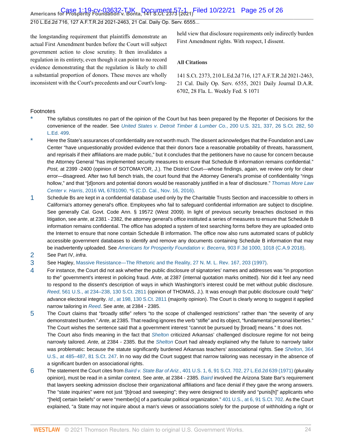# **Americans for Prosperity Foundation v. Bonta, 141 S.Ct. 2373 (2021)** Case 1:19-cv-03632-TJK Document 57-1 Filed 10/22/21 Page 25 of 26

210 L.Ed.2d 716, 127 A.F.T.R.2d 2021-2463, 21 Cal. Daily Op. Serv. 6555...

the longstanding requirement that plaintiffs demonstrate an actual First Amendment burden before the Court will subject government action to close scrutiny. It then invalidates a regulation in its entirety, even though it can point to no record evidence demonstrating that the regulation is likely to chill a substantial proportion of donors. These moves are wholly inconsistent with the Court's precedents and our Court's longheld view that disclosure requirements only indirectly burden First Amendment rights. With respect, I dissent.

#### **All Citations**

141 S.Ct. 2373, 210 L.Ed.2d 716, 127 A.F.T.R.2d 2021-2463, 21 Cal. Daily Op. Serv. 6555, 2021 Daily Journal D.A.R. 6702, 28 Fla. L. Weekly Fed. S 1071

#### Footnotes

- <span id="page-24-0"></span>The syllabus constitutes no part of the opinion of the Court but has been prepared by the Reporter of Decisions for the convenience of the reader. See [United States v. Detroit Timber & Lumber Co.](http://www.westlaw.com/Link/Document/FullText?findType=Y&serNum=1906101604&pubNum=0000780&originatingDoc=I7d565adeda6711eb850ac132f535d1eb&refType=RP&fi=co_pp_sp_780_337&originationContext=document&vr=3.0&rs=cblt1.0&transitionType=DocumentItem&contextData=(sc.Default)#co_pp_sp_780_337), 200 U.S. 321, 337, 26 S.Ct. 282, 50 [L.Ed. 499.](http://www.westlaw.com/Link/Document/FullText?findType=Y&serNum=1906101604&pubNum=0000780&originatingDoc=I7d565adeda6711eb850ac132f535d1eb&refType=RP&fi=co_pp_sp_780_337&originationContext=document&vr=3.0&rs=cblt1.0&transitionType=DocumentItem&contextData=(sc.Default)#co_pp_sp_780_337)
- <span id="page-24-1"></span>Here the State's assurances of confidentiality are not worth much. The dissent acknowledges that the Foundation and Law Center "have unquestionably provided evidence that their donors face a reasonable probability of threats, harassment, and reprisals if their affiliations are made public," but it concludes that the petitioners have no cause for concern because the Attorney General "has implemented security measures to ensure that Schedule B information remains confidential." Post, at 2399 -2400 (opinion of SOTOMAYOR, J.). The District Court—whose findings, again, we review only for clear error—disagreed. After two full bench trials, the court found that the Attorney General's promise of confidentiality "rings hollow," and that "[d]onors and potential donors would be reasonably justified in a fear of disclosure." [Thomas More Law](http://www.westlaw.com/Link/Document/FullText?findType=Y&serNum=2040318453&pubNum=0000999&originatingDoc=I7d565adeda6711eb850ac132f535d1eb&refType=RP&originationContext=document&vr=3.0&rs=cblt1.0&transitionType=DocumentItem&contextData=(sc.Default)) Center v. Harris[, 2016 WL 6781090, \\*5 \(C.D. Cal., Nov. 16, 2016\)](http://www.westlaw.com/Link/Document/FullText?findType=Y&serNum=2040318453&pubNum=0000999&originatingDoc=I7d565adeda6711eb850ac132f535d1eb&refType=RP&originationContext=document&vr=3.0&rs=cblt1.0&transitionType=DocumentItem&contextData=(sc.Default)).
- <span id="page-24-2"></span>[1](#page-16-0) Schedule Bs are kept in a confidential database used only by the Charitable Trusts Section and inaccessible to others in California's attorney general's office. Employees who fail to safeguard confidential information are subject to discipline. See generally Cal. Govt. Code Ann. § 19572 (West 2009). In light of previous security breaches disclosed in this litigation, see ante, at 2381 - 2382, the attorney general's office instituted a series of measures to ensure that Schedule B information remains confidential. The office has adopted a system of text searching forms before they are uploaded onto the Internet to ensure that none contain Schedule B information. The office now also runs automated scans of publicly accessible government databases to identify and remove any documents containing Schedule B information that may be inadvertently uploaded. See [Americans for Prosperity Foundation v. Becerra](http://www.westlaw.com/Link/Document/FullText?findType=Y&serNum=2045472789&pubNum=0000506&originatingDoc=I7d565adeda6711eb850ac132f535d1eb&refType=RP&fi=co_pp_sp_506_1018&originationContext=document&vr=3.0&rs=cblt1.0&transitionType=DocumentItem&contextData=(sc.Default)#co_pp_sp_506_1018), 903 F.3d 1000, 1018 (C.A.9 2018).
- <span id="page-24-3"></span>[2](#page-17-0) See Part IV, infra.
- <span id="page-24-4"></span>[3](#page-19-0) See Hagley, [Massive Resistance—The Rhetoric and the Reality, 27 N. M. L. Rev. 167, 203 \(1997\).](http://www.westlaw.com/Link/Document/FullText?findType=Y&serNum=0108127727&pubNum=0001203&originatingDoc=I7d565adeda6711eb850ac132f535d1eb&refType=LR&fi=co_pp_sp_1203_203&originationContext=document&vr=3.0&rs=cblt1.0&transitionType=DocumentItem&contextData=(sc.Default)#co_pp_sp_1203_203)
- <span id="page-24-5"></span>[4](#page-19-1) For instance, the Court did not ask whether the public disclosure of signatories' names and addresses was "in proportion to the" government's interest in policing fraud. Ante, at 2387 (internal quotation marks omitted). Nor did it feel any need to respond to the dissent's description of ways in which Washington's interest could be met without public disclosure. Reed[, 561 U.S., at 234–238, 130 S.Ct. 2811](http://www.westlaw.com/Link/Document/FullText?findType=Y&serNum=2022366335&pubNum=0000780&originatingDoc=I7d565adeda6711eb850ac132f535d1eb&refType=RP&fi=co_pp_sp_780_234&originationContext=document&vr=3.0&rs=cblt1.0&transitionType=DocumentItem&contextData=(sc.Default)#co_pp_sp_780_234) (opinion of THOMAS, J.). It was enough that public disclosure could "help" advance electoral integrity. Id.[, at 198, 130 S.Ct. 2811](http://www.westlaw.com/Link/Document/FullText?findType=Y&serNum=2022366335&pubNum=0000708&originatingDoc=I7d565adeda6711eb850ac132f535d1eb&refType=RP&originationContext=document&vr=3.0&rs=cblt1.0&transitionType=DocumentItem&contextData=(sc.Default)) (majority opinion). The Court is clearly wrong to suggest it applied narrow tailoring in [Reed](http://www.westlaw.com/Link/Document/FullText?findType=Y&serNum=2022366335&pubNum=0000780&originatingDoc=I7d565adeda6711eb850ac132f535d1eb&refType=RP&originationContext=document&vr=3.0&rs=cblt1.0&transitionType=DocumentItem&contextData=(sc.Default)). See ante, at 2384 - 2385.
- <span id="page-24-6"></span>[5](#page-20-0) The Court claims that "broadly stifle" refers "to the scope of challenged restrictions" rather than "the severity of any demonstrated burden." Ante, at 2385. That reading ignores the verb "stifle" and its object, "fundamental personal liberties." The Court wishes the sentence said that a government interest "cannot be pursued by [broad] means." It does not. The Court also finds meaning in the fact that [Shelton](http://www.westlaw.com/Link/Document/FullText?findType=Y&serNum=1960122601&pubNum=0000780&originatingDoc=I7d565adeda6711eb850ac132f535d1eb&refType=RP&originationContext=document&vr=3.0&rs=cblt1.0&transitionType=DocumentItem&contextData=(sc.Default)) criticized Arkansas' challenged disclosure regime for not being narrowly tailored. Ante, at 2384 - 2385. But the [Shelton](http://www.westlaw.com/Link/Document/FullText?findType=Y&serNum=1960122601&pubNum=0000780&originatingDoc=I7d565adeda6711eb850ac132f535d1eb&refType=RP&originationContext=document&vr=3.0&rs=cblt1.0&transitionType=DocumentItem&contextData=(sc.Default)) Court had already explained why the failure to narrowly tailor was problematic: because the statute significantly burdened Arkansas teachers' associational rights. See [Shelton](http://www.westlaw.com/Link/Document/FullText?findType=Y&serNum=1960122601&pubNum=0000780&originatingDoc=I7d565adeda6711eb850ac132f535d1eb&refType=RP&fi=co_pp_sp_780_485&originationContext=document&vr=3.0&rs=cblt1.0&transitionType=DocumentItem&contextData=(sc.Default)#co_pp_sp_780_485), 364 [U.S., at 485–487, 81 S.Ct. 247.](http://www.westlaw.com/Link/Document/FullText?findType=Y&serNum=1960122601&pubNum=0000780&originatingDoc=I7d565adeda6711eb850ac132f535d1eb&refType=RP&fi=co_pp_sp_780_485&originationContext=document&vr=3.0&rs=cblt1.0&transitionType=DocumentItem&contextData=(sc.Default)#co_pp_sp_780_485) In no way did the Court suggest that narrow tailoring was necessary in the absence of a significant burden on associational rights.
- <span id="page-24-7"></span>[6](#page-20-1) The statement the Court cites from Baird v. State Bar of Ariz.[, 401 U.S. 1, 6, 91 S.Ct. 702, 27 L.Ed.2d 639 \(1971\)](http://www.westlaw.com/Link/Document/FullText?findType=Y&serNum=1971127012&pubNum=0000780&originatingDoc=I7d565adeda6711eb850ac132f535d1eb&refType=RP&fi=co_pp_sp_780_6&originationContext=document&vr=3.0&rs=cblt1.0&transitionType=DocumentItem&contextData=(sc.Default)#co_pp_sp_780_6) (plurality opinion), must be read in a similar context. See ante, at 2384 - 2385. [Baird](http://www.westlaw.com/Link/Document/FullText?findType=Y&serNum=1971127012&pubNum=0000780&originatingDoc=I7d565adeda6711eb850ac132f535d1eb&refType=RP&originationContext=document&vr=3.0&rs=cblt1.0&transitionType=DocumentItem&contextData=(sc.Default)) involved the Arizona State Bar's requirement that lawyers seeking admission disclose their organizational affiliations and face denial if they gave the wrong answers. The "state inquiries" were not just "[b]road and sweeping"; they were designed to identify and "punis[h]" applicants who "[held] certain beliefs" or were "member[s] of a particular political organization." [401 U.S., at 6, 91 S.Ct. 702.](http://www.westlaw.com/Link/Document/FullText?findType=Y&serNum=1971127012&pubNum=0000780&originatingDoc=I7d565adeda6711eb850ac132f535d1eb&refType=RP&fi=co_pp_sp_780_6&originationContext=document&vr=3.0&rs=cblt1.0&transitionType=DocumentItem&contextData=(sc.Default)#co_pp_sp_780_6) As the Court explained, "a State may not inquire about a man's views or associations solely for the purpose of withholding a right or